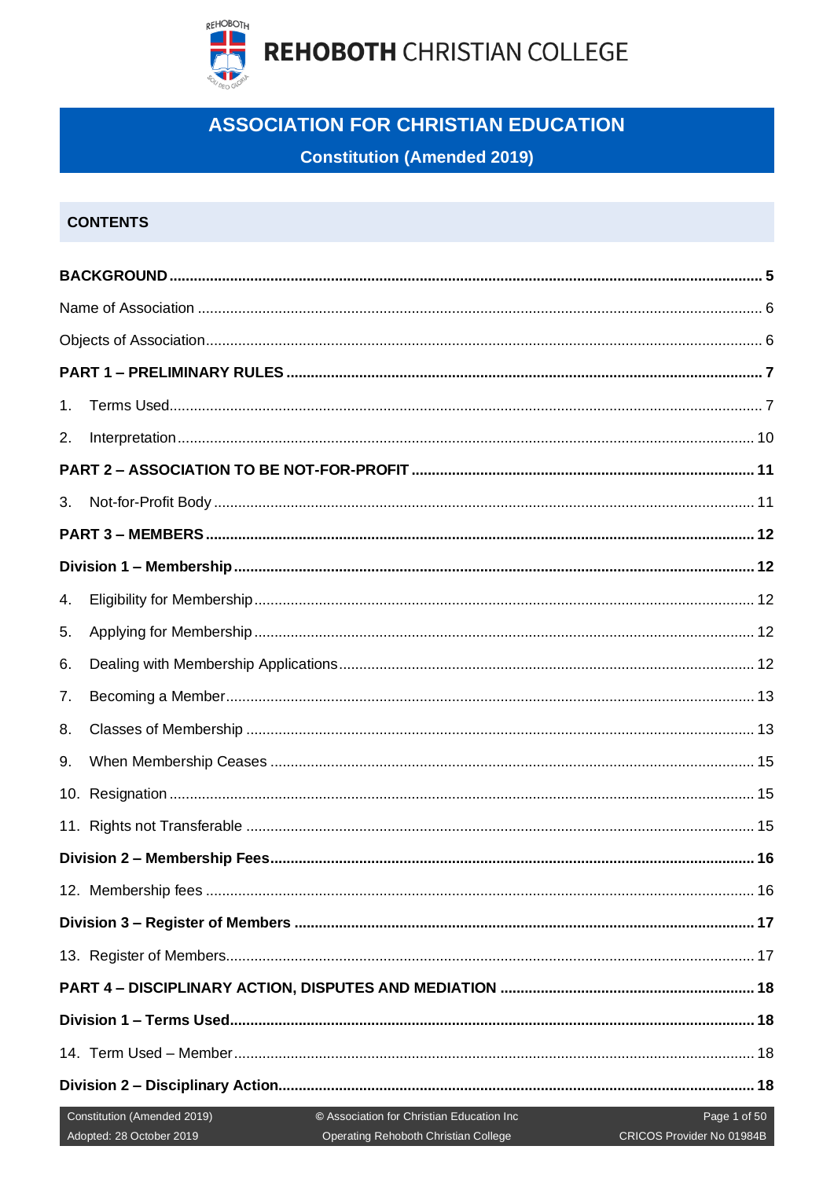

## **ASSOCIATION FOR CHRISTIAN EDUCATION**

## **Constitution (Amended 2019)**

## **CONTENTS**

| 1. |                                                         |                                                                                   |                                           |
|----|---------------------------------------------------------|-----------------------------------------------------------------------------------|-------------------------------------------|
| 2. |                                                         |                                                                                   |                                           |
|    |                                                         |                                                                                   |                                           |
| 3. |                                                         |                                                                                   |                                           |
|    |                                                         |                                                                                   |                                           |
|    |                                                         |                                                                                   |                                           |
| 4. |                                                         |                                                                                   |                                           |
| 5. |                                                         |                                                                                   |                                           |
| 6. |                                                         |                                                                                   |                                           |
| 7. |                                                         |                                                                                   |                                           |
| 8. |                                                         |                                                                                   |                                           |
| 9. |                                                         |                                                                                   |                                           |
|    |                                                         |                                                                                   |                                           |
|    |                                                         |                                                                                   |                                           |
|    |                                                         |                                                                                   |                                           |
|    |                                                         |                                                                                   |                                           |
|    |                                                         |                                                                                   |                                           |
|    |                                                         |                                                                                   |                                           |
|    |                                                         |                                                                                   |                                           |
|    |                                                         |                                                                                   |                                           |
|    |                                                         |                                                                                   |                                           |
|    |                                                         |                                                                                   |                                           |
|    | Constitution (Amended 2019)<br>Adopted: 28 October 2019 | © Association for Christian Education Inc<br>Operating Rehoboth Christian College | Page 1 of 50<br>CRICOS Provider No 01984B |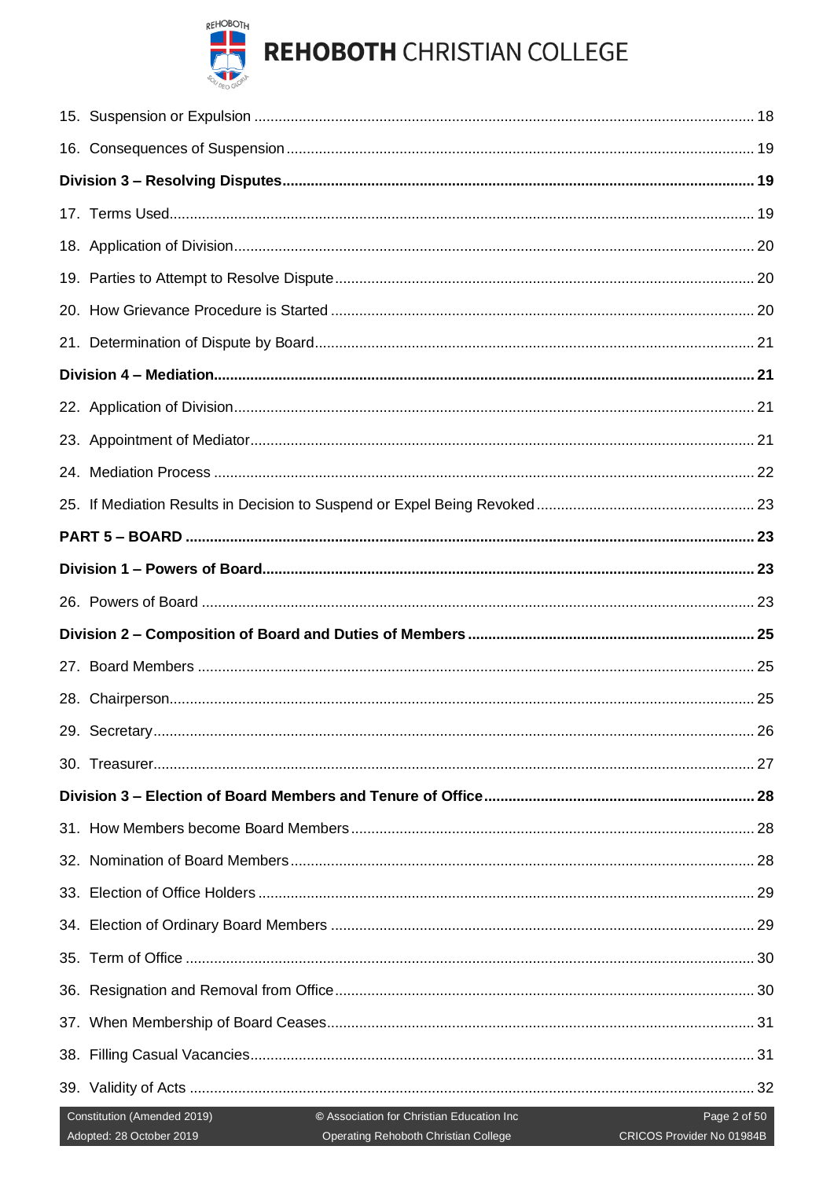

# **REHOBOTH CHRISTIAN COLLEGE**

| Constitution (Amended 2019)<br>© Association for Christian Education Inc<br>Page 2 of 50<br>Adopted: 28 October 2019<br>CRICOS Provider No 01984B<br>Operating Rehoboth Christian College<br><u> Maria Alemania de San</u> |  |
|----------------------------------------------------------------------------------------------------------------------------------------------------------------------------------------------------------------------------|--|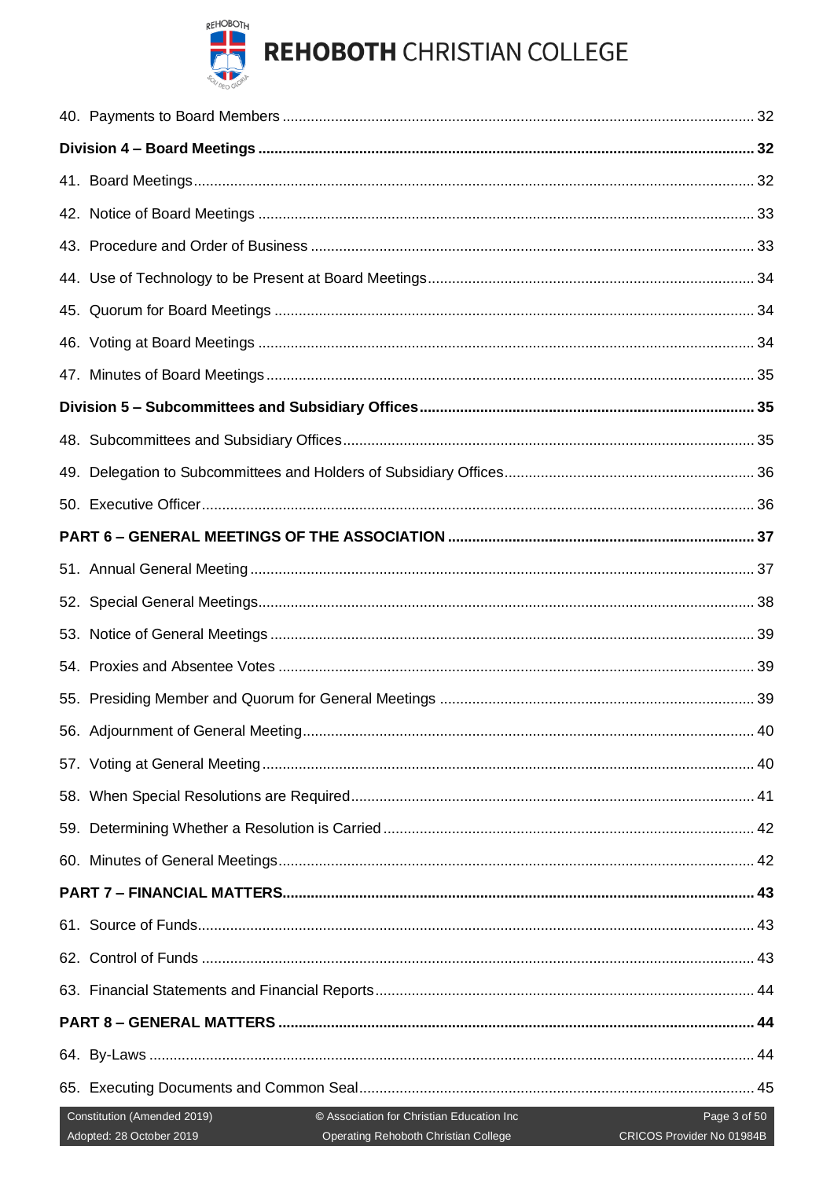

# **REHOBOTH CHRISTIAN COLLEGE**

| 49. |                                                                                                                                                                                           |  |
|-----|-------------------------------------------------------------------------------------------------------------------------------------------------------------------------------------------|--|
|     |                                                                                                                                                                                           |  |
|     |                                                                                                                                                                                           |  |
|     |                                                                                                                                                                                           |  |
| 52. |                                                                                                                                                                                           |  |
|     |                                                                                                                                                                                           |  |
|     |                                                                                                                                                                                           |  |
|     |                                                                                                                                                                                           |  |
|     |                                                                                                                                                                                           |  |
|     |                                                                                                                                                                                           |  |
|     |                                                                                                                                                                                           |  |
|     |                                                                                                                                                                                           |  |
|     |                                                                                                                                                                                           |  |
|     |                                                                                                                                                                                           |  |
|     |                                                                                                                                                                                           |  |
|     |                                                                                                                                                                                           |  |
|     |                                                                                                                                                                                           |  |
|     |                                                                                                                                                                                           |  |
|     |                                                                                                                                                                                           |  |
|     |                                                                                                                                                                                           |  |
|     | Constitution (Amended 2019)<br>© Association for Christian Education Inc<br>Page 3 of 50<br>Adopted: 28 October 2019<br>CRICOS Provider No 01984B<br>Operating Rehoboth Christian College |  |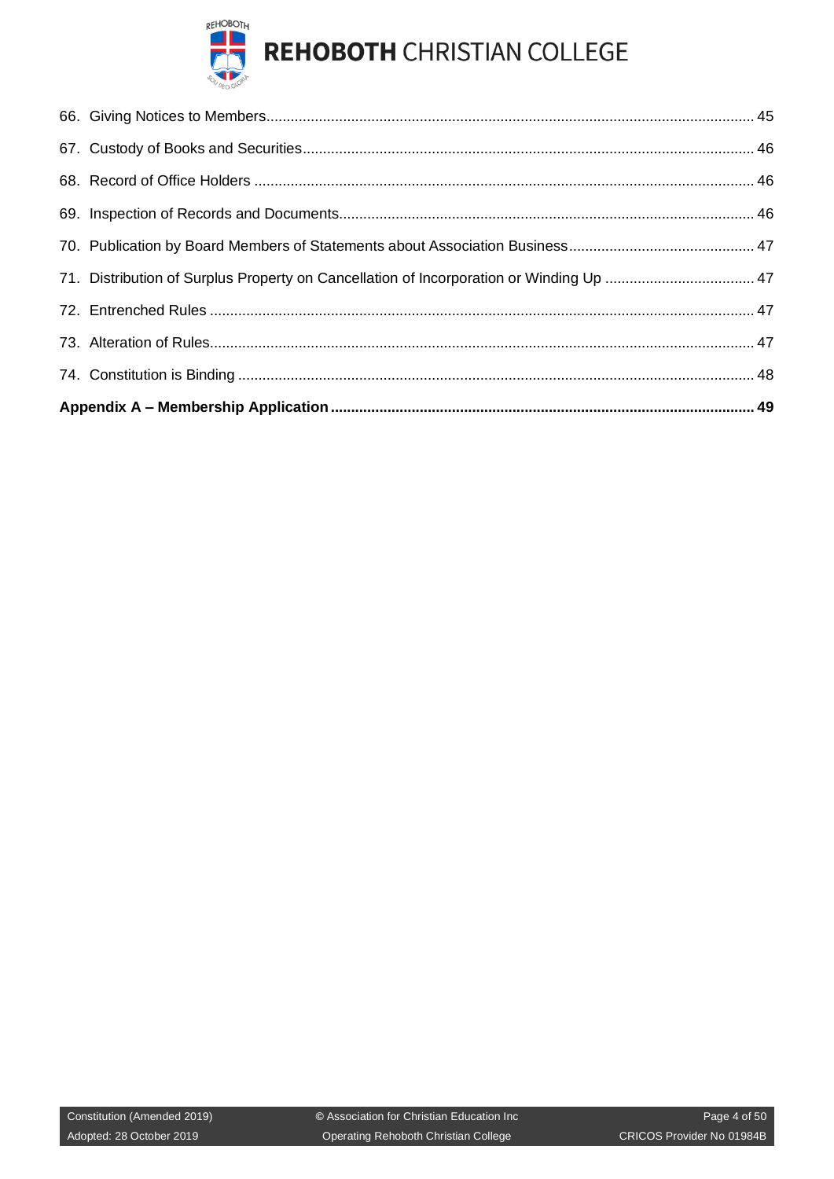

| 71. Distribution of Surplus Property on Cancellation of Incorporation or Winding Up  47 |  |  |
|-----------------------------------------------------------------------------------------|--|--|
|                                                                                         |  |  |
|                                                                                         |  |  |
|                                                                                         |  |  |
|                                                                                         |  |  |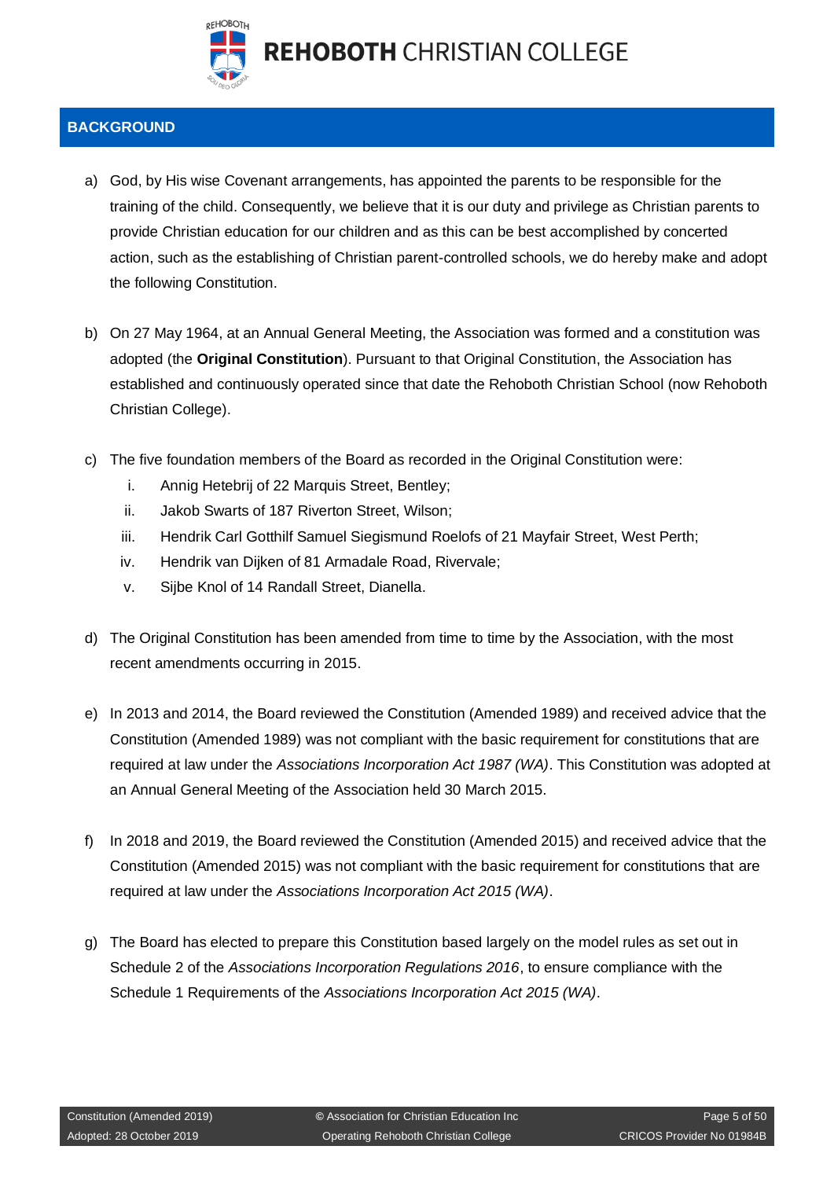

## <span id="page-4-0"></span>**BACKGROUND**

- a) God, by His wise Covenant arrangements, has appointed the parents to be responsible for the training of the child. Consequently, we believe that it is our duty and privilege as Christian parents to provide Christian education for our children and as this can be best accomplished by concerted action, such as the establishing of Christian parent-controlled schools, we do hereby make and adopt the following Constitution.
- b) On 27 May 1964, at an Annual General Meeting, the Association was formed and a constitution was adopted (the **Original Constitution**). Pursuant to that Original Constitution, the Association has established and continuously operated since that date the Rehoboth Christian School (now Rehoboth Christian College).
- c) The five foundation members of the Board as recorded in the Original Constitution were:
	- i. Annig Hetebrij of 22 Marquis Street, Bentley;
	- ii. Jakob Swarts of 187 Riverton Street, Wilson;
	- iii. Hendrik Carl Gotthilf Samuel Siegismund Roelofs of 21 Mayfair Street, West Perth;
	- iv. Hendrik van Dijken of 81 Armadale Road, Rivervale;
	- v. Sijbe Knol of 14 Randall Street, Dianella.
- d) The Original Constitution has been amended from time to time by the Association, with the most recent amendments occurring in 2015.
- e) In 2013 and 2014, the Board reviewed the Constitution (Amended 1989) and received advice that the Constitution (Amended 1989) was not compliant with the basic requirement for constitutions that are required at law under the *Associations Incorporation Act 1987 (WA)*. This Constitution was adopted at an Annual General Meeting of the Association held 30 March 2015.
- f) In 2018 and 2019, the Board reviewed the Constitution (Amended 2015) and received advice that the Constitution (Amended 2015) was not compliant with the basic requirement for constitutions that are required at law under the *Associations Incorporation Act 2015 (WA)*.
- g) The Board has elected to prepare this Constitution based largely on the model rules as set out in Schedule 2 of the *Associations Incorporation Regulations 2016*, to ensure compliance with the Schedule 1 Requirements of the *Associations Incorporation Act 2015 (WA)*.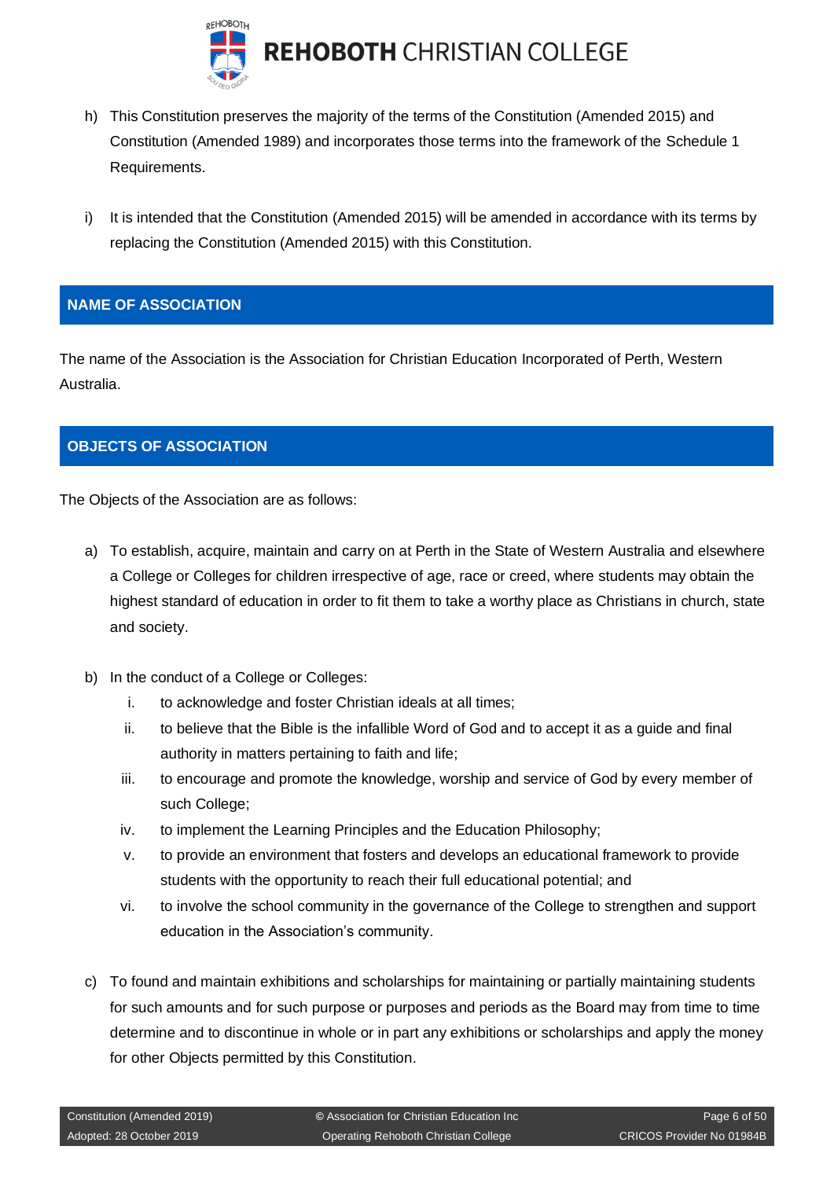

- h) This Constitution preserves the majority of the terms of the Constitution (Amended 2015) and Constitution (Amended 1989) and incorporates those terms into the framework of the Schedule 1 Requirements.
- i) It is intended that the Constitution (Amended 2015) will be amended in accordance with its terms by replacing the Constitution (Amended 2015) with this Constitution.

## <span id="page-5-0"></span>**NAME OF ASSOCIATION**

The name of the Association is the Association for Christian Education Incorporated of Perth, Western Australia.

## <span id="page-5-1"></span>**OBJECTS OF ASSOCIATION**

The Objects of the Association are as follows:

- a) To establish, acquire, maintain and carry on at Perth in the State of Western Australia and elsewhere a College or Colleges for children irrespective of age, race or creed, where students may obtain the highest standard of education in order to fit them to take a worthy place as Christians in church, state and society.
- b) In the conduct of a College or Colleges:
	- i. to acknowledge and foster Christian ideals at all times;
	- ii. to believe that the Bible is the infallible Word of God and to accept it as a guide and final authority in matters pertaining to faith and life;
	- iii. to encourage and promote the knowledge, worship and service of God by every member of such College;
	- iv. to implement the Learning Principles and the Education Philosophy;
	- v. to provide an environment that fosters and develops an educational framework to provide students with the opportunity to reach their full educational potential; and
	- vi. to involve the school community in the governance of the College to strengthen and support education in the Association's community.
- c) To found and maintain exhibitions and scholarships for maintaining or partially maintaining students for such amounts and for such purpose or purposes and periods as the Board may from time to time determine and to discontinue in whole or in part any exhibitions or scholarships and apply the money for other Objects permitted by this Constitution.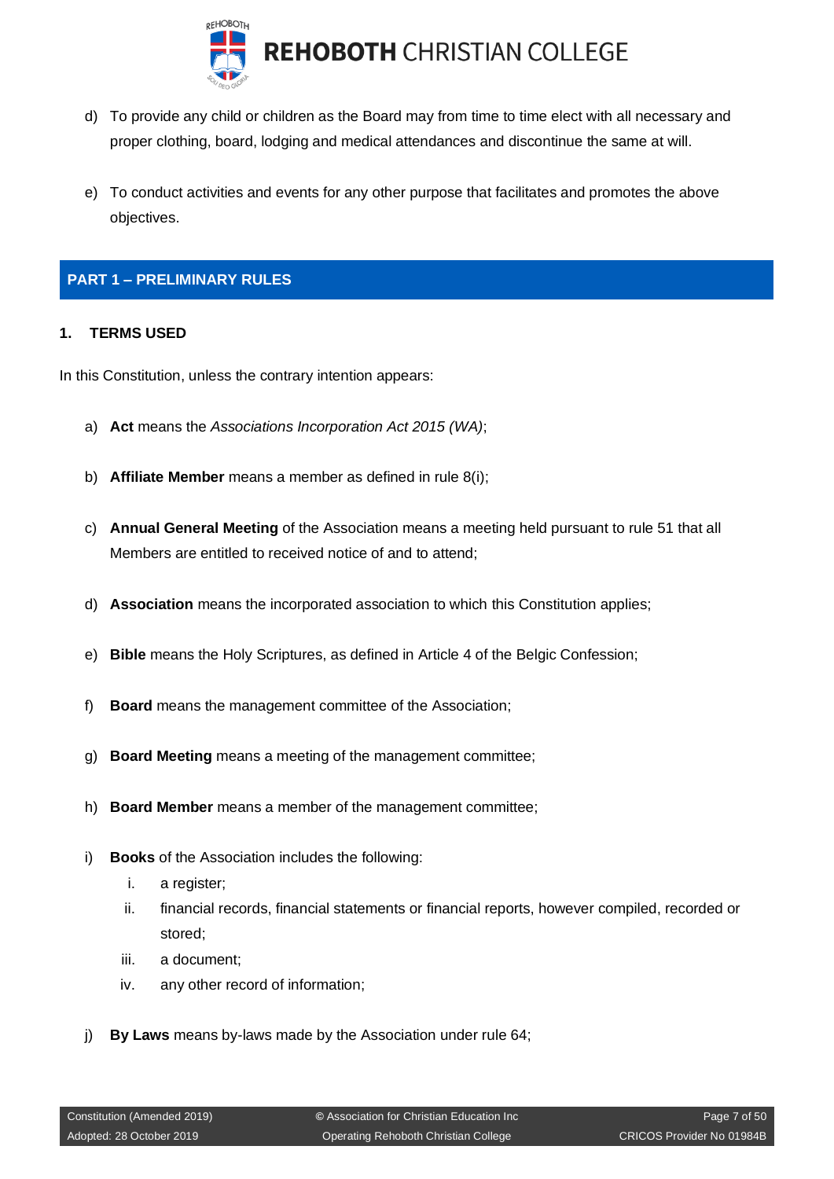

- d) To provide any child or children as the Board may from time to time elect with all necessary and proper clothing, board, lodging and medical attendances and discontinue the same at will.
- e) To conduct activities and events for any other purpose that facilitates and promotes the above objectives.

## <span id="page-6-0"></span>**PART 1 – PRELIMINARY RULES**

#### <span id="page-6-1"></span>**1. TERMS USED**

In this Constitution, unless the contrary intention appears:

- a) **Act** means the *Associations Incorporation Act 2015 (WA)*;
- b) **Affiliate Member** means a member as defined in rule 8(i);
- c) **Annual General Meeting** of the Association means a meeting held pursuant to rule 51 that all Members are entitled to received notice of and to attend;
- d) **Association** means the incorporated association to which this Constitution applies;
- e) **Bible** means the Holy Scriptures, as defined in Article 4 of the Belgic Confession;
- f) **Board** means the management committee of the Association;
- g) **Board Meeting** means a meeting of the management committee;
- h) **Board Member** means a member of the management committee;
- i) **Books** of the Association includes the following:
	- i. a register;
	- ii. financial records, financial statements or financial reports, however compiled, recorded or stored;
	- iii. a document;
	- iv. any other record of information;
- j) **By Laws** means by-laws made by the Association under rule 64;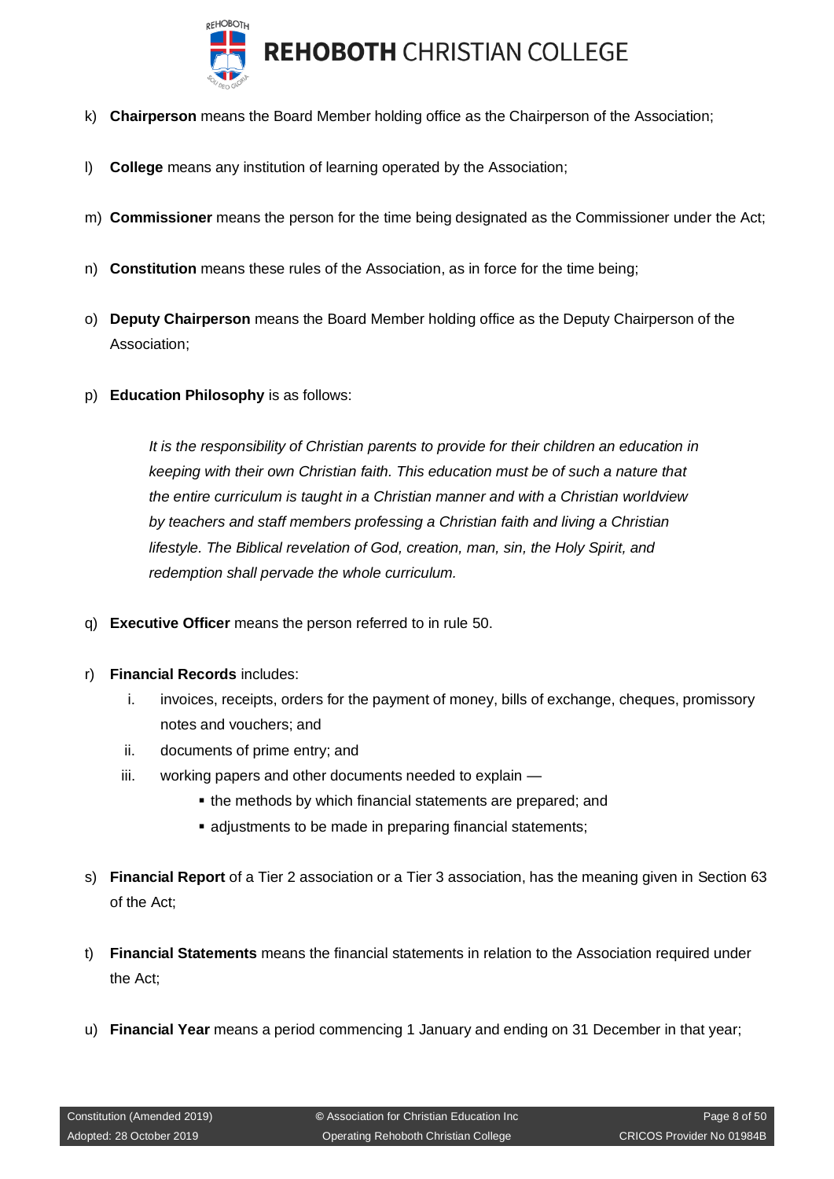

- k) **Chairperson** means the Board Member holding office as the Chairperson of the Association;
- l) **College** means any institution of learning operated by the Association;
- m) **Commissioner** means the person for the time being designated as the Commissioner under the Act;
- n) **Constitution** means these rules of the Association, as in force for the time being;
- o) **Deputy Chairperson** means the Board Member holding office as the Deputy Chairperson of the Association;
- p) **Education Philosophy** is as follows:

*It is the responsibility of Christian parents to provide for their children an education in keeping with their own Christian faith. This education must be of such a nature that the entire curriculum is taught in a Christian manner and with a Christian worldview by teachers and staff members professing a Christian faith and living a Christian lifestyle. The Biblical revelation of God, creation, man, sin, the Holy Spirit, and redemption shall pervade the whole curriculum.*

- q) **Executive Officer** means the person referred to in rule 50.
- r) **Financial Records** includes:
	- i. invoices, receipts, orders for the payment of money, bills of exchange, cheques, promissory notes and vouchers; and
	- ii. documents of prime entry; and
	- iii. working papers and other documents needed to explain
		- the methods by which financial statements are prepared; and
		- adjustments to be made in preparing financial statements;
- s) **Financial Report** of a Tier 2 association or a Tier 3 association, has the meaning given in Section 63 of the Act;
- t) **Financial Statements** means the financial statements in relation to the Association required under the Act;
- u) **Financial Year** means a period commencing 1 January and ending on 31 December in that year;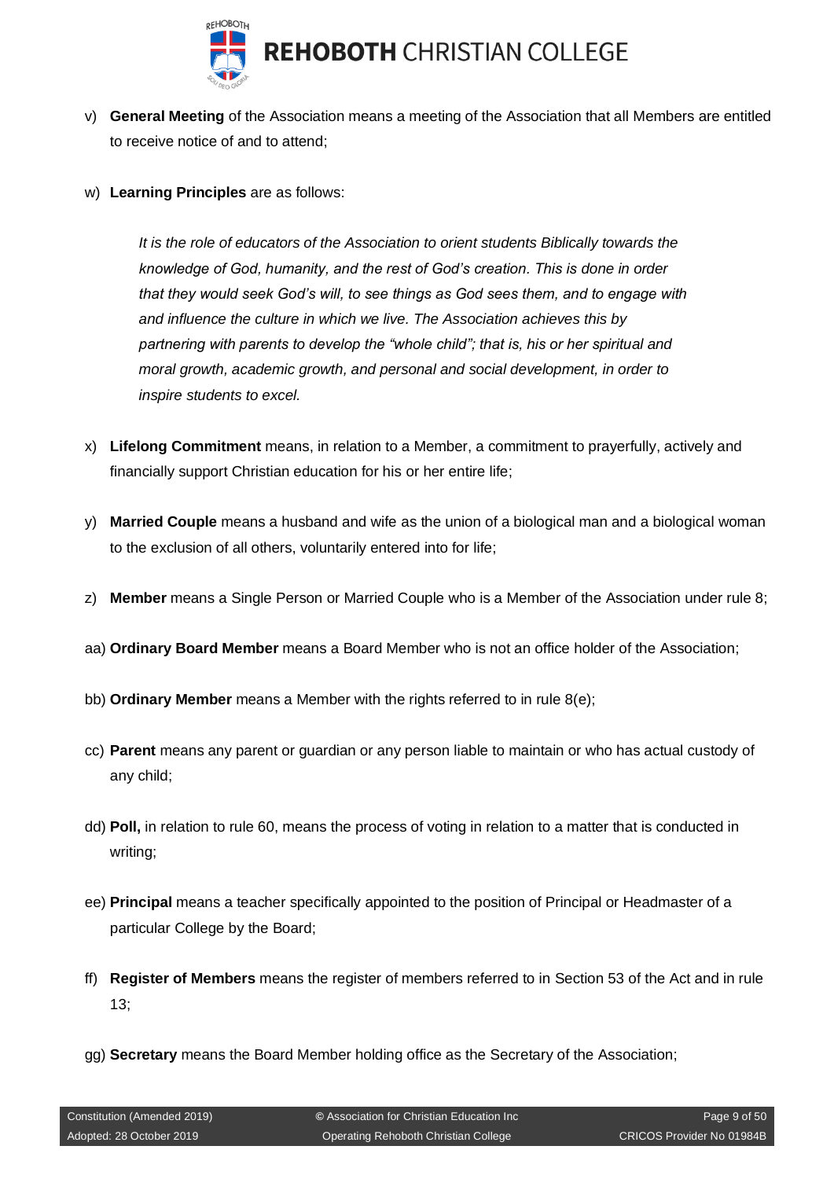

- v) **General Meeting** of the Association means a meeting of the Association that all Members are entitled to receive notice of and to attend;
- w) **Learning Principles** are as follows:

*It is the role of educators of the Association to orient students Biblically towards the knowledge of God, humanity, and the rest of God's creation. This is done in order that they would seek God's will, to see things as God sees them, and to engage with and influence the culture in which we live. The Association achieves this by partnering with parents to develop the "whole child"; that is, his or her spiritual and moral growth, academic growth, and personal and social development, in order to inspire students to excel.*

- x) **Lifelong Commitment** means, in relation to a Member, a commitment to prayerfully, actively and financially support Christian education for his or her entire life;
- y) **Married Couple** means a husband and wife as the union of a biological man and a biological woman to the exclusion of all others, voluntarily entered into for life;
- z) **Member** means a Single Person or Married Couple who is a Member of the Association under rule 8;
- aa) **Ordinary Board Member** means a Board Member who is not an office holder of the Association;
- bb) **Ordinary Member** means a Member with the rights referred to in rule 8(e);
- cc) **Parent** means any parent or guardian or any person liable to maintain or who has actual custody of any child;
- dd) **Poll,** in relation to rule 60, means the process of voting in relation to a matter that is conducted in writing;
- ee) **Principal** means a teacher specifically appointed to the position of Principal or Headmaster of a particular College by the Board;
- ff) **Register of Members** means the register of members referred to in Section 53 of the Act and in rule 13;
- gg) **Secretary** means the Board Member holding office as the Secretary of the Association;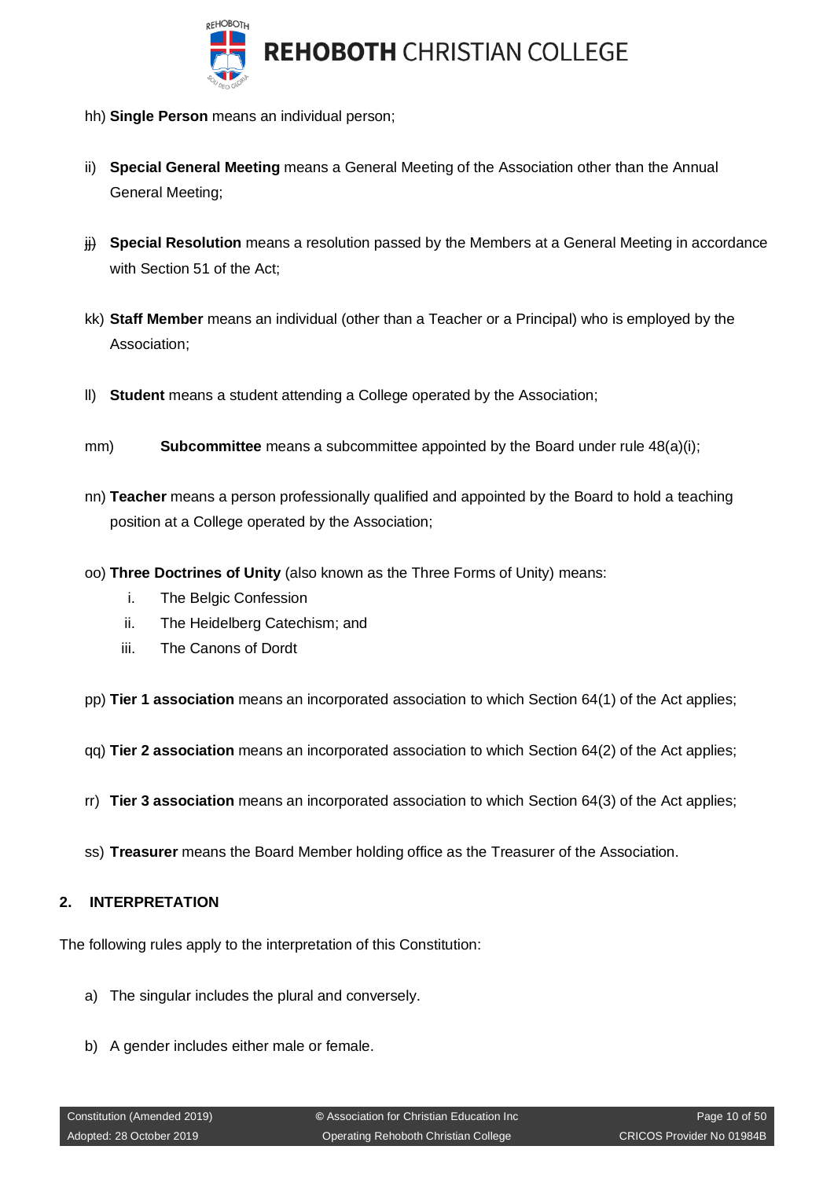

- hh) **Single Person** means an individual person;
- ii) **Special General Meeting** means a General Meeting of the Association other than the Annual General Meeting;
- $\ddot{\textbf{H}}$  **Special Resolution** means a resolution passed by the Members at a General Meeting in accordance with Section 51 of the Act;
- kk) **Staff Member** means an individual (other than a Teacher or a Principal) who is employed by the Association;
- ll) **Student** means a student attending a College operated by the Association;
- mm) **Subcommittee** means a subcommittee appointed by the Board under rule 48(a)(i);
- nn) **Teacher** means a person professionally qualified and appointed by the Board to hold a teaching position at a College operated by the Association;
- oo) **Three Doctrines of Unity** (also known as the Three Forms of Unity) means:
	- i. The Belgic Confession
	- ii. The Heidelberg Catechism; and
	- iii. The Canons of Dordt

pp) **Tier 1 association** means an incorporated association to which Section 64(1) of the Act applies;

- qq) **Tier 2 association** means an incorporated association to which Section 64(2) of the Act applies;
- rr) **Tier 3 association** means an incorporated association to which Section 64(3) of the Act applies;
- ss) **Treasurer** means the Board Member holding office as the Treasurer of the Association.

#### <span id="page-9-0"></span>**2. INTERPRETATION**

The following rules apply to the interpretation of this Constitution:

- a) The singular includes the plural and conversely.
- b) A gender includes either male or female.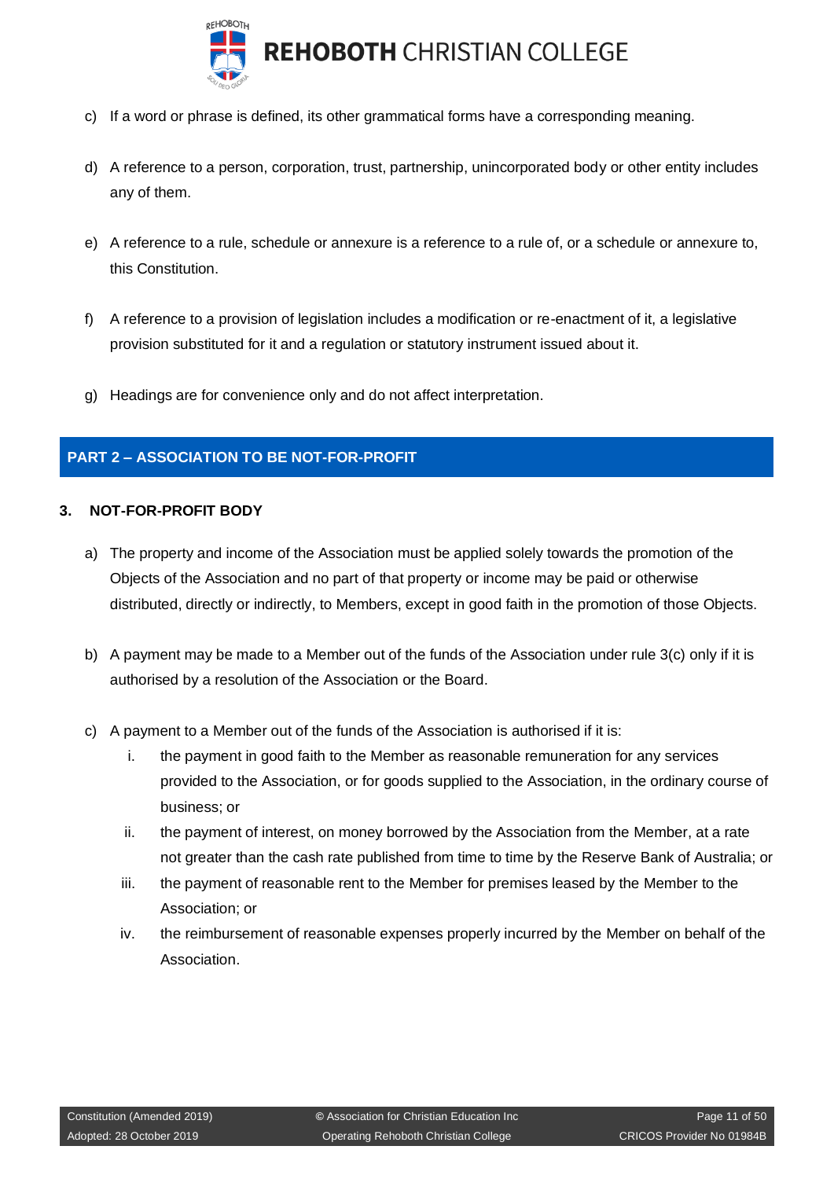

- c) If a word or phrase is defined, its other grammatical forms have a corresponding meaning.
- d) A reference to a person, corporation, trust, partnership, unincorporated body or other entity includes any of them.
- e) A reference to a rule, schedule or annexure is a reference to a rule of, or a schedule or annexure to, this Constitution.
- f) A reference to a provision of legislation includes a modification or re-enactment of it, a legislative provision substituted for it and a regulation or statutory instrument issued about it.
- g) Headings are for convenience only and do not affect interpretation.

## <span id="page-10-0"></span>**PART 2 – ASSOCIATION TO BE NOT-FOR-PROFIT**

#### <span id="page-10-1"></span>**3. NOT-FOR-PROFIT BODY**

- a) The property and income of the Association must be applied solely towards the promotion of the Objects of the Association and no part of that property or income may be paid or otherwise distributed, directly or indirectly, to Members, except in good faith in the promotion of those Objects.
- b) A payment may be made to a Member out of the funds of the Association under rule 3(c) only if it is authorised by a resolution of the Association or the Board.
- c) A payment to a Member out of the funds of the Association is authorised if it is:
	- i. the payment in good faith to the Member as reasonable remuneration for any services provided to the Association, or for goods supplied to the Association, in the ordinary course of business; or
	- ii. the payment of interest, on money borrowed by the Association from the Member, at a rate not greater than the cash rate published from time to time by the Reserve Bank of Australia; or
	- iii. the payment of reasonable rent to the Member for premises leased by the Member to the Association; or
	- iv. the reimbursement of reasonable expenses properly incurred by the Member on behalf of the Association.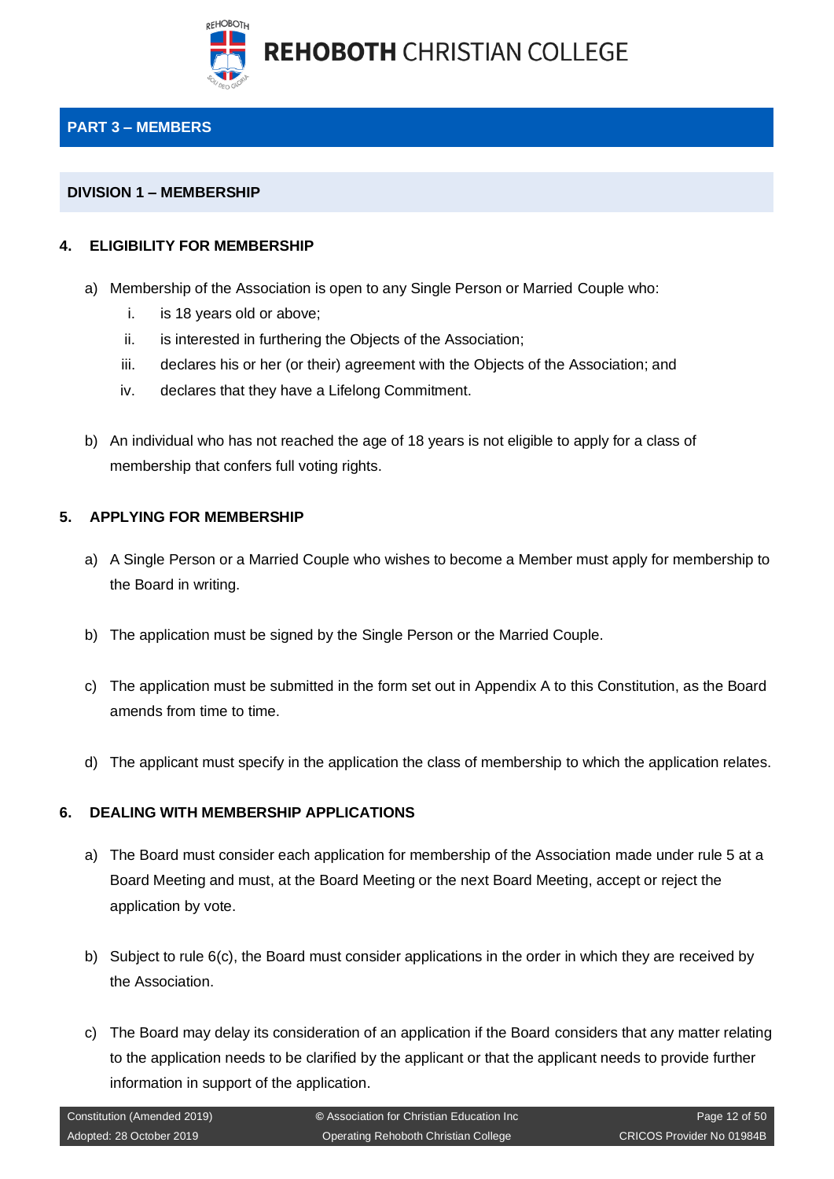

## <span id="page-11-0"></span>**PART 3 – MEMBERS**

#### <span id="page-11-1"></span>**DIVISION 1 – MEMBERSHIP**

#### <span id="page-11-2"></span>**4. ELIGIBILITY FOR MEMBERSHIP**

- a) Membership of the Association is open to any Single Person or Married Couple who:
	- i. is 18 years old or above;
	- ii. is interested in furthering the Objects of the Association;
	- iii. declares his or her (or their) agreement with the Objects of the Association; and
	- iv. declares that they have a Lifelong Commitment.
- b) An individual who has not reached the age of 18 years is not eligible to apply for a class of membership that confers full voting rights.

#### <span id="page-11-3"></span>**5. APPLYING FOR MEMBERSHIP**

- a) A Single Person or a Married Couple who wishes to become a Member must apply for membership to the Board in writing.
- b) The application must be signed by the Single Person or the Married Couple.
- c) The application must be submitted in the form set out in Appendix A to this Constitution, as the Board amends from time to time.
- d) The applicant must specify in the application the class of membership to which the application relates.

#### <span id="page-11-4"></span>**6. DEALING WITH MEMBERSHIP APPLICATIONS**

- a) The Board must consider each application for membership of the Association made under rule 5 at a Board Meeting and must, at the Board Meeting or the next Board Meeting, accept or reject the application by vote.
- b) Subject to rule 6(c), the Board must consider applications in the order in which they are received by the Association.
- c) The Board may delay its consideration of an application if the Board considers that any matter relating to the application needs to be clarified by the applicant or that the applicant needs to provide further information in support of the application.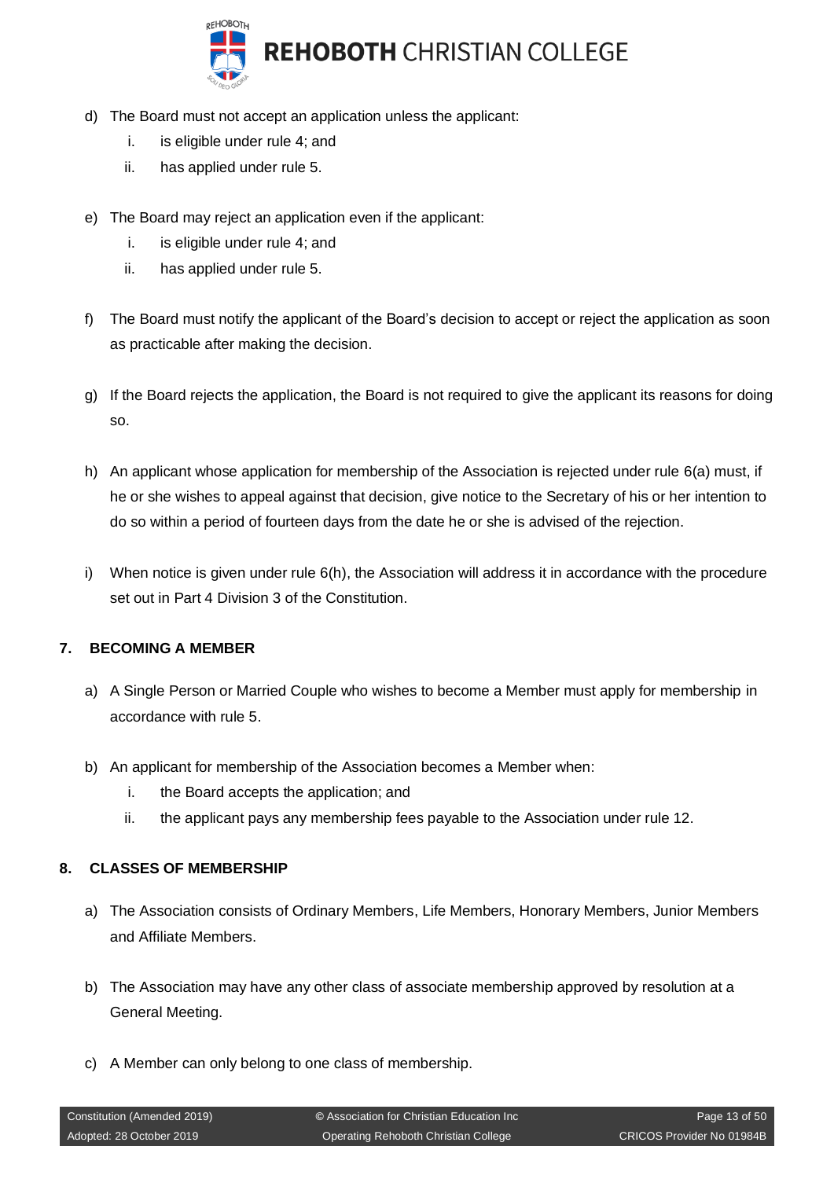

- d) The Board must not accept an application unless the applicant:
	- i. is eligible under rule 4; and
	- ii. has applied under rule 5.
- e) The Board may reject an application even if the applicant:
	- i. is eligible under rule 4; and
	- ii. has applied under rule 5.
- f) The Board must notify the applicant of the Board's decision to accept or reject the application as soon as practicable after making the decision.
- g) If the Board rejects the application, the Board is not required to give the applicant its reasons for doing so.
- h) An applicant whose application for membership of the Association is rejected under rule 6(a) must, if he or she wishes to appeal against that decision, give notice to the Secretary of his or her intention to do so within a period of fourteen days from the date he or she is advised of the rejection.
- i) When notice is given under rule  $6(h)$ , the Association will address it in accordance with the procedure set out in Part 4 Division 3 of the Constitution.

## <span id="page-12-0"></span>**7. BECOMING A MEMBER**

- a) A Single Person or Married Couple who wishes to become a Member must apply for membership in accordance with rule 5.
- b) An applicant for membership of the Association becomes a Member when:
	- i. the Board accepts the application; and
	- ii. the applicant pays any membership fees payable to the Association under rule 12.

#### <span id="page-12-1"></span>**8. CLASSES OF MEMBERSHIP**

- a) The Association consists of Ordinary Members, Life Members, Honorary Members, Junior Members and Affiliate Members.
- b) The Association may have any other class of associate membership approved by resolution at a General Meeting.
- c) A Member can only belong to one class of membership.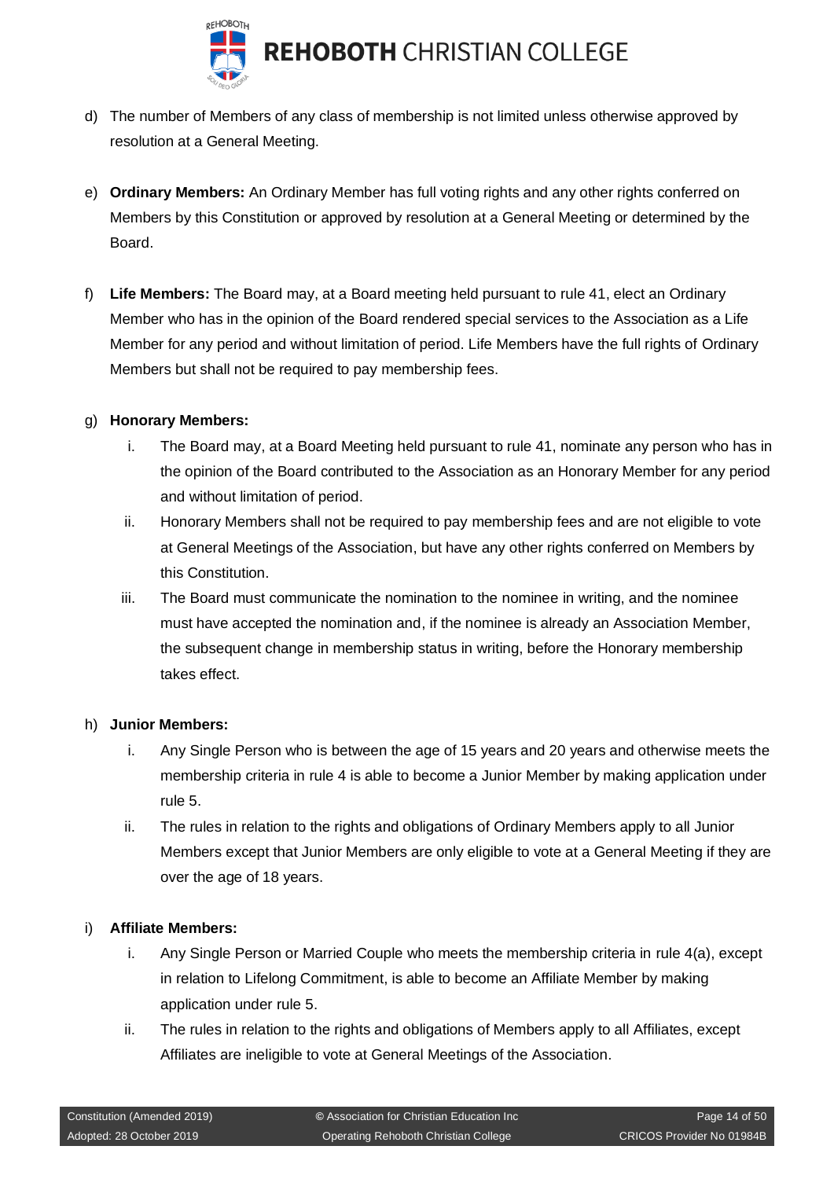

- d) The number of Members of any class of membership is not limited unless otherwise approved by resolution at a General Meeting.
- e) **Ordinary Members:** An Ordinary Member has full voting rights and any other rights conferred on Members by this Constitution or approved by resolution at a General Meeting or determined by the Board.
- f) **Life Members:** The Board may, at a Board meeting held pursuant to rule 41, elect an Ordinary Member who has in the opinion of the Board rendered special services to the Association as a Life Member for any period and without limitation of period. Life Members have the full rights of Ordinary Members but shall not be required to pay membership fees.

#### g) **Honorary Members:**

- i. The Board may, at a Board Meeting held pursuant to rule 41, nominate any person who has in the opinion of the Board contributed to the Association as an Honorary Member for any period and without limitation of period.
- ii. Honorary Members shall not be required to pay membership fees and are not eligible to vote at General Meetings of the Association, but have any other rights conferred on Members by this Constitution.
- iii. The Board must communicate the nomination to the nominee in writing, and the nominee must have accepted the nomination and, if the nominee is already an Association Member, the subsequent change in membership status in writing, before the Honorary membership takes effect.

#### h) **Junior Members:**

- i. Any Single Person who is between the age of 15 years and 20 years and otherwise meets the membership criteria in rule 4 is able to become a Junior Member by making application under rule 5.
- ii. The rules in relation to the rights and obligations of Ordinary Members apply to all Junior Members except that Junior Members are only eligible to vote at a General Meeting if they are over the age of 18 years.

## i) **Affiliate Members:**

- i. Any Single Person or Married Couple who meets the membership criteria in rule 4(a), except in relation to Lifelong Commitment, is able to become an Affiliate Member by making application under rule 5.
- ii. The rules in relation to the rights and obligations of Members apply to all Affiliates, except Affiliates are ineligible to vote at General Meetings of the Association.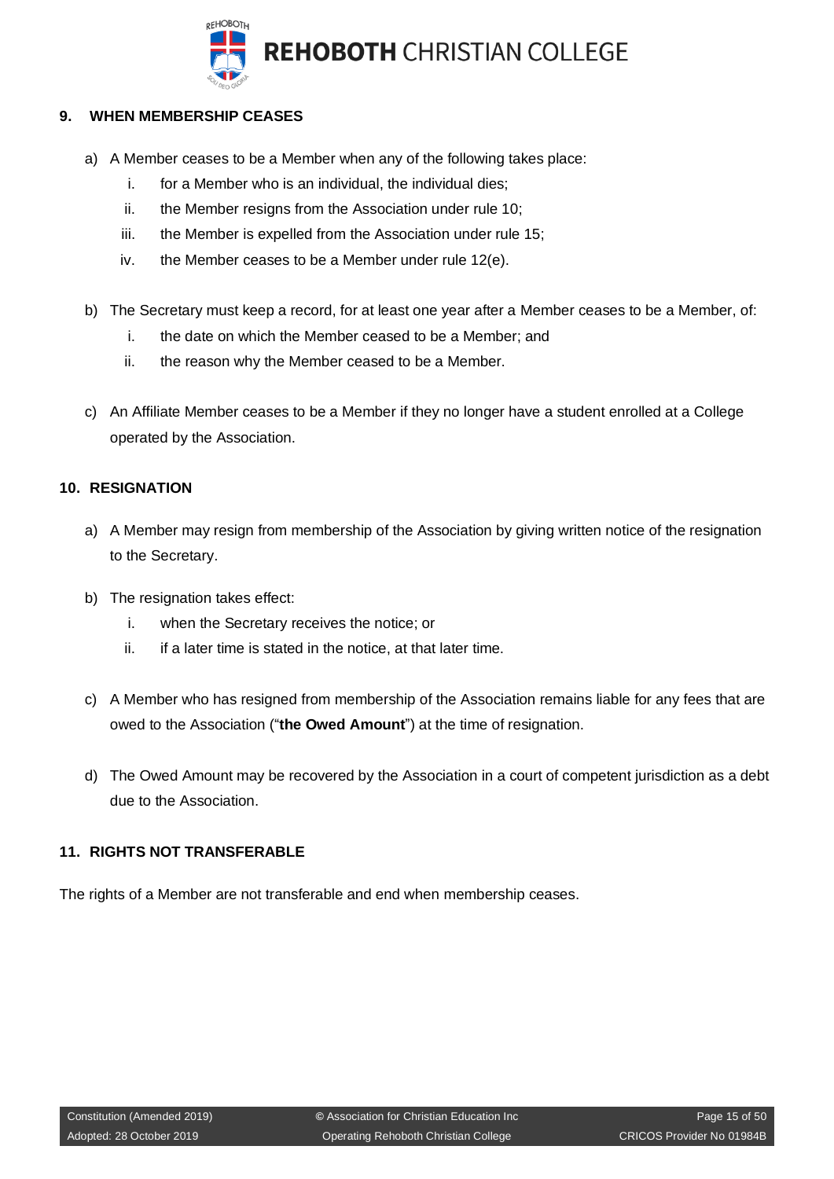

## <span id="page-14-0"></span>**9. WHEN MEMBERSHIP CEASES**

- a) A Member ceases to be a Member when any of the following takes place:
	- i. for a Member who is an individual, the individual dies;
	- ii. the Member resigns from the Association under rule 10;
	- iii. the Member is expelled from the Association under rule 15;
	- iv. the Member ceases to be a Member under rule 12(e).
- b) The Secretary must keep a record, for at least one year after a Member ceases to be a Member, of:
	- i. the date on which the Member ceased to be a Member; and
	- ii. the reason why the Member ceased to be a Member.
- c) An Affiliate Member ceases to be a Member if they no longer have a student enrolled at a College operated by the Association.

#### <span id="page-14-1"></span>**10. RESIGNATION**

- a) A Member may resign from membership of the Association by giving written notice of the resignation to the Secretary.
- b) The resignation takes effect:
	- i. when the Secretary receives the notice; or
	- ii. if a later time is stated in the notice, at that later time.
- c) A Member who has resigned from membership of the Association remains liable for any fees that are owed to the Association ("**the Owed Amount**") at the time of resignation.
- d) The Owed Amount may be recovered by the Association in a court of competent jurisdiction as a debt due to the Association.

## <span id="page-14-2"></span>**11. RIGHTS NOT TRANSFERABLE**

The rights of a Member are not transferable and end when membership ceases.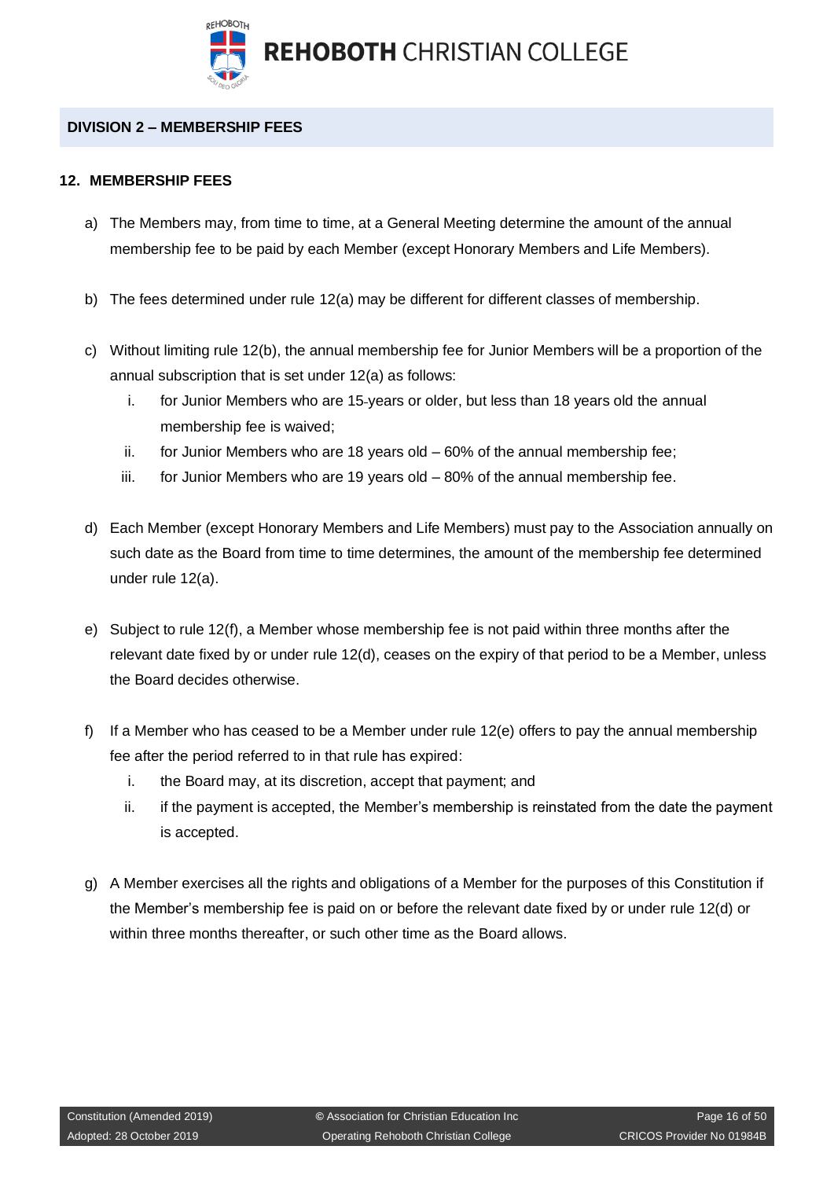

## <span id="page-15-0"></span>**DIVISION 2 – MEMBERSHIP FEES**

#### <span id="page-15-1"></span>**12. MEMBERSHIP FEES**

- a) The Members may, from time to time, at a General Meeting determine the amount of the annual membership fee to be paid by each Member (except Honorary Members and Life Members).
- b) The fees determined under rule 12(a) may be different for different classes of membership.
- c) Without limiting rule 12(b), the annual membership fee for Junior Members will be a proportion of the annual subscription that is set under 12(a) as follows:
	- i. for Junior Members who are 15 years or older, but less than 18 years old the annual membership fee is waived;
	- ii. for Junior Members who are 18 years old 60% of the annual membership fee;
	- iii. for Junior Members who are 19 years old  $-80\%$  of the annual membership fee.
- d) Each Member (except Honorary Members and Life Members) must pay to the Association annually on such date as the Board from time to time determines, the amount of the membership fee determined under rule 12(a).
- e) Subject to rule 12(f), a Member whose membership fee is not paid within three months after the relevant date fixed by or under rule 12(d), ceases on the expiry of that period to be a Member, unless the Board decides otherwise.
- f) If a Member who has ceased to be a Member under rule 12(e) offers to pay the annual membership fee after the period referred to in that rule has expired:
	- i. the Board may, at its discretion, accept that payment; and
	- ii. if the payment is accepted, the Member's membership is reinstated from the date the payment is accepted.
- g) A Member exercises all the rights and obligations of a Member for the purposes of this Constitution if the Member's membership fee is paid on or before the relevant date fixed by or under rule 12(d) or within three months thereafter, or such other time as the Board allows.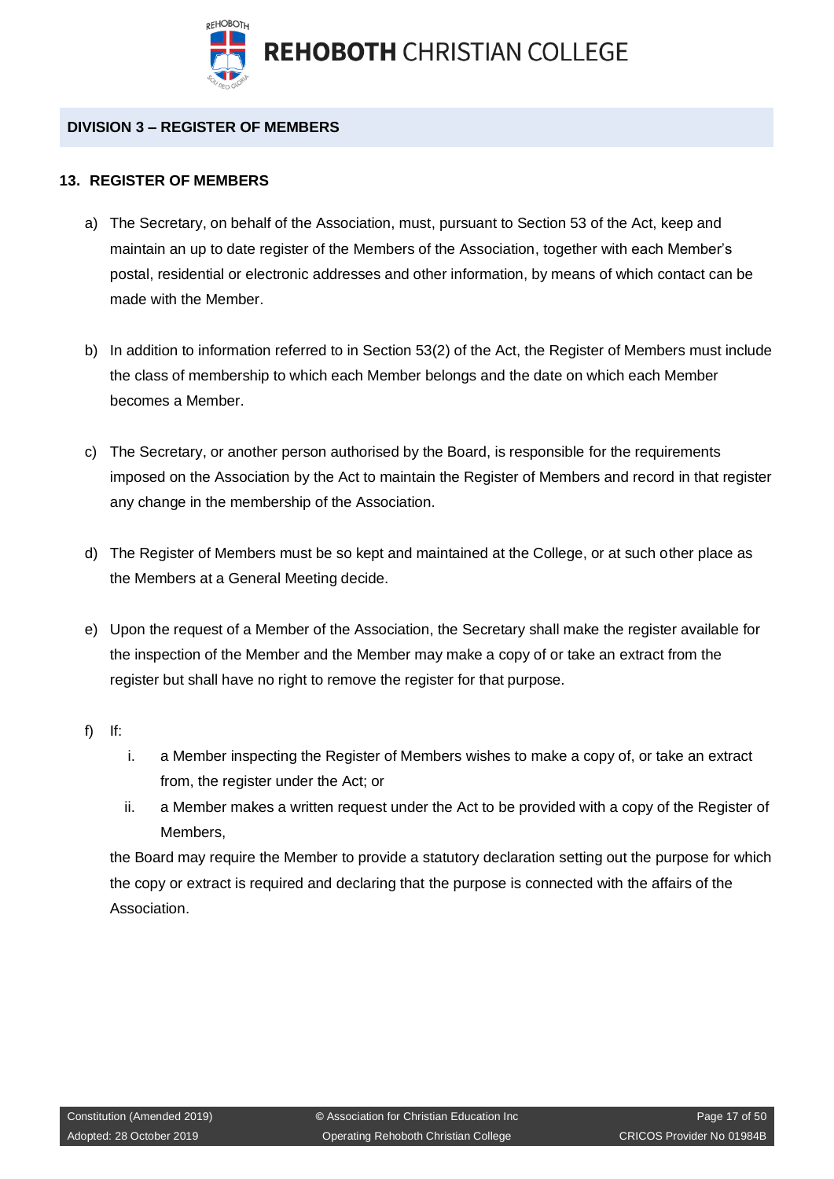

## <span id="page-16-0"></span>**DIVISION 3 – REGISTER OF MEMBERS**

#### <span id="page-16-1"></span>**13. REGISTER OF MEMBERS**

- a) The Secretary, on behalf of the Association, must, pursuant to Section 53 of the Act, keep and maintain an up to date register of the Members of the Association, together with each Member's postal, residential or electronic addresses and other information, by means of which contact can be made with the Member.
- b) In addition to information referred to in Section 53(2) of the Act, the Register of Members must include the class of membership to which each Member belongs and the date on which each Member becomes a Member.
- c) The Secretary, or another person authorised by the Board, is responsible for the requirements imposed on the Association by the Act to maintain the Register of Members and record in that register any change in the membership of the Association.
- d) The Register of Members must be so kept and maintained at the College, or at such other place as the Members at a General Meeting decide.
- e) Upon the request of a Member of the Association, the Secretary shall make the register available for the inspection of the Member and the Member may make a copy of or take an extract from the register but shall have no right to remove the register for that purpose.
- f) If:
- i. a Member inspecting the Register of Members wishes to make a copy of, or take an extract from, the register under the Act; or
- ii. a Member makes a written request under the Act to be provided with a copy of the Register of Members,

the Board may require the Member to provide a statutory declaration setting out the purpose for which the copy or extract is required and declaring that the purpose is connected with the affairs of the Association.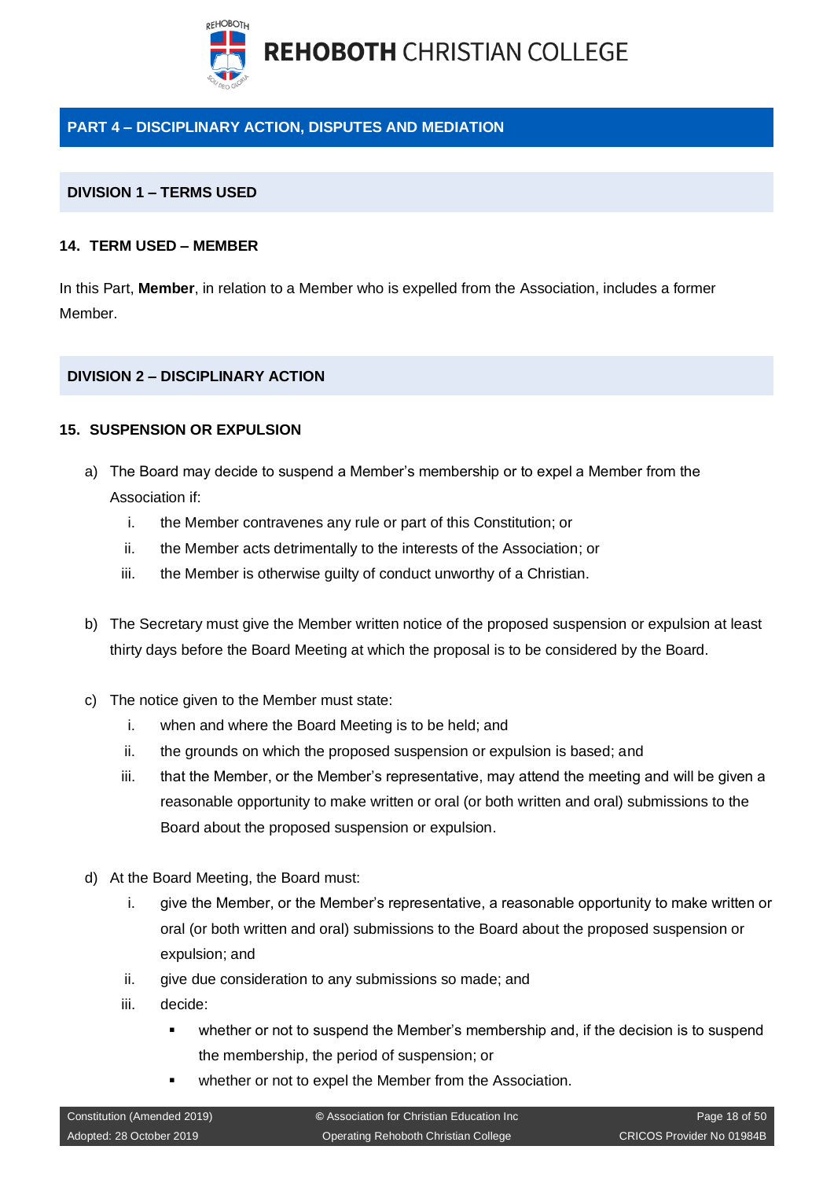

## <span id="page-17-0"></span>**PART 4 – DISCIPLINARY ACTION, DISPUTES AND MEDIATION**

#### <span id="page-17-1"></span>**DIVISION 1 – TERMS USED**

#### <span id="page-17-2"></span>**14. TERM USED – MEMBER**

In this Part, **Member**, in relation to a Member who is expelled from the Association, includes a former Member.

#### <span id="page-17-3"></span>**DIVISION 2 – DISCIPLINARY ACTION**

#### <span id="page-17-4"></span>**15. SUSPENSION OR EXPULSION**

- a) The Board may decide to suspend a Member's membership or to expel a Member from the Association if:
	- i. the Member contravenes any rule or part of this Constitution; or
	- ii. the Member acts detrimentally to the interests of the Association; or
	- iii. the Member is otherwise guilty of conduct unworthy of a Christian.
- b) The Secretary must give the Member written notice of the proposed suspension or expulsion at least thirty days before the Board Meeting at which the proposal is to be considered by the Board.
- c) The notice given to the Member must state:
	- i. when and where the Board Meeting is to be held; and
	- ii. the grounds on which the proposed suspension or expulsion is based; and
	- iii. that the Member, or the Member's representative, may attend the meeting and will be given a reasonable opportunity to make written or oral (or both written and oral) submissions to the Board about the proposed suspension or expulsion.
- d) At the Board Meeting, the Board must:
	- i. give the Member, or the Member's representative, a reasonable opportunity to make written or oral (or both written and oral) submissions to the Board about the proposed suspension or expulsion; and
	- ii. give due consideration to any submissions so made; and
	- iii. decide:
		- whether or not to suspend the Member's membership and, if the decision is to suspend the membership, the period of suspension; or
		- whether or not to expel the Member from the Association.

| Constitution (Amended 2019) | © Association for Christian Education Inc | Page 18 of 50             |
|-----------------------------|-------------------------------------------|---------------------------|
| Adopted: 28 October 2019    | Operating Rehoboth Christian College      | CRICOS Provider No 01984B |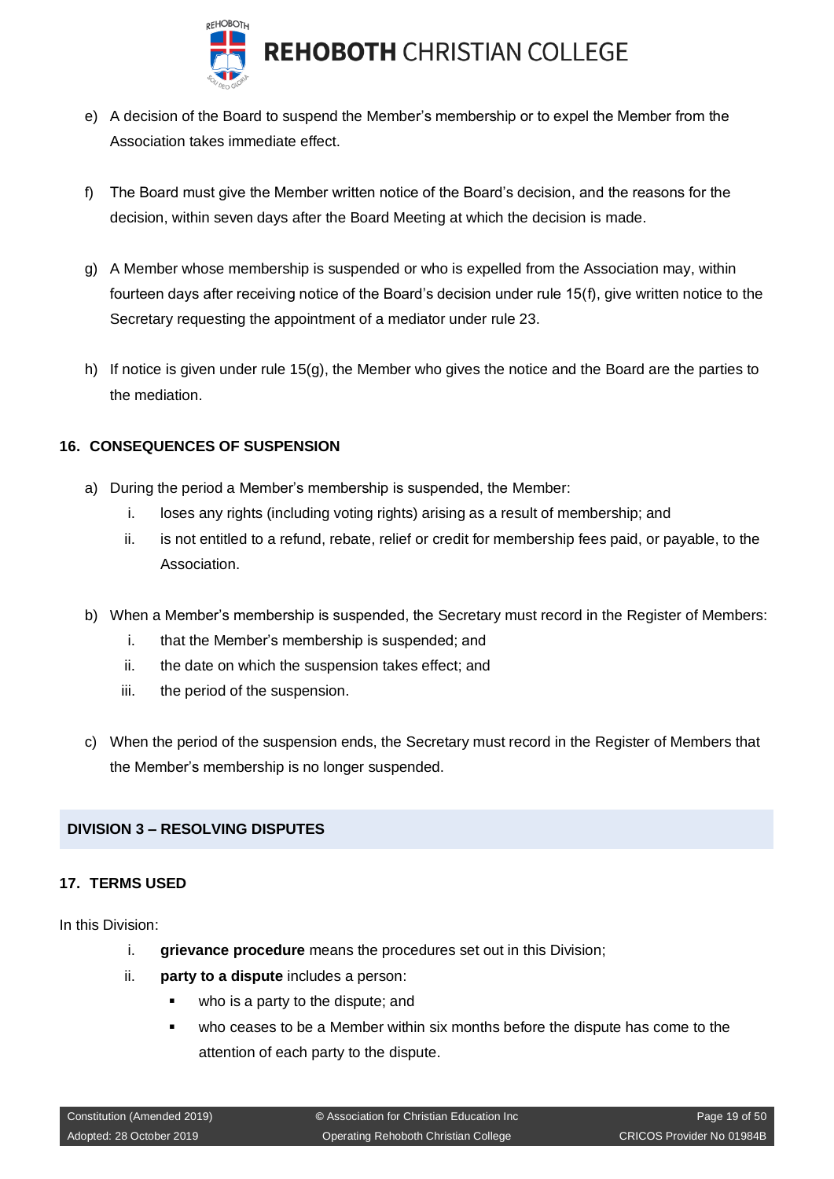

- e) A decision of the Board to suspend the Member's membership or to expel the Member from the Association takes immediate effect.
- f) The Board must give the Member written notice of the Board's decision, and the reasons for the decision, within seven days after the Board Meeting at which the decision is made.
- g) A Member whose membership is suspended or who is expelled from the Association may, within fourteen days after receiving notice of the Board's decision under rule 15(f), give written notice to the Secretary requesting the appointment of a mediator under rule 23.
- h) If notice is given under rule 15(g), the Member who gives the notice and the Board are the parties to the mediation.

#### <span id="page-18-0"></span>**16. CONSEQUENCES OF SUSPENSION**

- a) During the period a Member's membership is suspended, the Member:
	- i. loses any rights (including voting rights) arising as a result of membership; and
	- ii. is not entitled to a refund, rebate, relief or credit for membership fees paid, or payable, to the Association.
- b) When a Member's membership is suspended, the Secretary must record in the Register of Members:
	- i. that the Member's membership is suspended; and
	- ii. the date on which the suspension takes effect; and
	- iii. the period of the suspension.
- c) When the period of the suspension ends, the Secretary must record in the Register of Members that the Member's membership is no longer suspended.

#### <span id="page-18-1"></span>**DIVISION 3 – RESOLVING DISPUTES**

## <span id="page-18-2"></span>**17. TERMS USED**

In this Division:

- i. **grievance procedure** means the procedures set out in this Division;
- ii. **party to a dispute** includes a person:
	- who is a party to the dispute; and
	- who ceases to be a Member within six months before the dispute has come to the attention of each party to the dispute.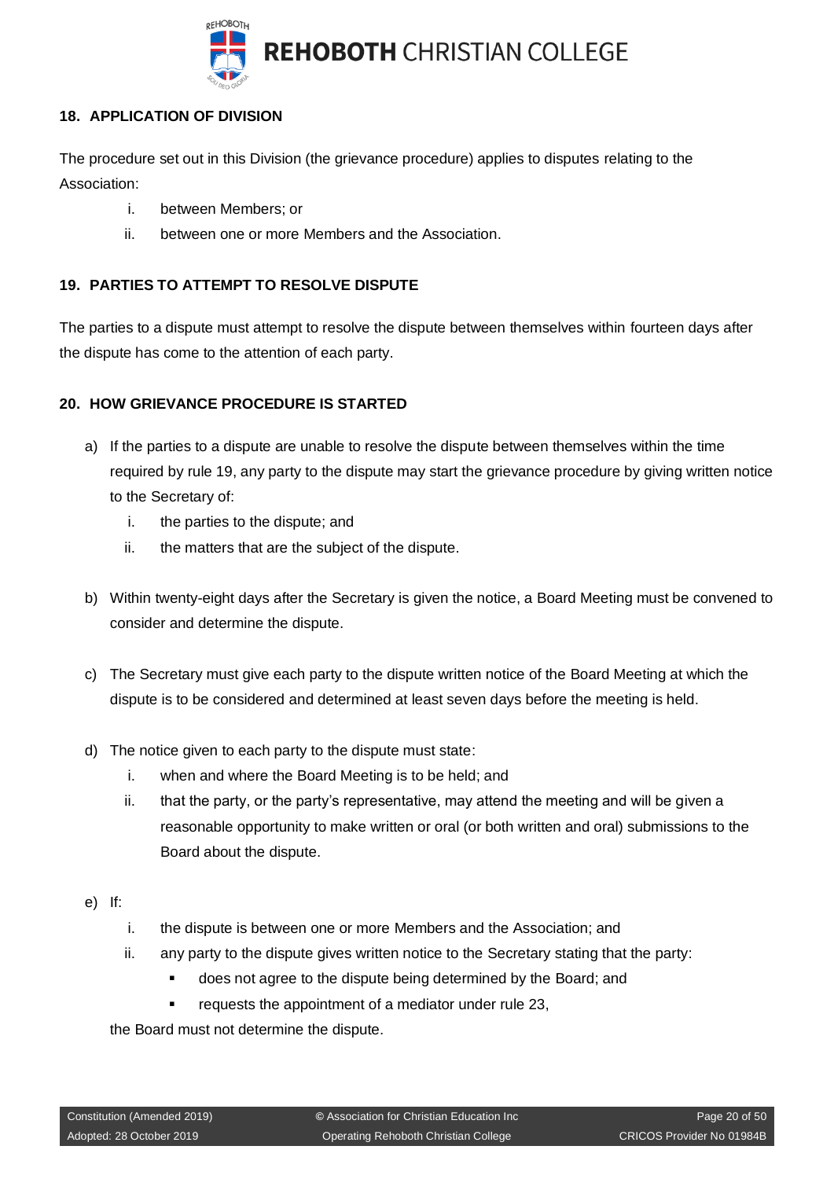

## <span id="page-19-0"></span>**18. APPLICATION OF DIVISION**

The procedure set out in this Division (the grievance procedure) applies to disputes relating to the Association:

- i. between Members; or
- ii. between one or more Members and the Association.

## <span id="page-19-1"></span>**19. PARTIES TO ATTEMPT TO RESOLVE DISPUTE**

The parties to a dispute must attempt to resolve the dispute between themselves within fourteen days after the dispute has come to the attention of each party.

## <span id="page-19-2"></span>**20. HOW GRIEVANCE PROCEDURE IS STARTED**

- a) If the parties to a dispute are unable to resolve the dispute between themselves within the time required by rule 19, any party to the dispute may start the grievance procedure by giving written notice to the Secretary of:
	- i. the parties to the dispute; and
	- ii. the matters that are the subject of the dispute.
- b) Within twenty-eight days after the Secretary is given the notice, a Board Meeting must be convened to consider and determine the dispute.
- c) The Secretary must give each party to the dispute written notice of the Board Meeting at which the dispute is to be considered and determined at least seven days before the meeting is held.
- d) The notice given to each party to the dispute must state:
	- i. when and where the Board Meeting is to be held; and
	- ii. that the party, or the party's representative, may attend the meeting and will be given a reasonable opportunity to make written or oral (or both written and oral) submissions to the Board about the dispute.
- e) If:
	- i. the dispute is between one or more Members and the Association; and
	- ii. any party to the dispute gives written notice to the Secretary stating that the party:
		- does not agree to the dispute being determined by the Board; and
		- requests the appointment of a mediator under rule 23,

the Board must not determine the dispute.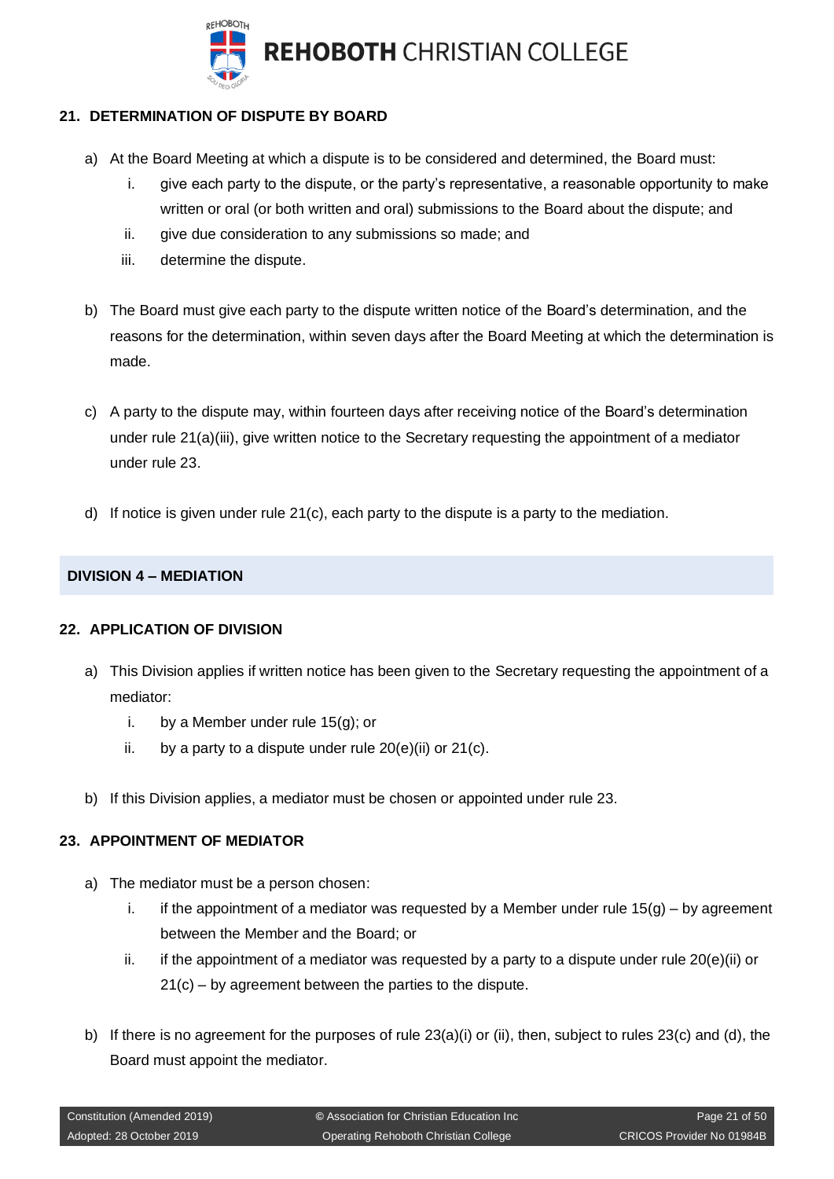

## <span id="page-20-0"></span>**21. DETERMINATION OF DISPUTE BY BOARD**

- a) At the Board Meeting at which a dispute is to be considered and determined, the Board must:
	- i. give each party to the dispute, or the party's representative, a reasonable opportunity to make written or oral (or both written and oral) submissions to the Board about the dispute; and
	- ii. give due consideration to any submissions so made; and
	- iii. determine the dispute.
- b) The Board must give each party to the dispute written notice of the Board's determination, and the reasons for the determination, within seven days after the Board Meeting at which the determination is made.
- c) A party to the dispute may, within fourteen days after receiving notice of the Board's determination under rule 21(a)(iii), give written notice to the Secretary requesting the appointment of a mediator under rule 23.
- d) If notice is given under rule  $21(c)$ , each party to the dispute is a party to the mediation.

## <span id="page-20-1"></span>**DIVISION 4 – MEDIATION**

#### <span id="page-20-2"></span>**22. APPLICATION OF DIVISION**

- a) This Division applies if written notice has been given to the Secretary requesting the appointment of a mediator:
	- i. by a Member under rule  $15(g)$ ; or
	- ii. by a party to a dispute under rule 20(e)(ii) or 21(c).
- b) If this Division applies, a mediator must be chosen or appointed under rule 23.

## <span id="page-20-3"></span>**23. APPOINTMENT OF MEDIATOR**

- a) The mediator must be a person chosen:
	- i. if the appointment of a mediator was requested by a Member under rule  $15(q)$  by agreement between the Member and the Board; or
	- ii. if the appointment of a mediator was requested by a party to a dispute under rule  $20(e)(ii)$  or 21(c) – by agreement between the parties to the dispute.
- b) If there is no agreement for the purposes of rule  $23(a)(i)$  or (ii), then, subject to rules  $23(c)$  and (d), the Board must appoint the mediator.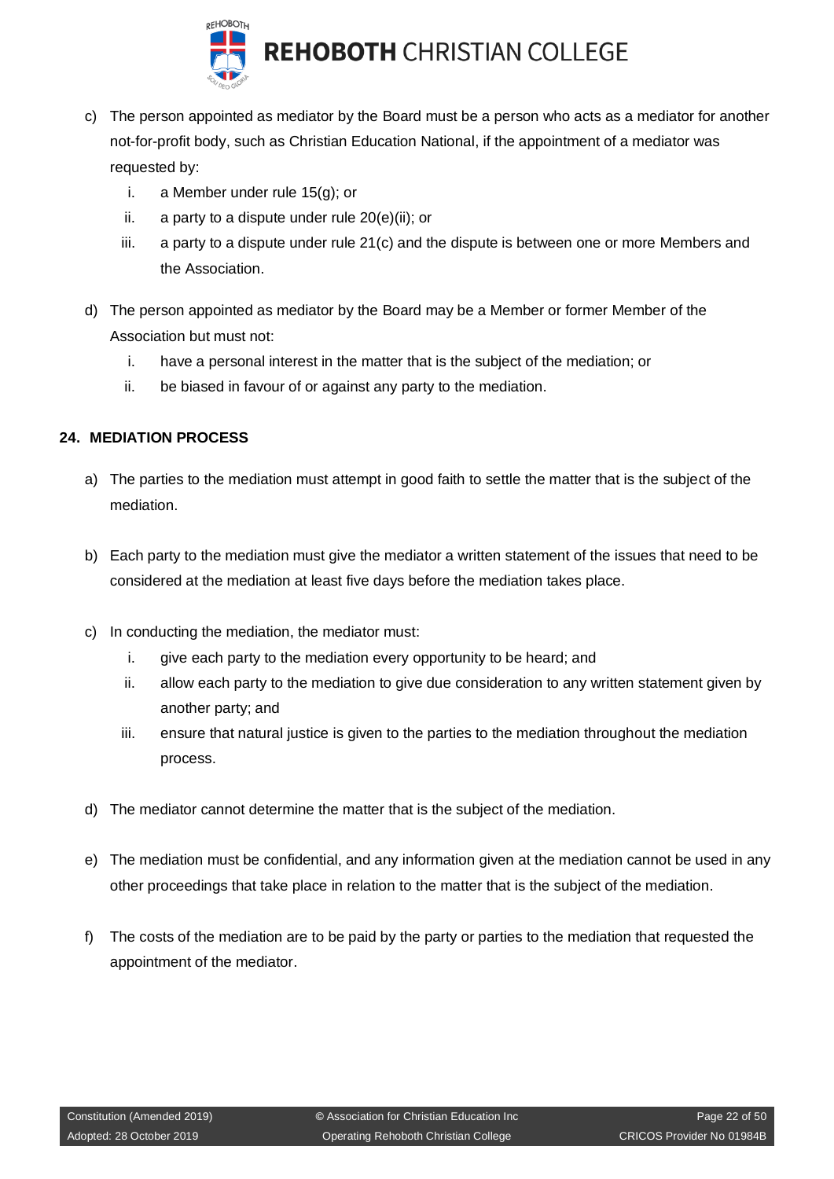

- c) The person appointed as mediator by the Board must be a person who acts as a mediator for another not-for-profit body, such as Christian Education National, if the appointment of a mediator was requested by:
	- i. a Member under rule 15(g); or
	- ii. a party to a dispute under rule 20(e)(ii); or
	- iii. a party to a dispute under rule 21(c) and the dispute is between one or more Members and the Association.
- d) The person appointed as mediator by the Board may be a Member or former Member of the Association but must not:
	- i. have a personal interest in the matter that is the subject of the mediation; or
	- ii. be biased in favour of or against any party to the mediation.

## <span id="page-21-0"></span>**24. MEDIATION PROCESS**

- a) The parties to the mediation must attempt in good faith to settle the matter that is the subject of the mediation.
- b) Each party to the mediation must give the mediator a written statement of the issues that need to be considered at the mediation at least five days before the mediation takes place.
- c) In conducting the mediation, the mediator must:
	- i. give each party to the mediation every opportunity to be heard; and
	- ii. allow each party to the mediation to give due consideration to any written statement given by another party; and
	- iii. ensure that natural justice is given to the parties to the mediation throughout the mediation process.
- d) The mediator cannot determine the matter that is the subject of the mediation.
- e) The mediation must be confidential, and any information given at the mediation cannot be used in any other proceedings that take place in relation to the matter that is the subject of the mediation.
- f) The costs of the mediation are to be paid by the party or parties to the mediation that requested the appointment of the mediator.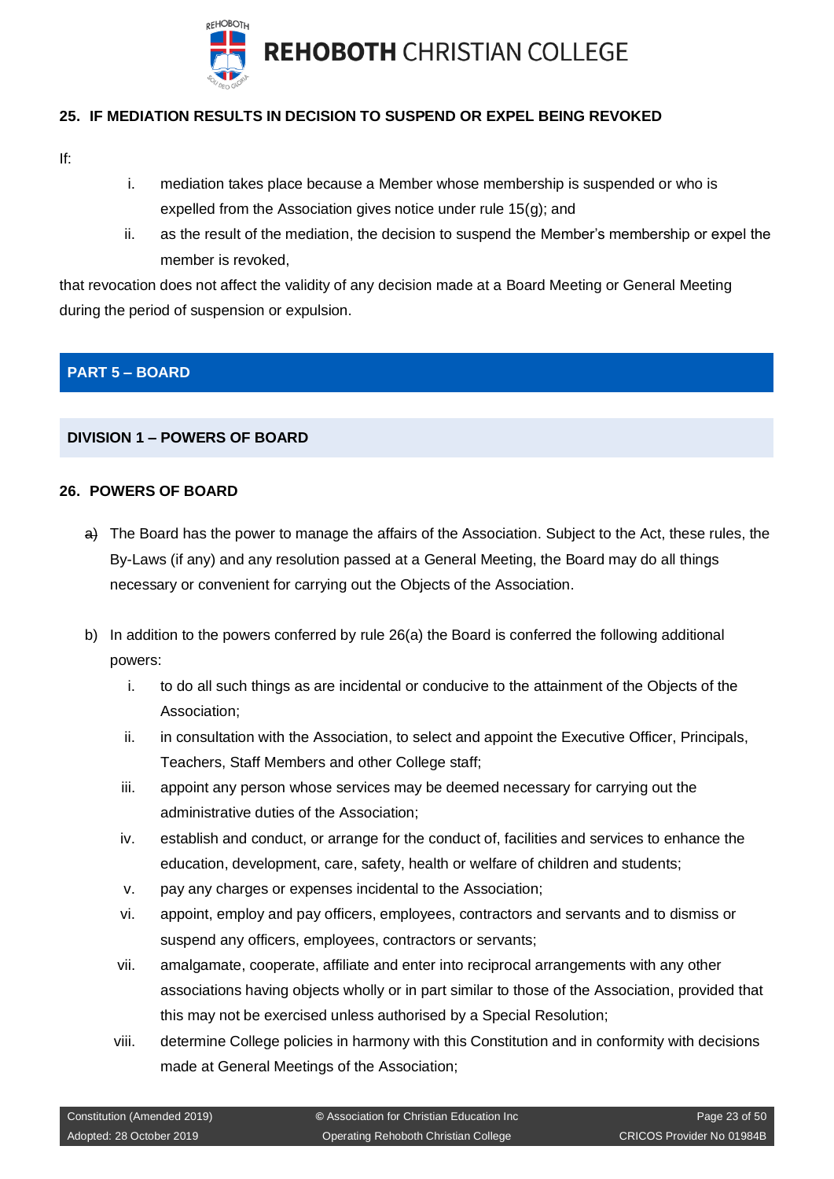

## <span id="page-22-0"></span>**25. IF MEDIATION RESULTS IN DECISION TO SUSPEND OR EXPEL BEING REVOKED**

- If:
- i. mediation takes place because a Member whose membership is suspended or who is expelled from the Association gives notice under rule 15(g); and
- ii. as the result of the mediation, the decision to suspend the Member's membership or expel the member is revoked,

that revocation does not affect the validity of any decision made at a Board Meeting or General Meeting during the period of suspension or expulsion.

## <span id="page-22-1"></span>**PART 5 – BOARD**

## <span id="page-22-2"></span>**DIVISION 1 – POWERS OF BOARD**

#### <span id="page-22-3"></span>**26. POWERS OF BOARD**

- a) The Board has the power to manage the affairs of the Association. Subject to the Act, these rules, the By-Laws (if any) and any resolution passed at a General Meeting, the Board may do all things necessary or convenient for carrying out the Objects of the Association.
- b) In addition to the powers conferred by rule 26(a) the Board is conferred the following additional powers:
	- i. to do all such things as are incidental or conducive to the attainment of the Objects of the Association;
	- ii. in consultation with the Association, to select and appoint the Executive Officer, Principals, Teachers, Staff Members and other College staff;
	- iii. appoint any person whose services may be deemed necessary for carrying out the administrative duties of the Association;
	- iv. establish and conduct, or arrange for the conduct of, facilities and services to enhance the education, development, care, safety, health or welfare of children and students;
	- v. pay any charges or expenses incidental to the Association;
	- vi. appoint, employ and pay officers, employees, contractors and servants and to dismiss or suspend any officers, employees, contractors or servants;
	- vii. amalgamate, cooperate, affiliate and enter into reciprocal arrangements with any other associations having objects wholly or in part similar to those of the Association, provided that this may not be exercised unless authorised by a Special Resolution;
	- viii. determine College policies in harmony with this Constitution and in conformity with decisions made at General Meetings of the Association;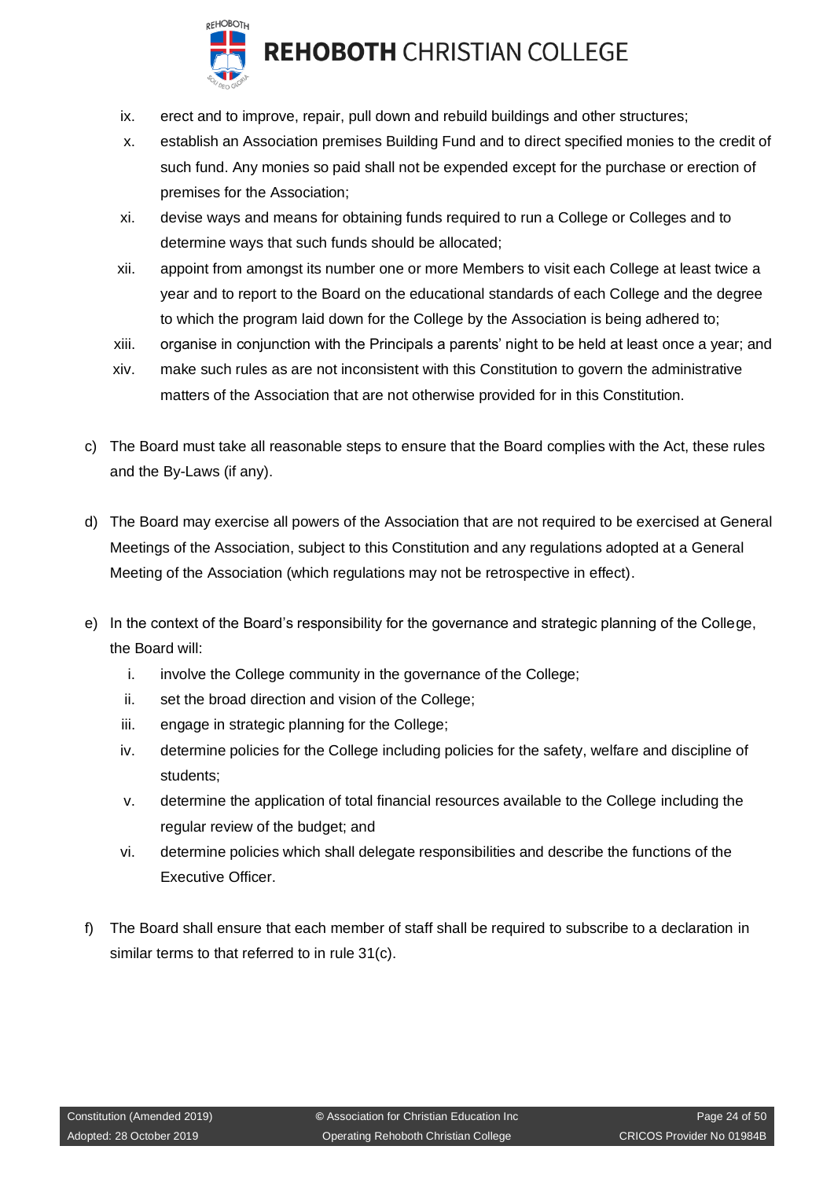

## **REHOBOTH CHRISTIAN COLLEGE**

- ix. erect and to improve, repair, pull down and rebuild buildings and other structures;
- x. establish an Association premises Building Fund and to direct specified monies to the credit of such fund. Any monies so paid shall not be expended except for the purchase or erection of premises for the Association;
- xi. devise ways and means for obtaining funds required to run a College or Colleges and to determine ways that such funds should be allocated;
- xii. appoint from amongst its number one or more Members to visit each College at least twice a year and to report to the Board on the educational standards of each College and the degree to which the program laid down for the College by the Association is being adhered to;
- xiii. organise in conjunction with the Principals a parents' night to be held at least once a year; and
- xiv. make such rules as are not inconsistent with this Constitution to govern the administrative matters of the Association that are not otherwise provided for in this Constitution.
- c) The Board must take all reasonable steps to ensure that the Board complies with the Act, these rules and the By-Laws (if any).
- d) The Board may exercise all powers of the Association that are not required to be exercised at General Meetings of the Association, subject to this Constitution and any regulations adopted at a General Meeting of the Association (which regulations may not be retrospective in effect).
- e) In the context of the Board's responsibility for the governance and strategic planning of the College, the Board will:
	- i. involve the College community in the governance of the College;
	- ii. set the broad direction and vision of the College;
	- iii. engage in strategic planning for the College;
	- iv. determine policies for the College including policies for the safety, welfare and discipline of students;
	- v. determine the application of total financial resources available to the College including the regular review of the budget; and
	- vi. determine policies which shall delegate responsibilities and describe the functions of the Executive Officer.
- f) The Board shall ensure that each member of staff shall be required to subscribe to a declaration in similar terms to that referred to in rule 31(c).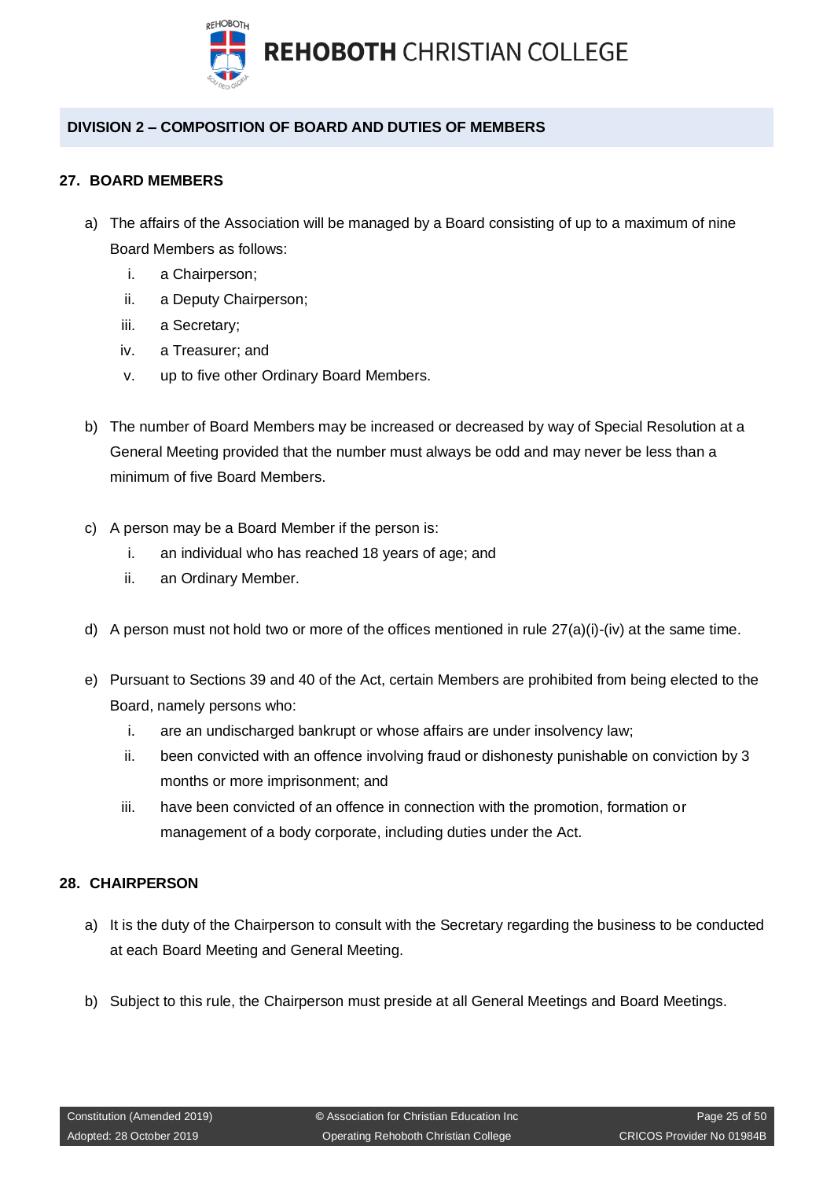

## <span id="page-24-0"></span>**DIVISION 2 – COMPOSITION OF BOARD AND DUTIES OF MEMBERS**

## <span id="page-24-1"></span>**27. BOARD MEMBERS**

- a) The affairs of the Association will be managed by a Board consisting of up to a maximum of nine Board Members as follows:
	- i. a Chairperson;
	- ii. a Deputy Chairperson;
	- iii. a Secretary;
	- iv. a Treasurer; and
	- v. up to five other Ordinary Board Members.
- b) The number of Board Members may be increased or decreased by way of Special Resolution at a General Meeting provided that the number must always be odd and may never be less than a minimum of five Board Members.
- c) A person may be a Board Member if the person is:
	- i. an individual who has reached 18 years of age; and
	- ii. an Ordinary Member.
- d) A person must not hold two or more of the offices mentioned in rule  $27(a)(i)-(iv)$  at the same time.
- e) Pursuant to Sections 39 and 40 of the Act, certain Members are prohibited from being elected to the Board, namely persons who:
	- i. are an undischarged bankrupt or whose affairs are under insolvency law;
	- ii. been convicted with an offence involving fraud or dishonesty punishable on conviction by 3 months or more imprisonment; and
	- iii. have been convicted of an offence in connection with the promotion, formation or management of a body corporate, including duties under the Act.

## <span id="page-24-2"></span>**28. CHAIRPERSON**

- a) It is the duty of the Chairperson to consult with the Secretary regarding the business to be conducted at each Board Meeting and General Meeting.
- b) Subject to this rule, the Chairperson must preside at all General Meetings and Board Meetings.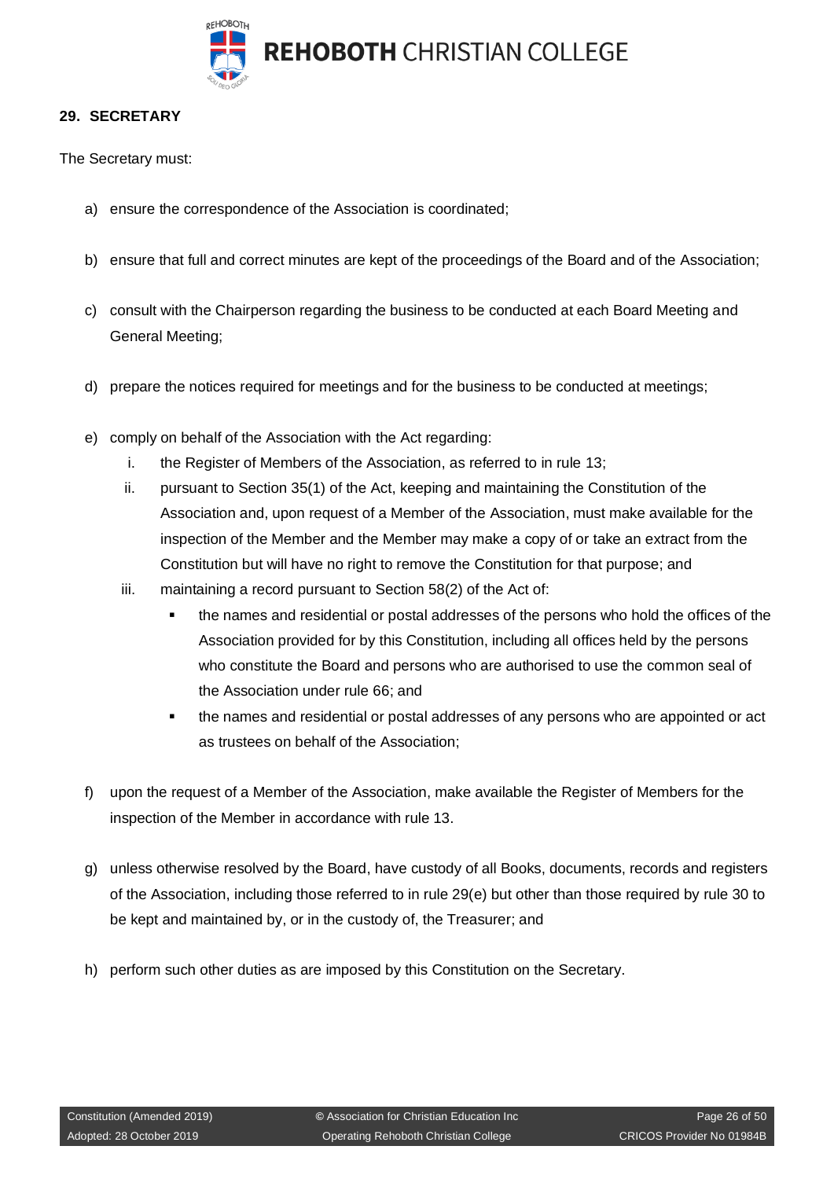

#### <span id="page-25-0"></span>**29. SECRETARY**

The Secretary must:

- a) ensure the correspondence of the Association is coordinated;
- b) ensure that full and correct minutes are kept of the proceedings of the Board and of the Association;
- c) consult with the Chairperson regarding the business to be conducted at each Board Meeting and General Meeting;
- d) prepare the notices required for meetings and for the business to be conducted at meetings;
- e) comply on behalf of the Association with the Act regarding:
	- i. the Register of Members of the Association, as referred to in rule 13;
	- ii. pursuant to Section 35(1) of the Act, keeping and maintaining the Constitution of the Association and, upon request of a Member of the Association, must make available for the inspection of the Member and the Member may make a copy of or take an extract from the Constitution but will have no right to remove the Constitution for that purpose; and
	- iii. maintaining a record pursuant to Section 58(2) of the Act of:
		- the names and residential or postal addresses of the persons who hold the offices of the Association provided for by this Constitution, including all offices held by the persons who constitute the Board and persons who are authorised to use the common seal of the Association under rule 66; and
		- **.** the names and residential or postal addresses of any persons who are appointed or act as trustees on behalf of the Association;
- f) upon the request of a Member of the Association, make available the Register of Members for the inspection of the Member in accordance with rule 13.
- g) unless otherwise resolved by the Board, have custody of all Books, documents, records and registers of the Association, including those referred to in rule 29(e) but other than those required by rule 30 to be kept and maintained by, or in the custody of, the Treasurer; and
- h) perform such other duties as are imposed by this Constitution on the Secretary.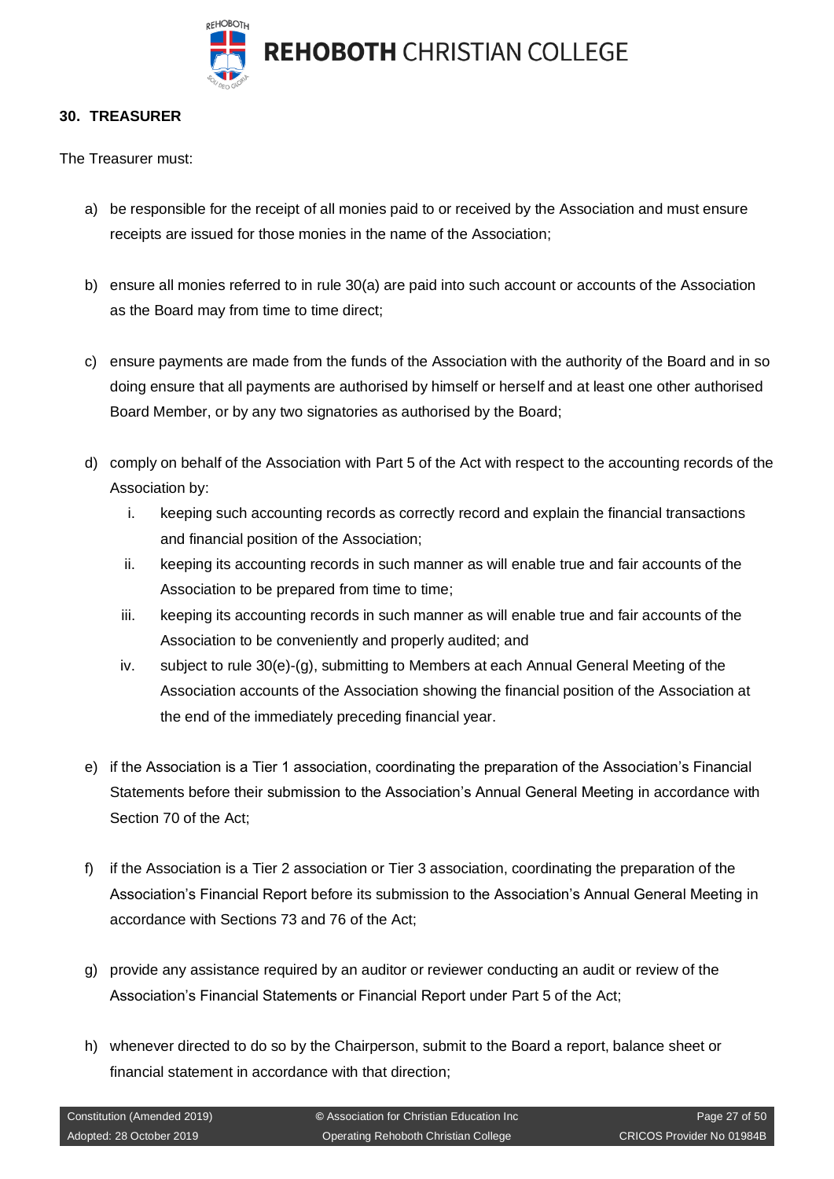

#### <span id="page-26-0"></span>**30. TREASURER**

The Treasurer must:

- a) be responsible for the receipt of all monies paid to or received by the Association and must ensure receipts are issued for those monies in the name of the Association;
- b) ensure all monies referred to in rule 30(a) are paid into such account or accounts of the Association as the Board may from time to time direct;
- c) ensure payments are made from the funds of the Association with the authority of the Board and in so doing ensure that all payments are authorised by himself or herself and at least one other authorised Board Member, or by any two signatories as authorised by the Board;
- d) comply on behalf of the Association with Part 5 of the Act with respect to the accounting records of the Association by:
	- i. keeping such accounting records as correctly record and explain the financial transactions and financial position of the Association;
	- ii. keeping its accounting records in such manner as will enable true and fair accounts of the Association to be prepared from time to time;
	- iii. keeping its accounting records in such manner as will enable true and fair accounts of the Association to be conveniently and properly audited; and
	- iv. subject to rule 30(e)-(g), submitting to Members at each Annual General Meeting of the Association accounts of the Association showing the financial position of the Association at the end of the immediately preceding financial year.
- e) if the Association is a Tier 1 association, coordinating the preparation of the Association's Financial Statements before their submission to the Association's Annual General Meeting in accordance with Section 70 of the Act;
- f) if the Association is a Tier 2 association or Tier 3 association, coordinating the preparation of the Association's Financial Report before its submission to the Association's Annual General Meeting in accordance with Sections 73 and 76 of the Act;
- g) provide any assistance required by an auditor or reviewer conducting an audit or review of the Association's Financial Statements or Financial Report under Part 5 of the Act;
- h) whenever directed to do so by the Chairperson, submit to the Board a report, balance sheet or financial statement in accordance with that direction;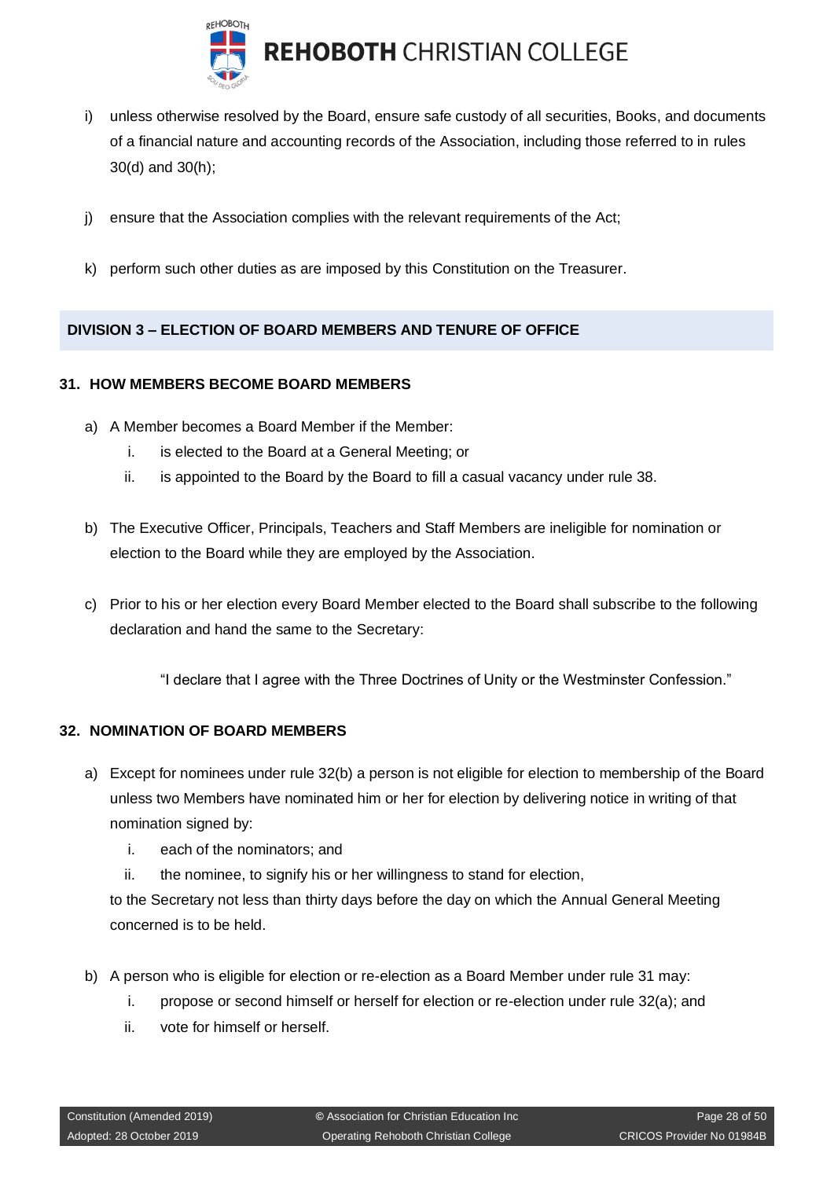

- i) unless otherwise resolved by the Board, ensure safe custody of all securities, Books, and documents of a financial nature and accounting records of the Association, including those referred to in rules 30(d) and 30(h);
- j) ensure that the Association complies with the relevant requirements of the Act;
- k) perform such other duties as are imposed by this Constitution on the Treasurer.

## <span id="page-27-0"></span>**DIVISION 3 – ELECTION OF BOARD MEMBERS AND TENURE OF OFFICE**

#### <span id="page-27-1"></span>**31. HOW MEMBERS BECOME BOARD MEMBERS**

- a) A Member becomes a Board Member if the Member:
	- i. is elected to the Board at a General Meeting; or
	- ii. is appointed to the Board by the Board to fill a casual vacancy under rule 38.
- b) The Executive Officer, Principals, Teachers and Staff Members are ineligible for nomination or election to the Board while they are employed by the Association.
- c) Prior to his or her election every Board Member elected to the Board shall subscribe to the following declaration and hand the same to the Secretary:

"I declare that I agree with the Three Doctrines of Unity or the Westminster Confession."

#### <span id="page-27-2"></span>**32. NOMINATION OF BOARD MEMBERS**

- a) Except for nominees under rule 32(b) a person is not eligible for election to membership of the Board unless two Members have nominated him or her for election by delivering notice in writing of that nomination signed by:
	- i. each of the nominators; and
	- ii. the nominee, to signify his or her willingness to stand for election,

to the Secretary not less than thirty days before the day on which the Annual General Meeting concerned is to be held.

- b) A person who is eligible for election or re-election as a Board Member under rule 31 may:
	- i. propose or second himself or herself for election or re-election under rule 32(a); and
	- ii. vote for himself or herself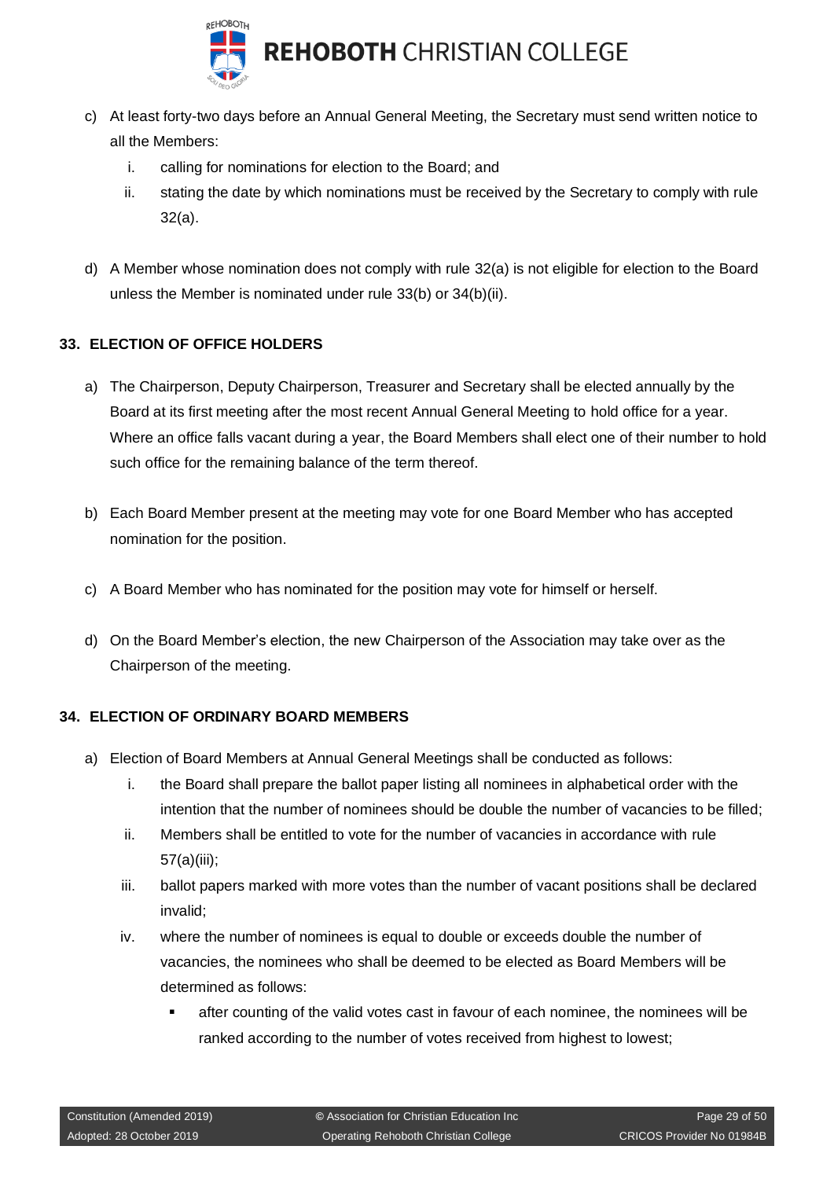

- c) At least forty-two days before an Annual General Meeting, the Secretary must send written notice to all the Members:
	- i. calling for nominations for election to the Board; and
	- ii. stating the date by which nominations must be received by the Secretary to comply with rule 32(a).
- d) A Member whose nomination does not comply with rule 32(a) is not eligible for election to the Board unless the Member is nominated under rule 33(b) or 34(b)(ii).

## <span id="page-28-0"></span>**33. ELECTION OF OFFICE HOLDERS**

- a) The Chairperson, Deputy Chairperson, Treasurer and Secretary shall be elected annually by the Board at its first meeting after the most recent Annual General Meeting to hold office for a year. Where an office falls vacant during a year, the Board Members shall elect one of their number to hold such office for the remaining balance of the term thereof.
- b) Each Board Member present at the meeting may vote for one Board Member who has accepted nomination for the position.
- c) A Board Member who has nominated for the position may vote for himself or herself.
- d) On the Board Member's election, the new Chairperson of the Association may take over as the Chairperson of the meeting.

## <span id="page-28-1"></span>**34. ELECTION OF ORDINARY BOARD MEMBERS**

- a) Election of Board Members at Annual General Meetings shall be conducted as follows:
	- i. the Board shall prepare the ballot paper listing all nominees in alphabetical order with the intention that the number of nominees should be double the number of vacancies to be filled;
	- ii. Members shall be entitled to vote for the number of vacancies in accordance with rule 57(a)(iii);
	- iii. ballot papers marked with more votes than the number of vacant positions shall be declared invalid;
	- iv. where the number of nominees is equal to double or exceeds double the number of vacancies, the nominees who shall be deemed to be elected as Board Members will be determined as follows:
		- after counting of the valid votes cast in favour of each nominee, the nominees will be ranked according to the number of votes received from highest to lowest;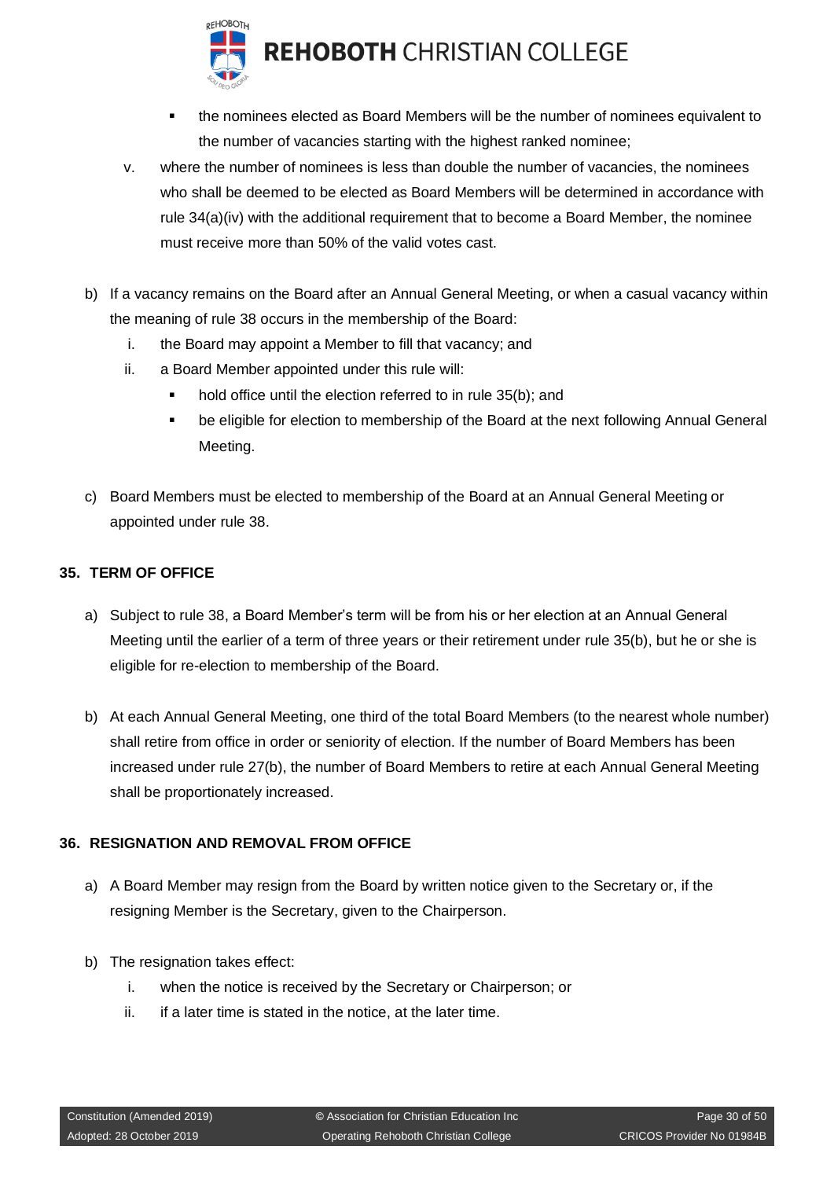

**REHOBOTH CHRISTIAN COLLEGE** 

- the nominees elected as Board Members will be the number of nominees equivalent to the number of vacancies starting with the highest ranked nominee;
- v. where the number of nominees is less than double the number of vacancies, the nominees who shall be deemed to be elected as Board Members will be determined in accordance with rule 34(a)(iv) with the additional requirement that to become a Board Member, the nominee must receive more than 50% of the valid votes cast.
- b) If a vacancy remains on the Board after an Annual General Meeting, or when a casual vacancy within the meaning of rule 38 occurs in the membership of the Board:
	- i. the Board may appoint a Member to fill that vacancy; and
	- ii. a Board Member appointed under this rule will:
		- hold office until the election referred to in rule 35(b); and
		- be eligible for election to membership of the Board at the next following Annual General Meeting.
- c) Board Members must be elected to membership of the Board at an Annual General Meeting or appointed under rule 38.

#### <span id="page-29-0"></span>**35. TERM OF OFFICE**

- a) Subject to rule 38, a Board Member's term will be from his or her election at an Annual General Meeting until the earlier of a term of three years or their retirement under rule 35(b), but he or she is eligible for re-election to membership of the Board.
- b) At each Annual General Meeting, one third of the total Board Members (to the nearest whole number) shall retire from office in order or seniority of election. If the number of Board Members has been increased under rule 27(b), the number of Board Members to retire at each Annual General Meeting shall be proportionately increased.

#### <span id="page-29-1"></span>**36. RESIGNATION AND REMOVAL FROM OFFICE**

- a) A Board Member may resign from the Board by written notice given to the Secretary or, if the resigning Member is the Secretary, given to the Chairperson.
- b) The resignation takes effect:
	- i. when the notice is received by the Secretary or Chairperson; or
	- ii. if a later time is stated in the notice, at the later time.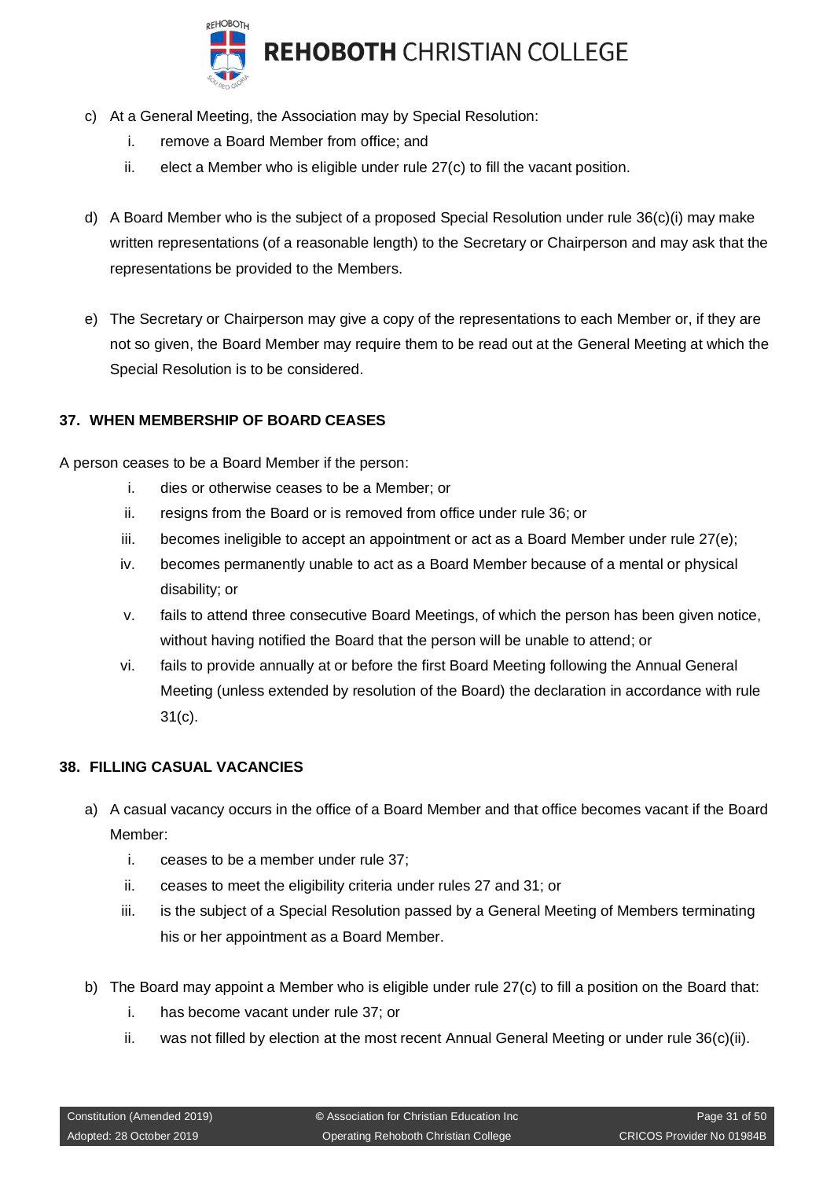

- c) At a General Meeting, the Association may by Special Resolution:
	- i. remove a Board Member from office; and
	- ii. elect a Member who is eligible under rule 27(c) to fill the vacant position.
- d) A Board Member who is the subject of a proposed Special Resolution under rule 36(c)(i) may make written representations (of a reasonable length) to the Secretary or Chairperson and may ask that the representations be provided to the Members.
- e) The Secretary or Chairperson may give a copy of the representations to each Member or, if they are not so given, the Board Member may require them to be read out at the General Meeting at which the Special Resolution is to be considered.

## <span id="page-30-0"></span>**37. WHEN MEMBERSHIP OF BOARD CEASES**

A person ceases to be a Board Member if the person:

- i. dies or otherwise ceases to be a Member; or
- ii. resigns from the Board or is removed from office under rule 36; or
- iii. becomes ineligible to accept an appointment or act as a Board Member under rule 27(e);
- iv. becomes permanently unable to act as a Board Member because of a mental or physical disability; or
- v. fails to attend three consecutive Board Meetings, of which the person has been given notice, without having notified the Board that the person will be unable to attend; or
- vi. fails to provide annually at or before the first Board Meeting following the Annual General Meeting (unless extended by resolution of the Board) the declaration in accordance with rule 31(c).

#### <span id="page-30-1"></span>**38. FILLING CASUAL VACANCIES**

- a) A casual vacancy occurs in the office of a Board Member and that office becomes vacant if the Board Member:
	- i. ceases to be a member under rule 37;
	- ii. ceases to meet the eligibility criteria under rules 27 and 31; or
	- iii. is the subject of a Special Resolution passed by a General Meeting of Members terminating his or her appointment as a Board Member.
- b) The Board may appoint a Member who is eligible under rule 27(c) to fill a position on the Board that:
	- i. has become vacant under rule 37; or
	- ii. was not filled by election at the most recent Annual General Meeting or under rule 36(c)(ii).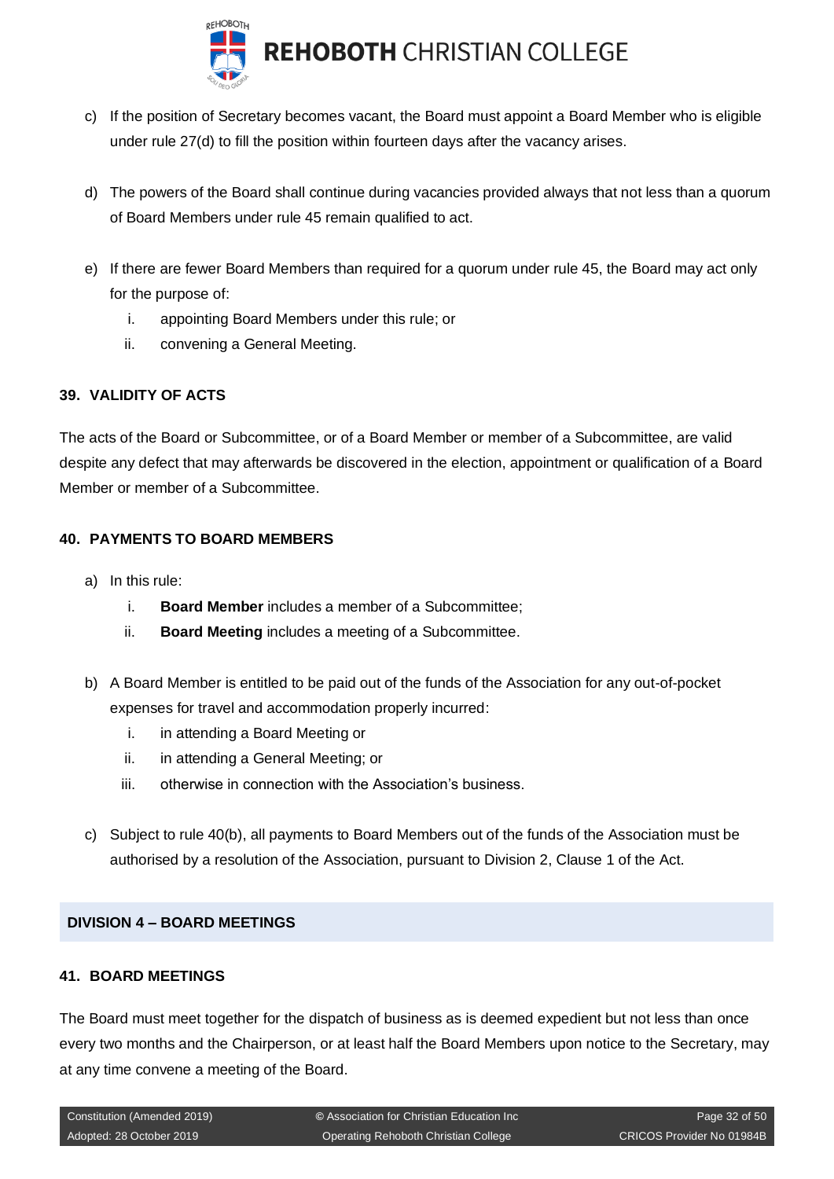

- c) If the position of Secretary becomes vacant, the Board must appoint a Board Member who is eligible under rule 27(d) to fill the position within fourteen days after the vacancy arises.
- d) The powers of the Board shall continue during vacancies provided always that not less than a quorum of Board Members under rule 45 remain qualified to act.
- e) If there are fewer Board Members than required for a quorum under rule 45, the Board may act only for the purpose of:
	- i. appointing Board Members under this rule; or
	- ii. convening a General Meeting.

## <span id="page-31-0"></span>**39. VALIDITY OF ACTS**

The acts of the Board or Subcommittee, or of a Board Member or member of a Subcommittee, are valid despite any defect that may afterwards be discovered in the election, appointment or qualification of a Board Member or member of a Subcommittee.

## <span id="page-31-1"></span>**40. PAYMENTS TO BOARD MEMBERS**

- a) In this rule:
	- i. **Board Member** includes a member of a Subcommittee;
	- ii. **Board Meeting** includes a meeting of a Subcommittee.
- b) A Board Member is entitled to be paid out of the funds of the Association for any out-of-pocket expenses for travel and accommodation properly incurred:
	- i. in attending a Board Meeting or
	- ii. in attending a General Meeting; or
	- iii. otherwise in connection with the Association's business.
- c) Subject to rule 40(b), all payments to Board Members out of the funds of the Association must be authorised by a resolution of the Association, pursuant to Division 2, Clause 1 of the Act.

#### <span id="page-31-2"></span>**DIVISION 4 – BOARD MEETINGS**

## <span id="page-31-3"></span>**41. BOARD MEETINGS**

The Board must meet together for the dispatch of business as is deemed expedient but not less than once every two months and the Chairperson, or at least half the Board Members upon notice to the Secretary, may at any time convene a meeting of the Board.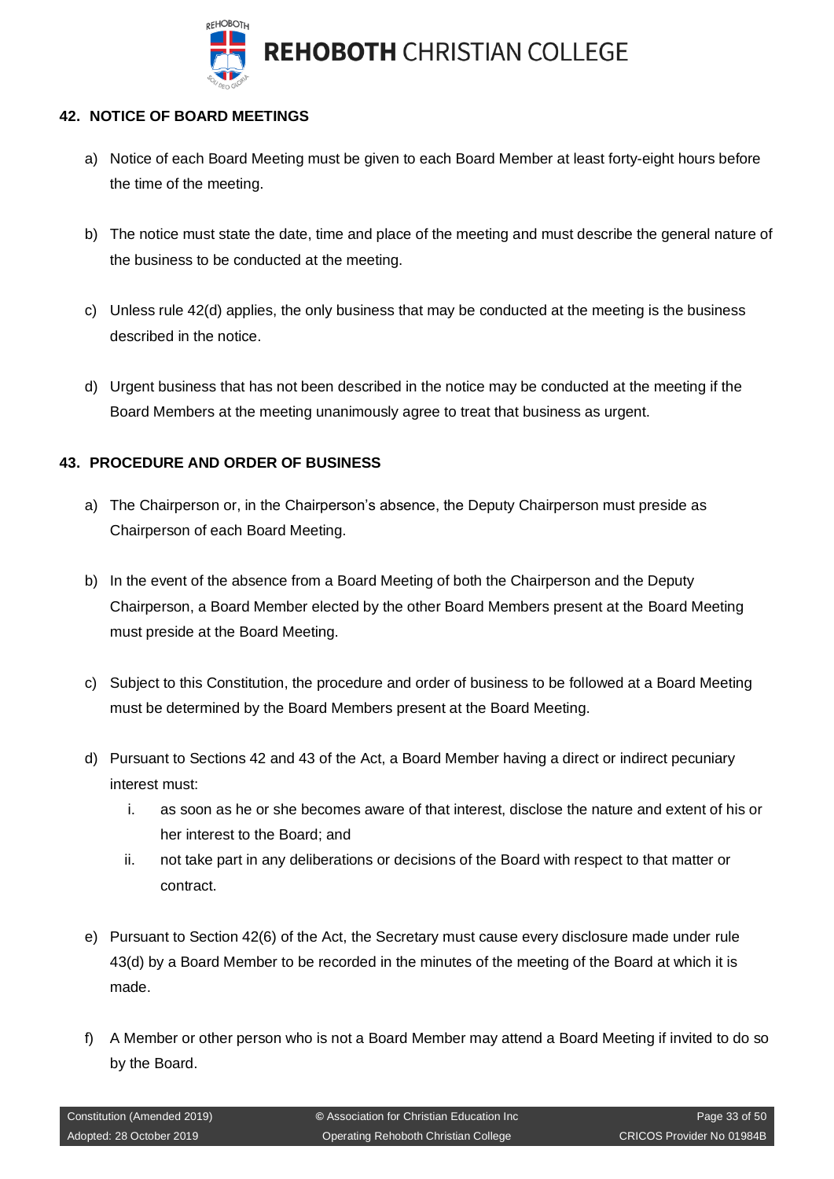

## <span id="page-32-0"></span>**42. NOTICE OF BOARD MEETINGS**

- a) Notice of each Board Meeting must be given to each Board Member at least forty-eight hours before the time of the meeting.
- b) The notice must state the date, time and place of the meeting and must describe the general nature of the business to be conducted at the meeting.
- c) Unless rule 42(d) applies, the only business that may be conducted at the meeting is the business described in the notice.
- d) Urgent business that has not been described in the notice may be conducted at the meeting if the Board Members at the meeting unanimously agree to treat that business as urgent.

## <span id="page-32-1"></span>**43. PROCEDURE AND ORDER OF BUSINESS**

- a) The Chairperson or, in the Chairperson's absence, the Deputy Chairperson must preside as Chairperson of each Board Meeting.
- b) In the event of the absence from a Board Meeting of both the Chairperson and the Deputy Chairperson, a Board Member elected by the other Board Members present at the Board Meeting must preside at the Board Meeting.
- c) Subject to this Constitution, the procedure and order of business to be followed at a Board Meeting must be determined by the Board Members present at the Board Meeting.
- d) Pursuant to Sections 42 and 43 of the Act, a Board Member having a direct or indirect pecuniary interest must:
	- i. as soon as he or she becomes aware of that interest, disclose the nature and extent of his or her interest to the Board; and
	- ii. not take part in any deliberations or decisions of the Board with respect to that matter or contract.
- e) Pursuant to Section 42(6) of the Act, the Secretary must cause every disclosure made under rule 43(d) by a Board Member to be recorded in the minutes of the meeting of the Board at which it is made.
- f) A Member or other person who is not a Board Member may attend a Board Meeting if invited to do so by the Board.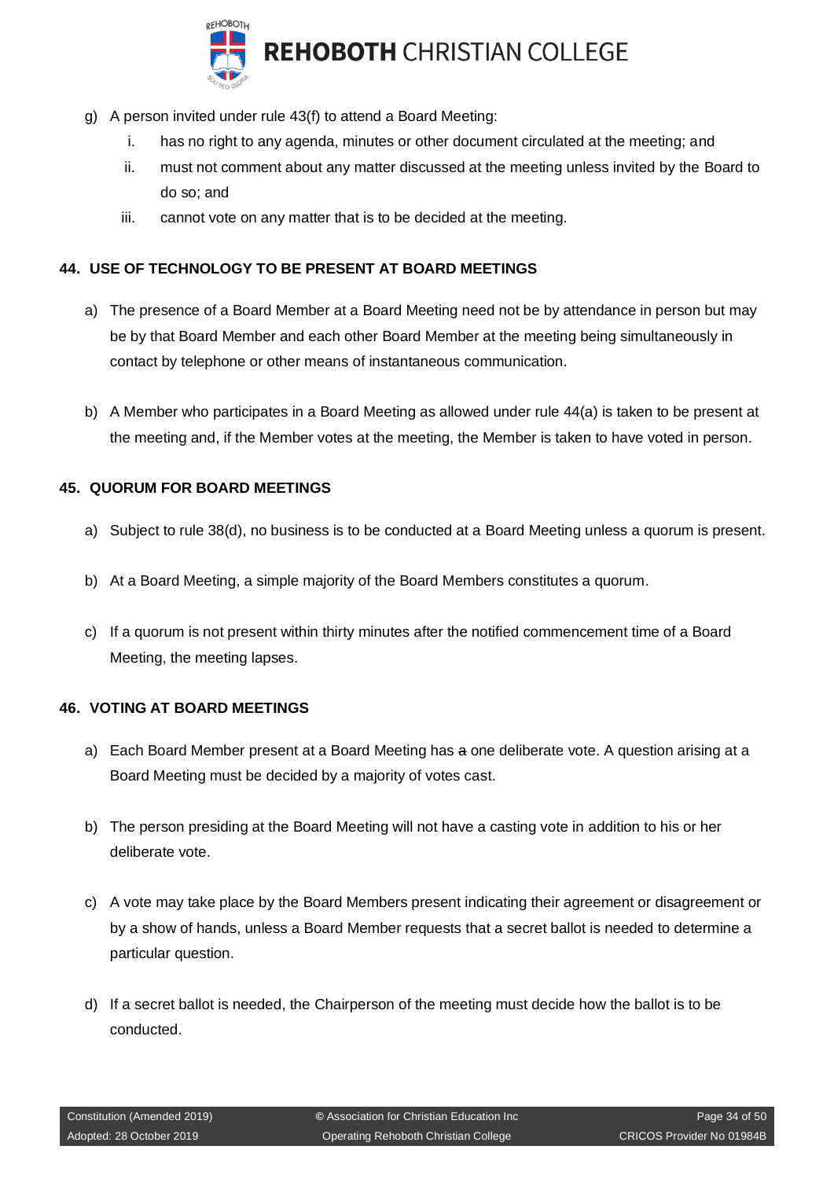

- g) A person invited under rule 43(f) to attend a Board Meeting:
	- i. has no right to any agenda, minutes or other document circulated at the meeting; and
	- ii. must not comment about any matter discussed at the meeting unless invited by the Board to do so; and
	- iii. cannot vote on any matter that is to be decided at the meeting.

## <span id="page-33-0"></span>**44. USE OF TECHNOLOGY TO BE PRESENT AT BOARD MEETINGS**

- a) The presence of a Board Member at a Board Meeting need not be by attendance in person but may be by that Board Member and each other Board Member at the meeting being simultaneously in contact by telephone or other means of instantaneous communication.
- b) A Member who participates in a Board Meeting as allowed under rule 44(a) is taken to be present at the meeting and, if the Member votes at the meeting, the Member is taken to have voted in person.

## <span id="page-33-1"></span>**45. QUORUM FOR BOARD MEETINGS**

- a) Subject to rule 38(d), no business is to be conducted at a Board Meeting unless a quorum is present.
- b) At a Board Meeting, a simple majority of the Board Members constitutes a quorum.
- c) If a quorum is not present within thirty minutes after the notified commencement time of a Board Meeting, the meeting lapses.

#### <span id="page-33-2"></span>**46. VOTING AT BOARD MEETINGS**

- a) Each Board Member present at a Board Meeting has a one deliberate vote. A question arising at a Board Meeting must be decided by a majority of votes cast.
- b) The person presiding at the Board Meeting will not have a casting vote in addition to his or her deliberate vote.
- c) A vote may take place by the Board Members present indicating their agreement or disagreement or by a show of hands, unless a Board Member requests that a secret ballot is needed to determine a particular question.
- d) If a secret ballot is needed, the Chairperson of the meeting must decide how the ballot is to be conducted.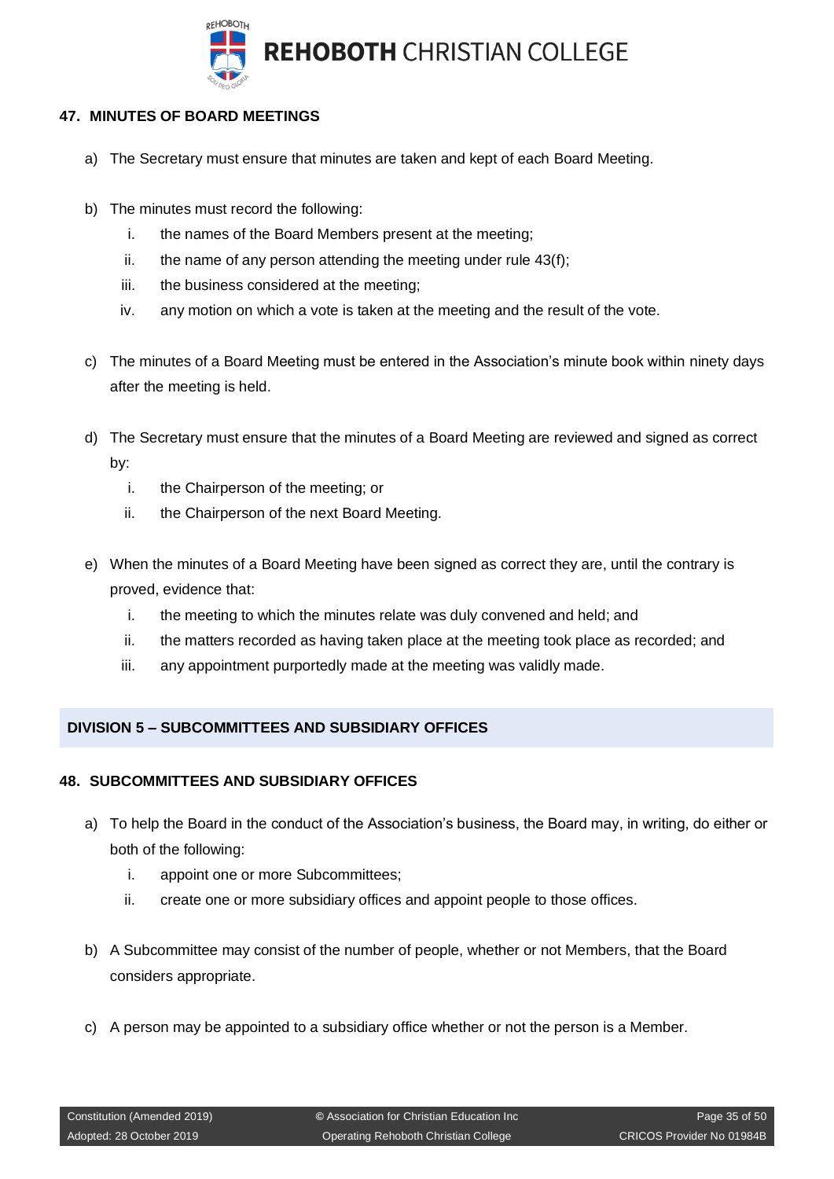

## <span id="page-34-0"></span>**47. MINUTES OF BOARD MEETINGS**

- a) The Secretary must ensure that minutes are taken and kept of each Board Meeting.
- b) The minutes must record the following:
	- i. the names of the Board Members present at the meeting;
	- ii. the name of any person attending the meeting under rule  $43(f)$ :
	- iii. the business considered at the meeting;
	- iv. any motion on which a vote is taken at the meeting and the result of the vote.
- c) The minutes of a Board Meeting must be entered in the Association's minute book within ninety days after the meeting is held.
- d) The Secretary must ensure that the minutes of a Board Meeting are reviewed and signed as correct by:
	- i. the Chairperson of the meeting; or
	- ii. the Chairperson of the next Board Meeting.
- e) When the minutes of a Board Meeting have been signed as correct they are, until the contrary is proved, evidence that:
	- i. the meeting to which the minutes relate was duly convened and held; and
	- ii. the matters recorded as having taken place at the meeting took place as recorded; and
	- iii. any appointment purportedly made at the meeting was validly made.

## <span id="page-34-1"></span>**DIVISION 5 – SUBCOMMITTEES AND SUBSIDIARY OFFICES**

## <span id="page-34-2"></span>**48. SUBCOMMITTEES AND SUBSIDIARY OFFICES**

- a) To help the Board in the conduct of the Association's business, the Board may, in writing, do either or both of the following:
	- i. appoint one or more Subcommittees;
	- ii. create one or more subsidiary offices and appoint people to those offices.
- b) A Subcommittee may consist of the number of people, whether or not Members, that the Board considers appropriate.
- c) A person may be appointed to a subsidiary office whether or not the person is a Member.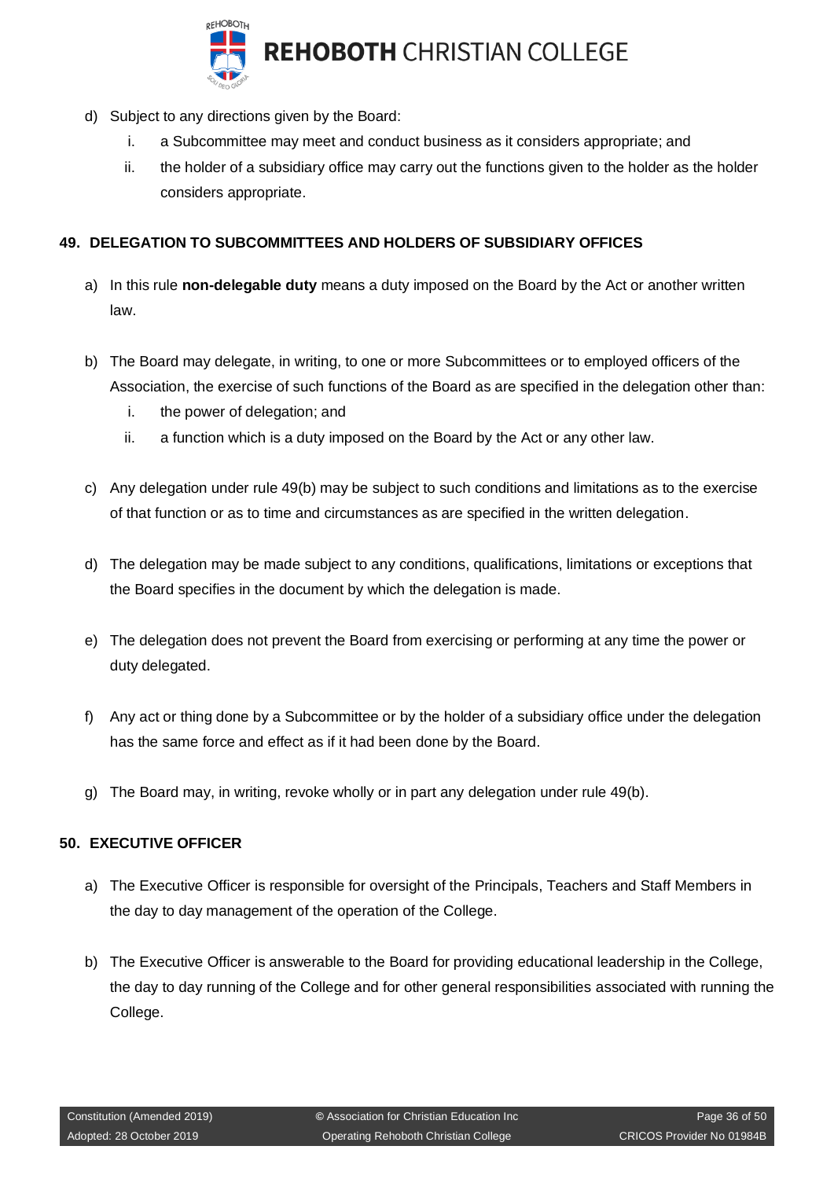

- d) Subject to any directions given by the Board:
	- i. a Subcommittee may meet and conduct business as it considers appropriate; and
	- ii. the holder of a subsidiary office may carry out the functions given to the holder as the holder considers appropriate.

## <span id="page-35-0"></span>**49. DELEGATION TO SUBCOMMITTEES AND HOLDERS OF SUBSIDIARY OFFICES**

- a) In this rule **non-delegable duty** means a duty imposed on the Board by the Act or another written law.
- b) The Board may delegate, in writing, to one or more Subcommittees or to employed officers of the Association, the exercise of such functions of the Board as are specified in the delegation other than:
	- i. the power of delegation; and
	- ii. a function which is a duty imposed on the Board by the Act or any other law.
- c) Any delegation under rule 49(b) may be subject to such conditions and limitations as to the exercise of that function or as to time and circumstances as are specified in the written delegation.
- d) The delegation may be made subject to any conditions, qualifications, limitations or exceptions that the Board specifies in the document by which the delegation is made.
- e) The delegation does not prevent the Board from exercising or performing at any time the power or duty delegated.
- f) Any act or thing done by a Subcommittee or by the holder of a subsidiary office under the delegation has the same force and effect as if it had been done by the Board.
- g) The Board may, in writing, revoke wholly or in part any delegation under rule 49(b).

#### <span id="page-35-1"></span>**50. EXECUTIVE OFFICER**

- a) The Executive Officer is responsible for oversight of the Principals, Teachers and Staff Members in the day to day management of the operation of the College.
- b) The Executive Officer is answerable to the Board for providing educational leadership in the College, the day to day running of the College and for other general responsibilities associated with running the College.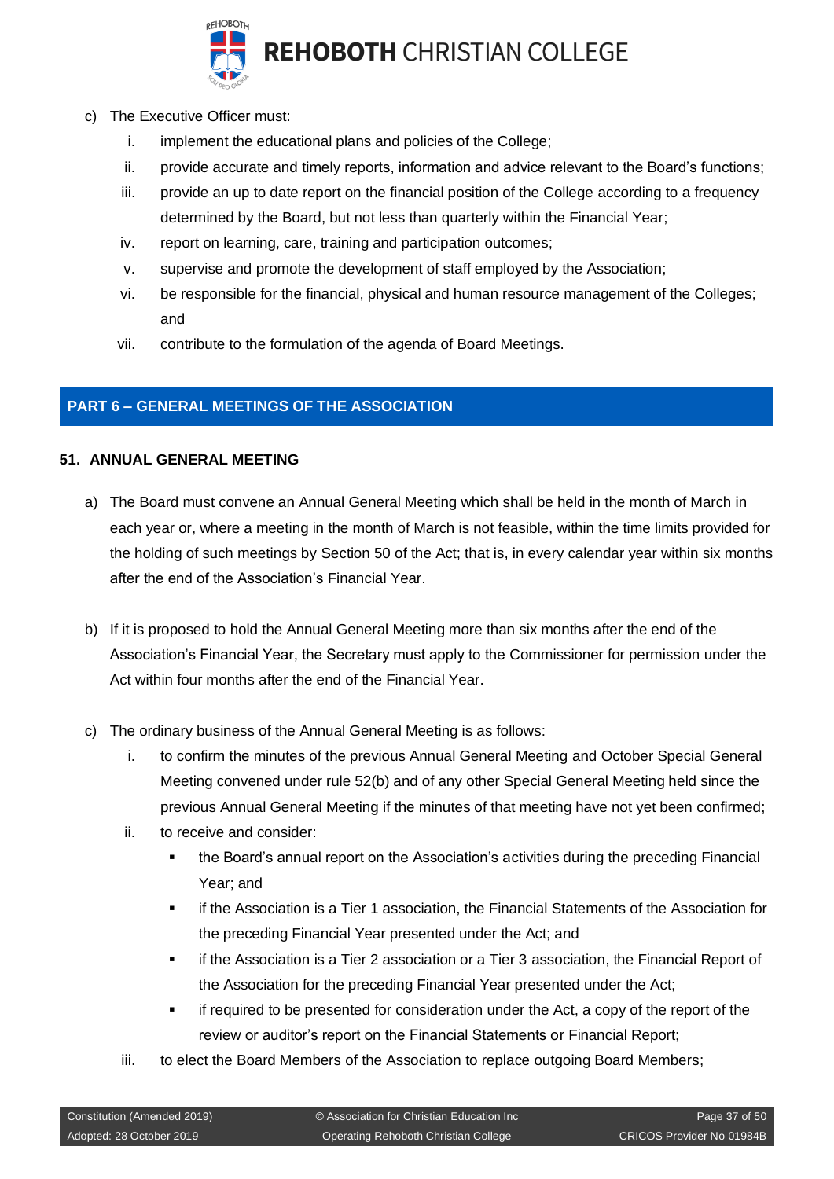

**REHOBOTH CHRISTIAN COLLEGE** 

- c) The Executive Officer must:
	- i. implement the educational plans and policies of the College;
	- ii. provide accurate and timely reports, information and advice relevant to the Board's functions;
	- iii. provide an up to date report on the financial position of the College according to a frequency determined by the Board, but not less than quarterly within the Financial Year;
	- iv. report on learning, care, training and participation outcomes;
	- v. supervise and promote the development of staff employed by the Association;
	- vi. be responsible for the financial, physical and human resource management of the Colleges; and
	- vii. contribute to the formulation of the agenda of Board Meetings.

## <span id="page-36-0"></span>**PART 6 – GENERAL MEETINGS OF THE ASSOCIATION**

#### <span id="page-36-1"></span>**51. ANNUAL GENERAL MEETING**

- a) The Board must convene an Annual General Meeting which shall be held in the month of March in each year or, where a meeting in the month of March is not feasible, within the time limits provided for the holding of such meetings by Section 50 of the Act; that is, in every calendar year within six months after the end of the Association's Financial Year.
- b) If it is proposed to hold the Annual General Meeting more than six months after the end of the Association's Financial Year, the Secretary must apply to the Commissioner for permission under the Act within four months after the end of the Financial Year.
- c) The ordinary business of the Annual General Meeting is as follows:
	- i. to confirm the minutes of the previous Annual General Meeting and October Special General Meeting convened under rule 52(b) and of any other Special General Meeting held since the previous Annual General Meeting if the minutes of that meeting have not yet been confirmed;
	- ii. to receive and consider:
		- the Board's annual report on the Association's activities during the preceding Financial Year; and
		- if the Association is a Tier 1 association, the Financial Statements of the Association for the preceding Financial Year presented under the Act; and
		- if the Association is a Tier 2 association or a Tier 3 association, the Financial Report of the Association for the preceding Financial Year presented under the Act;
		- if required to be presented for consideration under the Act, a copy of the report of the review or auditor's report on the Financial Statements or Financial Report;
	- iii. to elect the Board Members of the Association to replace outgoing Board Members;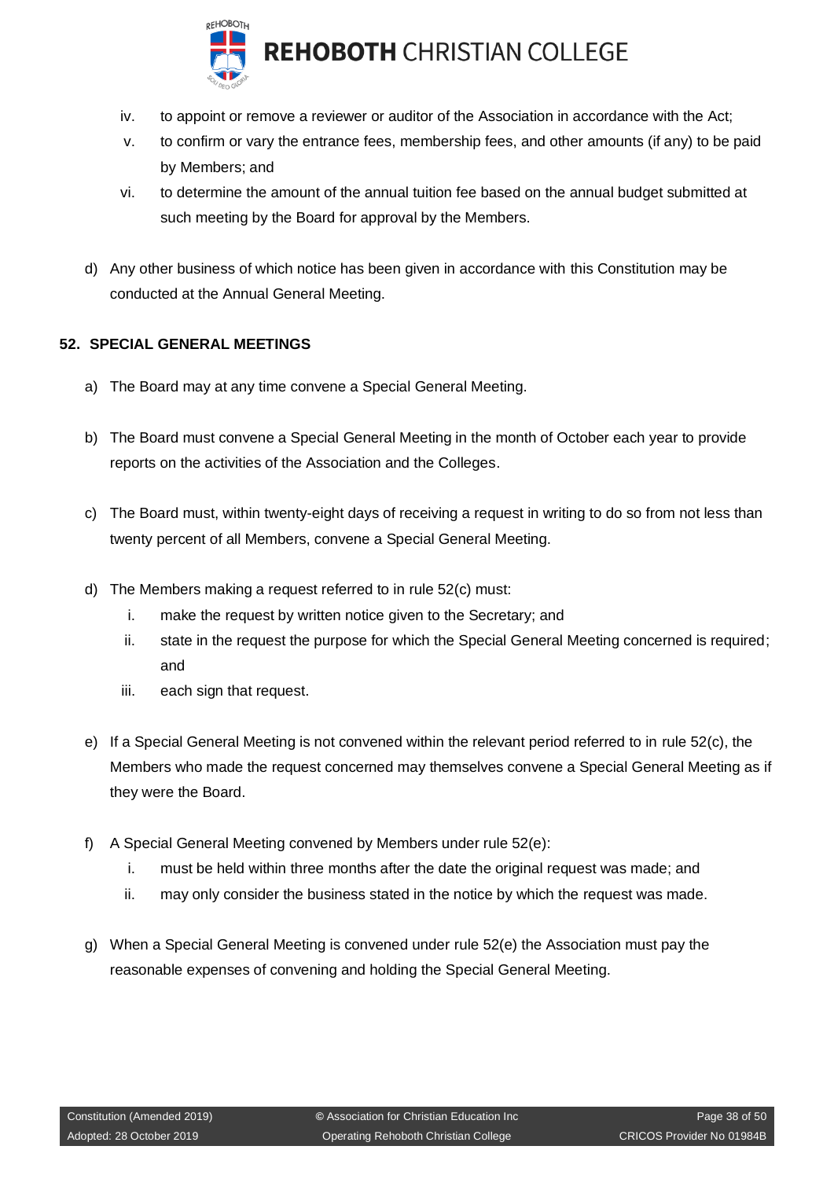

**REHOBOTH CHRISTIAN COLLEGE** 

- iv. to appoint or remove a reviewer or auditor of the Association in accordance with the Act;
- v. to confirm or vary the entrance fees, membership fees, and other amounts (if any) to be paid by Members; and
- vi. to determine the amount of the annual tuition fee based on the annual budget submitted at such meeting by the Board for approval by the Members.
- d) Any other business of which notice has been given in accordance with this Constitution may be conducted at the Annual General Meeting.

#### <span id="page-37-0"></span>**52. SPECIAL GENERAL MEETINGS**

- a) The Board may at any time convene a Special General Meeting.
- b) The Board must convene a Special General Meeting in the month of October each year to provide reports on the activities of the Association and the Colleges.
- c) The Board must, within twenty-eight days of receiving a request in writing to do so from not less than twenty percent of all Members, convene a Special General Meeting.
- d) The Members making a request referred to in rule 52(c) must:
	- i. make the request by written notice given to the Secretary; and
	- ii. state in the request the purpose for which the Special General Meeting concerned is required; and
	- iii. each sign that request.
- e) If a Special General Meeting is not convened within the relevant period referred to in rule 52(c), the Members who made the request concerned may themselves convene a Special General Meeting as if they were the Board.
- f) A Special General Meeting convened by Members under rule 52(e):
	- i. must be held within three months after the date the original request was made; and
	- ii. may only consider the business stated in the notice by which the request was made.
- g) When a Special General Meeting is convened under rule 52(e) the Association must pay the reasonable expenses of convening and holding the Special General Meeting.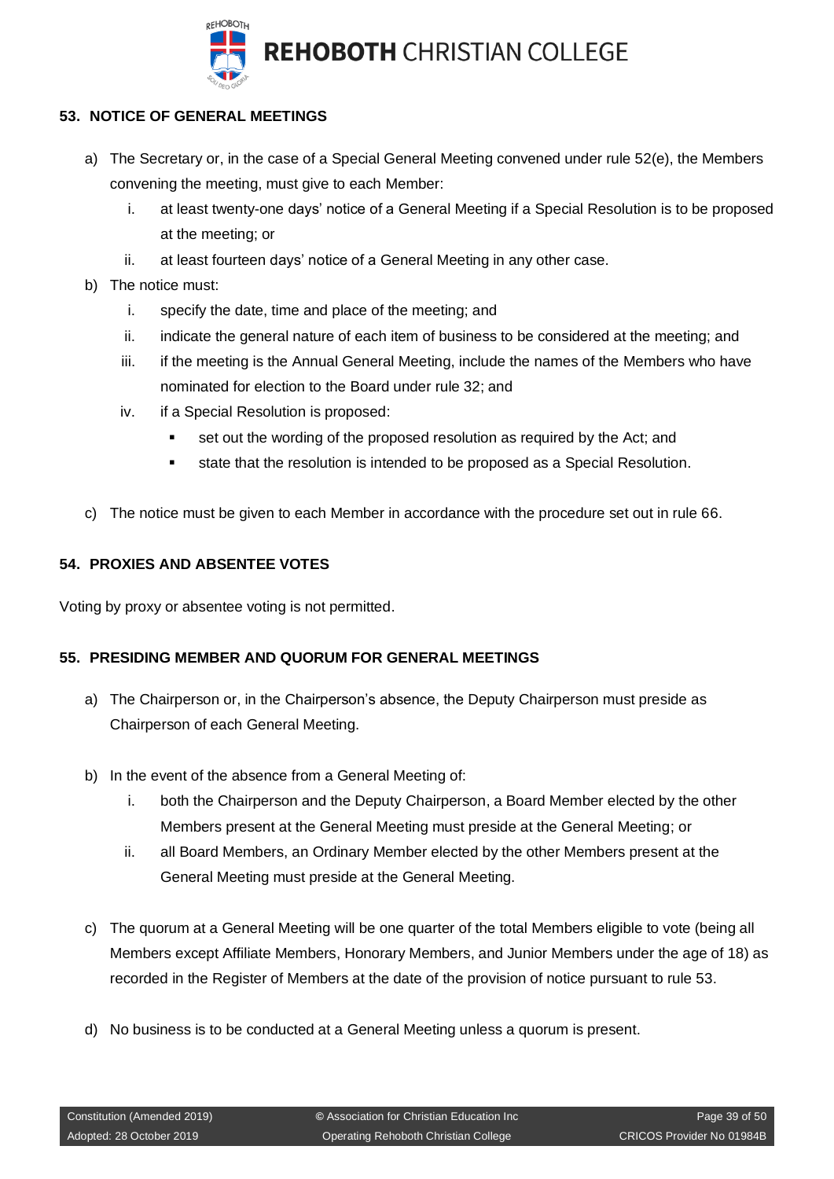

## <span id="page-38-0"></span>**53. NOTICE OF GENERAL MEETINGS**

- a) The Secretary or, in the case of a Special General Meeting convened under rule 52(e), the Members convening the meeting, must give to each Member:
	- i. at least twenty-one days' notice of a General Meeting if a Special Resolution is to be proposed at the meeting; or
	- ii. at least fourteen days' notice of a General Meeting in any other case.
- b) The notice must:
	- i. specify the date, time and place of the meeting; and
	- ii. indicate the general nature of each item of business to be considered at the meeting; and
	- iii. if the meeting is the Annual General Meeting, include the names of the Members who have nominated for election to the Board under rule 32; and
	- iv. if a Special Resolution is proposed:
		- set out the wording of the proposed resolution as required by the Act; and
		- state that the resolution is intended to be proposed as a Special Resolution.
- c) The notice must be given to each Member in accordance with the procedure set out in rule 66.

## <span id="page-38-1"></span>**54. PROXIES AND ABSENTEE VOTES**

Voting by proxy or absentee voting is not permitted.

#### <span id="page-38-2"></span>**55. PRESIDING MEMBER AND QUORUM FOR GENERAL MEETINGS**

- a) The Chairperson or, in the Chairperson's absence, the Deputy Chairperson must preside as Chairperson of each General Meeting.
- b) In the event of the absence from a General Meeting of:
	- i. both the Chairperson and the Deputy Chairperson, a Board Member elected by the other Members present at the General Meeting must preside at the General Meeting; or
	- ii. all Board Members, an Ordinary Member elected by the other Members present at the General Meeting must preside at the General Meeting.
- c) The quorum at a General Meeting will be one quarter of the total Members eligible to vote (being all Members except Affiliate Members, Honorary Members, and Junior Members under the age of 18) as recorded in the Register of Members at the date of the provision of notice pursuant to rule 53.
- d) No business is to be conducted at a General Meeting unless a quorum is present.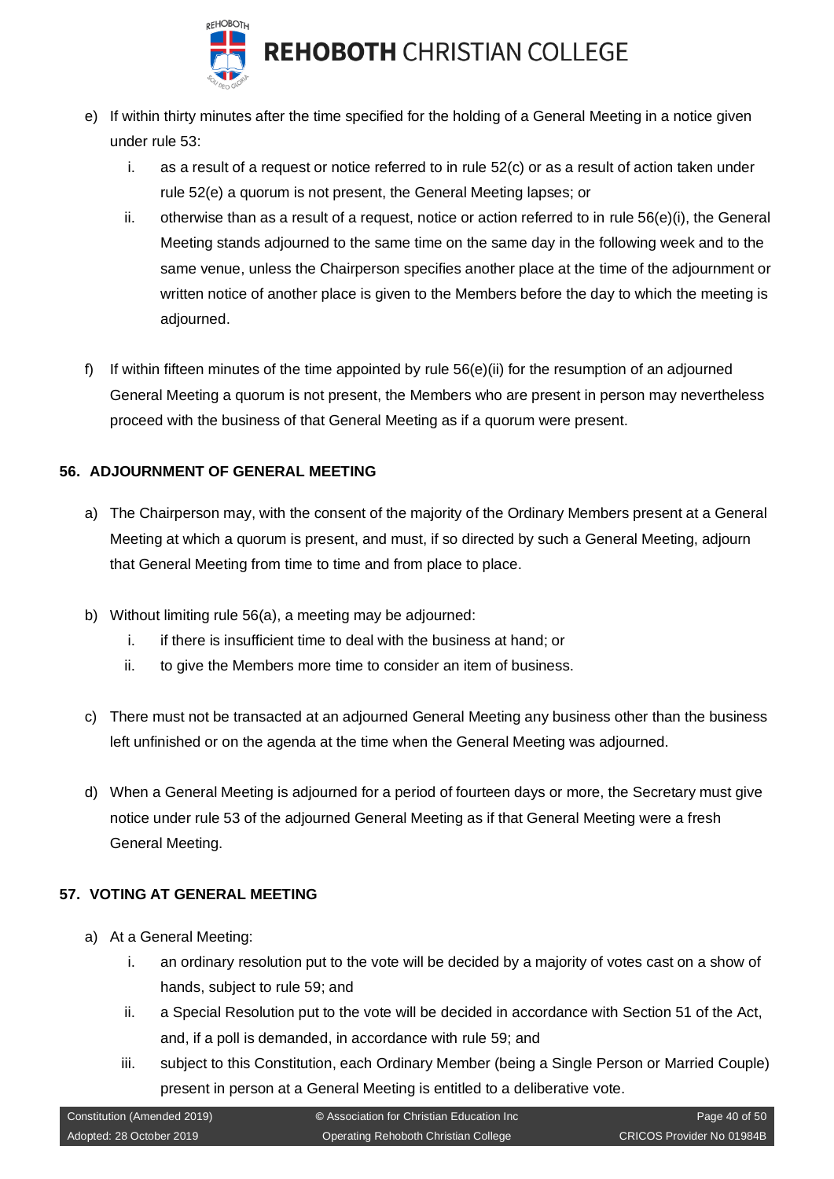

- e) If within thirty minutes after the time specified for the holding of a General Meeting in a notice given under rule 53:
	- i. as a result of a request or notice referred to in rule 52(c) or as a result of action taken under rule 52(e) a quorum is not present, the General Meeting lapses; or
	- ii. otherwise than as a result of a request, notice or action referred to in rule  $56(e)(i)$ , the General Meeting stands adjourned to the same time on the same day in the following week and to the same venue, unless the Chairperson specifies another place at the time of the adjournment or written notice of another place is given to the Members before the day to which the meeting is adjourned.
- f) If within fifteen minutes of the time appointed by rule 56(e)(ii) for the resumption of an adjourned General Meeting a quorum is not present, the Members who are present in person may nevertheless proceed with the business of that General Meeting as if a quorum were present.

## <span id="page-39-0"></span>**56. ADJOURNMENT OF GENERAL MEETING**

- a) The Chairperson may, with the consent of the majority of the Ordinary Members present at a General Meeting at which a quorum is present, and must, if so directed by such a General Meeting, adjourn that General Meeting from time to time and from place to place.
- b) Without limiting rule 56(a), a meeting may be adjourned:
	- i. if there is insufficient time to deal with the business at hand; or
	- ii. to give the Members more time to consider an item of business.
- c) There must not be transacted at an adjourned General Meeting any business other than the business left unfinished or on the agenda at the time when the General Meeting was adjourned.
- d) When a General Meeting is adjourned for a period of fourteen days or more, the Secretary must give notice under rule 53 of the adjourned General Meeting as if that General Meeting were a fresh General Meeting.

#### <span id="page-39-1"></span>**57. VOTING AT GENERAL MEETING**

- a) At a General Meeting:
	- i. an ordinary resolution put to the vote will be decided by a majority of votes cast on a show of hands, subject to rule 59; and
	- ii. a Special Resolution put to the vote will be decided in accordance with Section 51 of the Act, and, if a poll is demanded, in accordance with rule 59; and
	- iii. subject to this Constitution, each Ordinary Member (being a Single Person or Married Couple) present in person at a General Meeting is entitled to a deliberative vote.

| Constitution (Amended 2019) | C Association for Christian Education Inc | Page 40 of 50             |
|-----------------------------|-------------------------------------------|---------------------------|
| Adopted: 28 October 2019    | Operating Rehoboth Christian College      | CRICOS Provider No 01984B |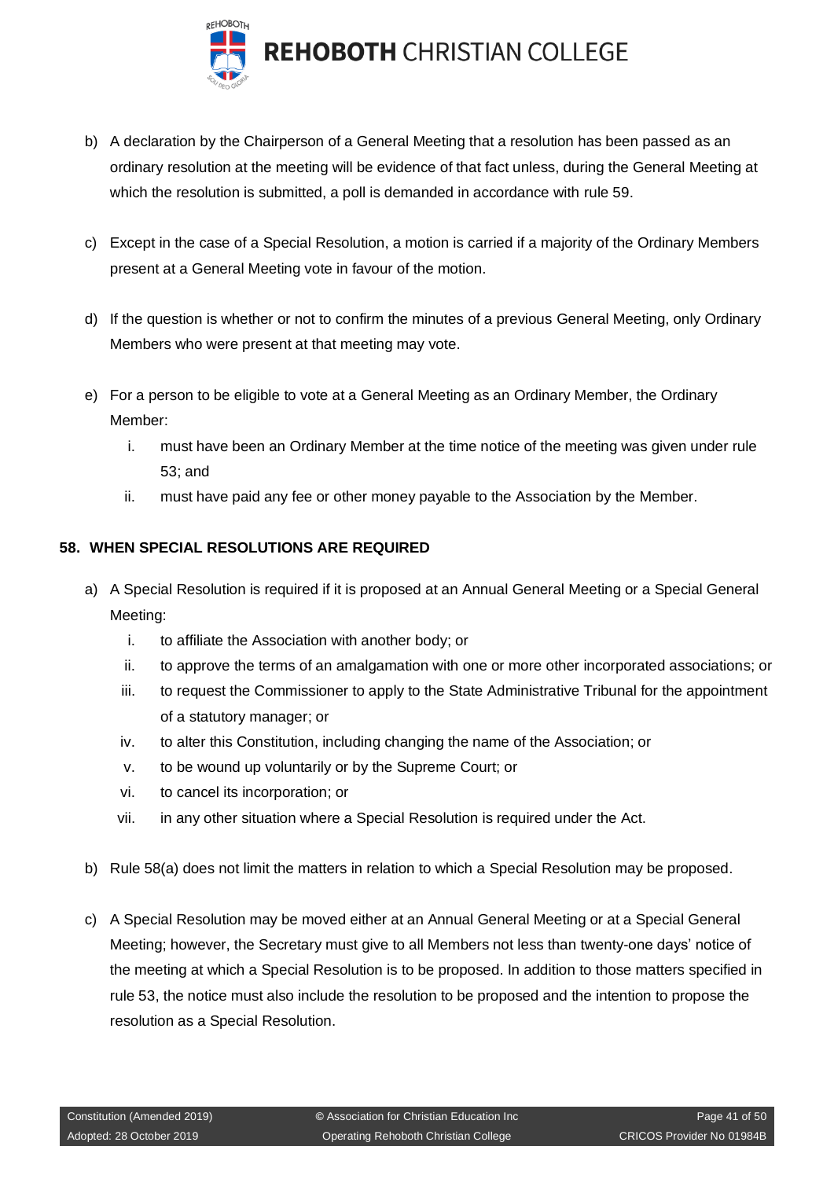

**REHOBOTH CHRISTIAN COLLEGE** 

- b) A declaration by the Chairperson of a General Meeting that a resolution has been passed as an ordinary resolution at the meeting will be evidence of that fact unless, during the General Meeting at which the resolution is submitted, a poll is demanded in accordance with rule 59.
- c) Except in the case of a Special Resolution, a motion is carried if a majority of the Ordinary Members present at a General Meeting vote in favour of the motion.
- d) If the question is whether or not to confirm the minutes of a previous General Meeting, only Ordinary Members who were present at that meeting may vote.
- e) For a person to be eligible to vote at a General Meeting as an Ordinary Member, the Ordinary Member:
	- i. must have been an Ordinary Member at the time notice of the meeting was given under rule 53; and
	- ii. must have paid any fee or other money payable to the Association by the Member.

## <span id="page-40-0"></span>**58. WHEN SPECIAL RESOLUTIONS ARE REQUIRED**

- a) A Special Resolution is required if it is proposed at an Annual General Meeting or a Special General Meeting:
	- i. to affiliate the Association with another body; or
	- ii. to approve the terms of an amalgamation with one or more other incorporated associations; or
	- iii. to request the Commissioner to apply to the State Administrative Tribunal for the appointment of a statutory manager; or
	- iv. to alter this Constitution, including changing the name of the Association; or
	- v. to be wound up voluntarily or by the Supreme Court; or
	- vi. to cancel its incorporation; or
	- vii. in any other situation where a Special Resolution is required under the Act.
- b) Rule 58(a) does not limit the matters in relation to which a Special Resolution may be proposed.
- c) A Special Resolution may be moved either at an Annual General Meeting or at a Special General Meeting; however, the Secretary must give to all Members not less than twenty-one days' notice of the meeting at which a Special Resolution is to be proposed. In addition to those matters specified in rule 53, the notice must also include the resolution to be proposed and the intention to propose the resolution as a Special Resolution.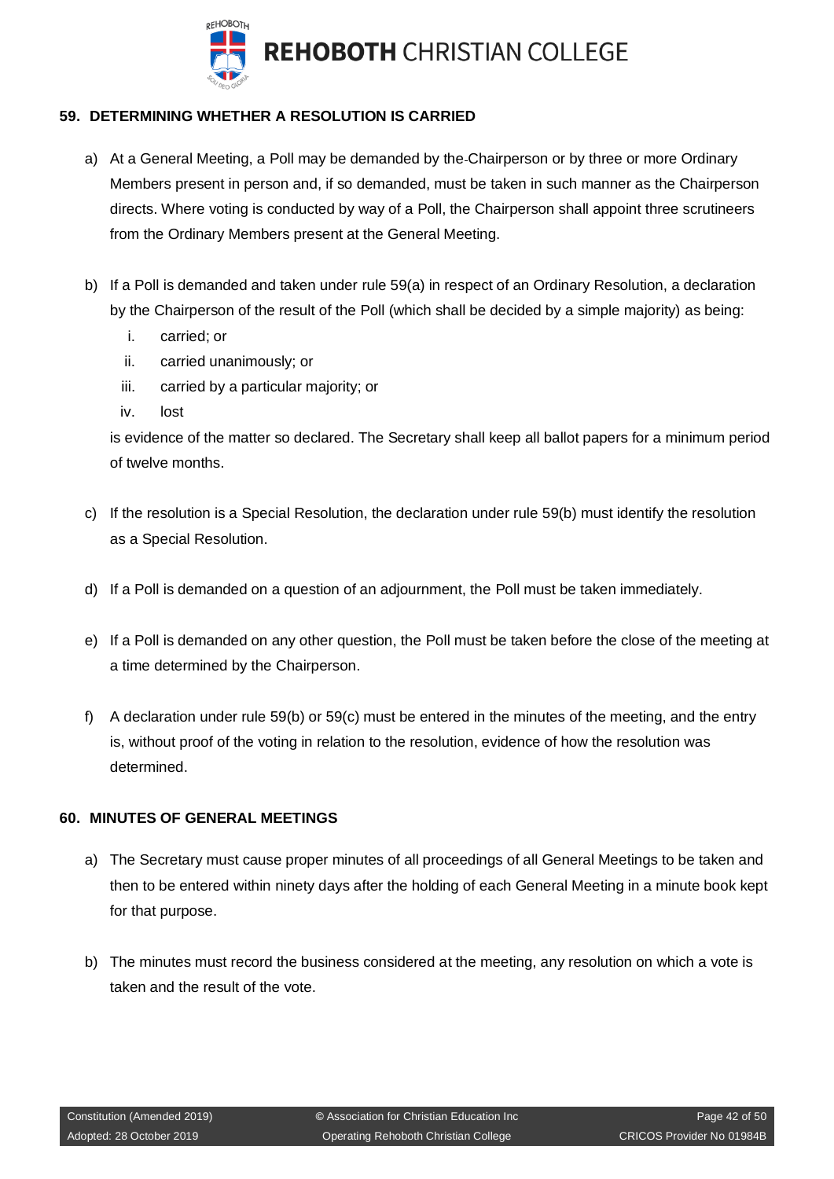

## <span id="page-41-0"></span>**59. DETERMINING WHETHER A RESOLUTION IS CARRIED**

- a) At a General Meeting, a Poll may be demanded by the Chairperson or by three or more Ordinary Members present in person and, if so demanded, must be taken in such manner as the Chairperson directs. Where voting is conducted by way of a Poll, the Chairperson shall appoint three scrutineers from the Ordinary Members present at the General Meeting.
- b) If a Poll is demanded and taken under rule 59(a) in respect of an Ordinary Resolution, a declaration by the Chairperson of the result of the Poll (which shall be decided by a simple majority) as being:
	- i. carried; or
	- ii. carried unanimously; or
	- iii. carried by a particular majority; or
	- iv. lost

is evidence of the matter so declared. The Secretary shall keep all ballot papers for a minimum period of twelve months.

- c) If the resolution is a Special Resolution, the declaration under rule 59(b) must identify the resolution as a Special Resolution.
- d) If a Poll is demanded on a question of an adjournment, the Poll must be taken immediately.
- e) If a Poll is demanded on any other question, the Poll must be taken before the close of the meeting at a time determined by the Chairperson.
- f) A declaration under rule 59(b) or 59(c) must be entered in the minutes of the meeting, and the entry is, without proof of the voting in relation to the resolution, evidence of how the resolution was determined.

#### <span id="page-41-1"></span>**60. MINUTES OF GENERAL MEETINGS**

- a) The Secretary must cause proper minutes of all proceedings of all General Meetings to be taken and then to be entered within ninety days after the holding of each General Meeting in a minute book kept for that purpose.
- b) The minutes must record the business considered at the meeting, any resolution on which a vote is taken and the result of the vote.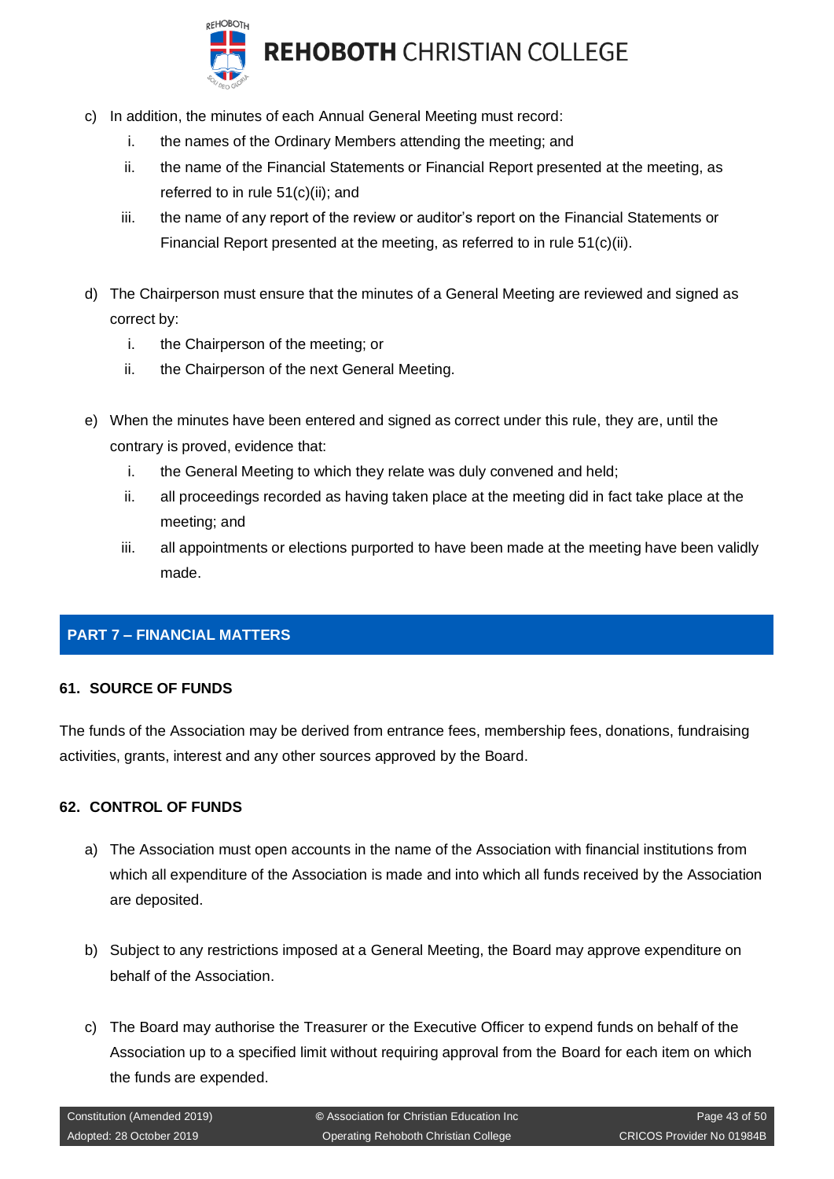

- c) In addition, the minutes of each Annual General Meeting must record:
	- i. the names of the Ordinary Members attending the meeting; and
	- ii. the name of the Financial Statements or Financial Report presented at the meeting, as referred to in rule 51(c)(ii); and
	- iii. the name of any report of the review or auditor's report on the Financial Statements or Financial Report presented at the meeting, as referred to in rule 51(c)(ii).
- d) The Chairperson must ensure that the minutes of a General Meeting are reviewed and signed as correct by:
	- i. the Chairperson of the meeting; or
	- ii. the Chairperson of the next General Meeting.
- e) When the minutes have been entered and signed as correct under this rule, they are, until the contrary is proved, evidence that:
	- i. the General Meeting to which they relate was duly convened and held;
	- ii. all proceedings recorded as having taken place at the meeting did in fact take place at the meeting; and
	- iii. all appointments or elections purported to have been made at the meeting have been validly made.

## <span id="page-42-0"></span>**PART 7 – FINANCIAL MATTERS**

#### <span id="page-42-1"></span>**61. SOURCE OF FUNDS**

The funds of the Association may be derived from entrance fees, membership fees, donations, fundraising activities, grants, interest and any other sources approved by the Board.

#### <span id="page-42-2"></span>**62. CONTROL OF FUNDS**

- a) The Association must open accounts in the name of the Association with financial institutions from which all expenditure of the Association is made and into which all funds received by the Association are deposited.
- b) Subject to any restrictions imposed at a General Meeting, the Board may approve expenditure on behalf of the Association.
- c) The Board may authorise the Treasurer or the Executive Officer to expend funds on behalf of the Association up to a specified limit without requiring approval from the Board for each item on which the funds are expended.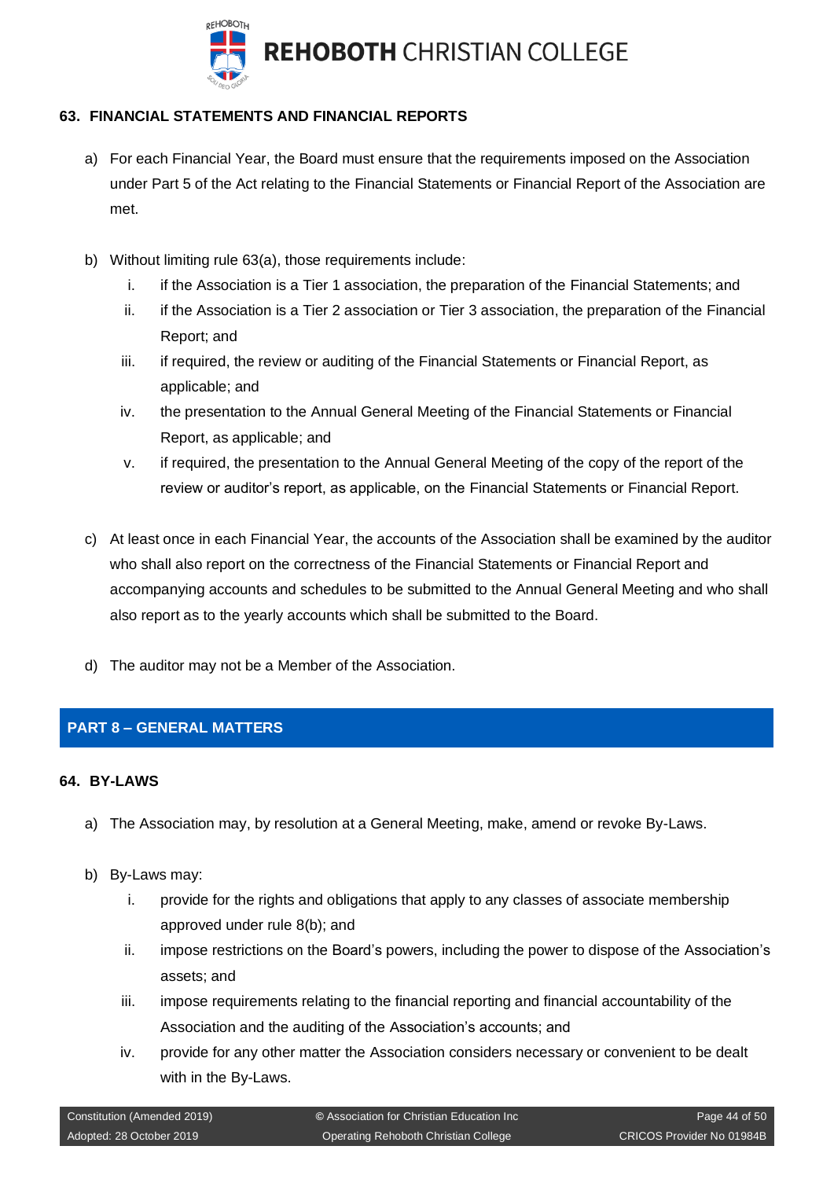

## <span id="page-43-0"></span>**63. FINANCIAL STATEMENTS AND FINANCIAL REPORTS**

- a) For each Financial Year, the Board must ensure that the requirements imposed on the Association under Part 5 of the Act relating to the Financial Statements or Financial Report of the Association are met.
- b) Without limiting rule 63(a), those requirements include:
	- i. if the Association is a Tier 1 association, the preparation of the Financial Statements; and
	- ii. if the Association is a Tier 2 association or Tier 3 association, the preparation of the Financial Report; and
	- iii. if required, the review or auditing of the Financial Statements or Financial Report, as applicable; and
	- iv. the presentation to the Annual General Meeting of the Financial Statements or Financial Report, as applicable; and
	- v. if required, the presentation to the Annual General Meeting of the copy of the report of the review or auditor's report, as applicable, on the Financial Statements or Financial Report.
- c) At least once in each Financial Year, the accounts of the Association shall be examined by the auditor who shall also report on the correctness of the Financial Statements or Financial Report and accompanying accounts and schedules to be submitted to the Annual General Meeting and who shall also report as to the yearly accounts which shall be submitted to the Board.
- d) The auditor may not be a Member of the Association.

## <span id="page-43-1"></span>**PART 8 – GENERAL MATTERS**

## <span id="page-43-2"></span>**64. BY-LAWS**

- a) The Association may, by resolution at a General Meeting, make, amend or revoke By-Laws.
- b) By-Laws may:
	- i. provide for the rights and obligations that apply to any classes of associate membership approved under rule 8(b); and
	- ii. impose restrictions on the Board's powers, including the power to dispose of the Association's assets; and
	- iii. impose requirements relating to the financial reporting and financial accountability of the Association and the auditing of the Association's accounts; and
	- iv. provide for any other matter the Association considers necessary or convenient to be dealt with in the By-Laws.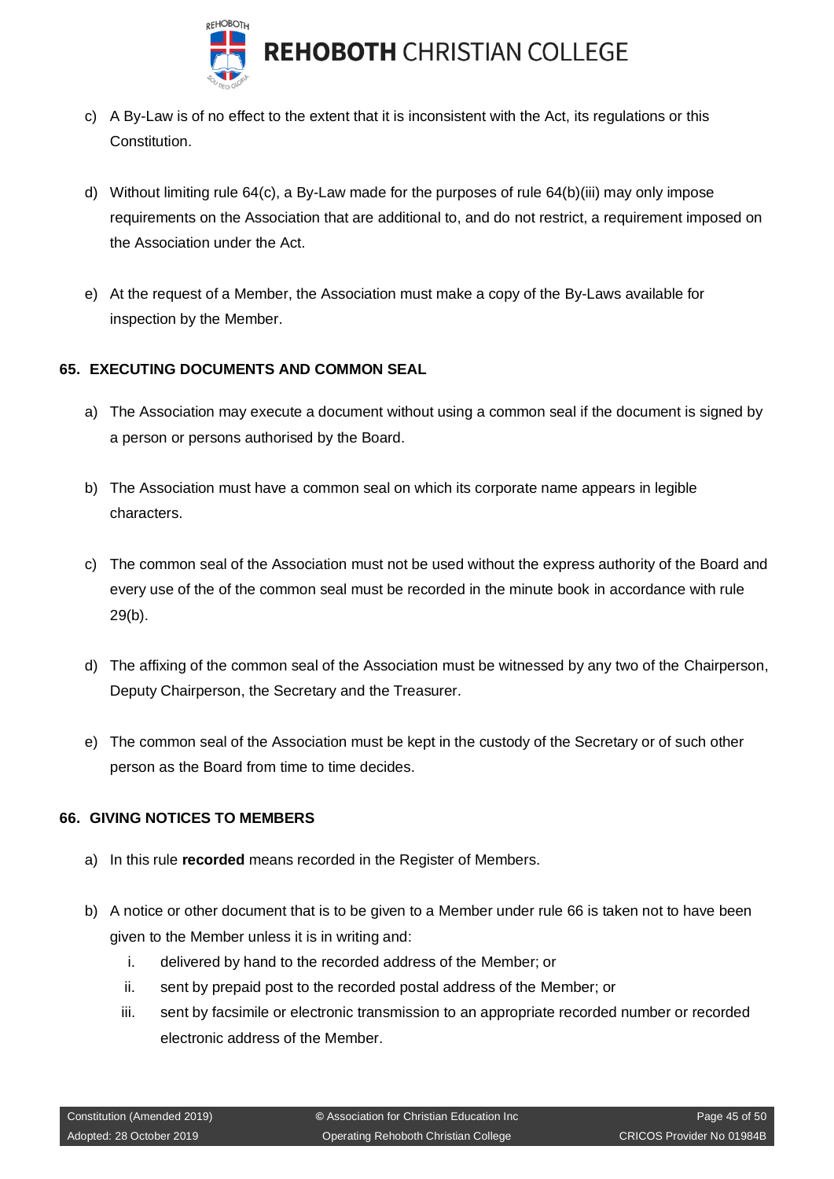

- c) A By-Law is of no effect to the extent that it is inconsistent with the Act, its regulations or this Constitution.
- d) Without limiting rule 64(c), a By-Law made for the purposes of rule 64(b)(iii) may only impose requirements on the Association that are additional to, and do not restrict, a requirement imposed on the Association under the Act.
- e) At the request of a Member, the Association must make a copy of the By-Laws available for inspection by the Member.

## <span id="page-44-0"></span>**65. EXECUTING DOCUMENTS AND COMMON SEAL**

- a) The Association may execute a document without using a common seal if the document is signed by a person or persons authorised by the Board.
- b) The Association must have a common seal on which its corporate name appears in legible characters.
- c) The common seal of the Association must not be used without the express authority of the Board and every use of the of the common seal must be recorded in the minute book in accordance with rule 29(b).
- d) The affixing of the common seal of the Association must be witnessed by any two of the Chairperson, Deputy Chairperson, the Secretary and the Treasurer.
- e) The common seal of the Association must be kept in the custody of the Secretary or of such other person as the Board from time to time decides.

#### <span id="page-44-1"></span>**66. GIVING NOTICES TO MEMBERS**

- a) In this rule **recorded** means recorded in the Register of Members.
- b) A notice or other document that is to be given to a Member under rule 66 is taken not to have been given to the Member unless it is in writing and:
	- i. delivered by hand to the recorded address of the Member; or
	- ii. sent by prepaid post to the recorded postal address of the Member; or
	- iii. sent by facsimile or electronic transmission to an appropriate recorded number or recorded electronic address of the Member.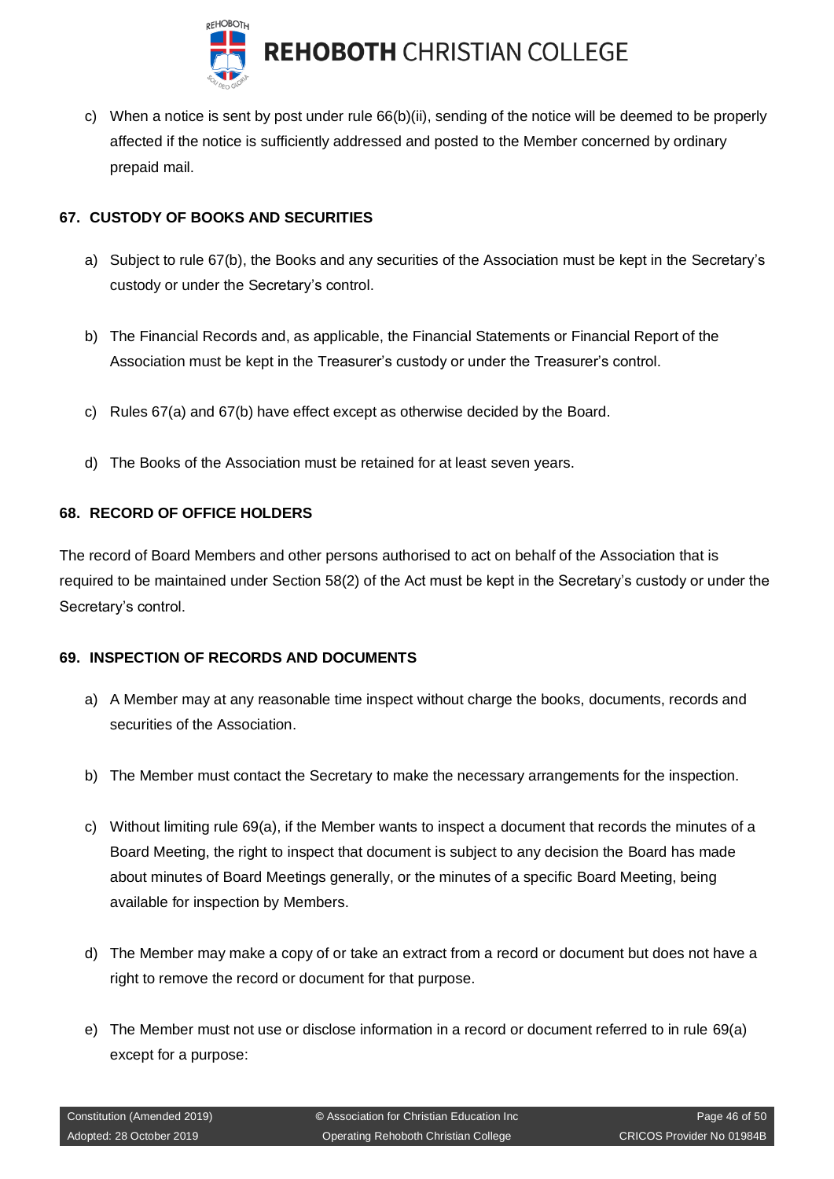

c) When a notice is sent by post under rule 66(b)(ii), sending of the notice will be deemed to be properly affected if the notice is sufficiently addressed and posted to the Member concerned by ordinary prepaid mail.

## <span id="page-45-0"></span>**67. CUSTODY OF BOOKS AND SECURITIES**

- a) Subject to rule 67(b), the Books and any securities of the Association must be kept in the Secretary's custody or under the Secretary's control.
- b) The Financial Records and, as applicable, the Financial Statements or Financial Report of the Association must be kept in the Treasurer's custody or under the Treasurer's control.
- c) Rules 67(a) and 67(b) have effect except as otherwise decided by the Board.
- d) The Books of the Association must be retained for at least seven years.

## <span id="page-45-1"></span>**68. RECORD OF OFFICE HOLDERS**

The record of Board Members and other persons authorised to act on behalf of the Association that is required to be maintained under Section 58(2) of the Act must be kept in the Secretary's custody or under the Secretary's control.

#### <span id="page-45-2"></span>**69. INSPECTION OF RECORDS AND DOCUMENTS**

- a) A Member may at any reasonable time inspect without charge the books, documents, records and securities of the Association.
- b) The Member must contact the Secretary to make the necessary arrangements for the inspection.
- c) Without limiting rule 69(a), if the Member wants to inspect a document that records the minutes of a Board Meeting, the right to inspect that document is subject to any decision the Board has made about minutes of Board Meetings generally, or the minutes of a specific Board Meeting, being available for inspection by Members.
- d) The Member may make a copy of or take an extract from a record or document but does not have a right to remove the record or document for that purpose.
- e) The Member must not use or disclose information in a record or document referred to in rule 69(a) except for a purpose: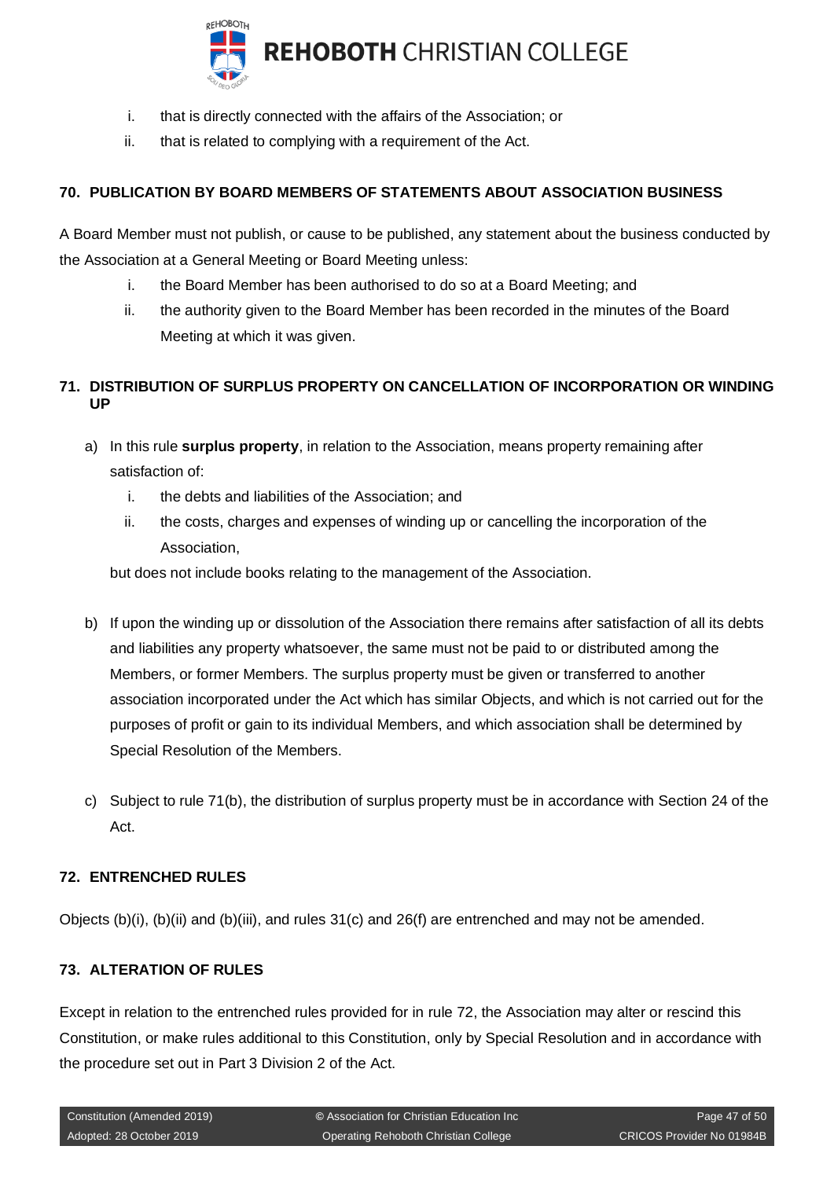

- i. that is directly connected with the affairs of the Association; or
- ii. that is related to complying with a requirement of the Act.

## <span id="page-46-0"></span>**70. PUBLICATION BY BOARD MEMBERS OF STATEMENTS ABOUT ASSOCIATION BUSINESS**

A Board Member must not publish, or cause to be published, any statement about the business conducted by the Association at a General Meeting or Board Meeting unless:

- i. the Board Member has been authorised to do so at a Board Meeting; and
- ii. the authority given to the Board Member has been recorded in the minutes of the Board Meeting at which it was given.

## <span id="page-46-1"></span>**71. DISTRIBUTION OF SURPLUS PROPERTY ON CANCELLATION OF INCORPORATION OR WINDING UP**

- a) In this rule **surplus property**, in relation to the Association, means property remaining after satisfaction of:
	- i. the debts and liabilities of the Association; and
	- ii. the costs, charges and expenses of winding up or cancelling the incorporation of the Association,

but does not include books relating to the management of the Association.

- b) If upon the winding up or dissolution of the Association there remains after satisfaction of all its debts and liabilities any property whatsoever, the same must not be paid to or distributed among the Members, or former Members. The surplus property must be given or transferred to another association incorporated under the Act which has similar Objects, and which is not carried out for the purposes of profit or gain to its individual Members, and which association shall be determined by Special Resolution of the Members.
- c) Subject to rule 71(b), the distribution of surplus property must be in accordance with Section 24 of the Act.

## <span id="page-46-2"></span>**72. ENTRENCHED RULES**

Objects (b)(i), (b)(ii) and (b)(iii), and rules 31(c) and 26(f) are entrenched and may not be amended.

#### <span id="page-46-3"></span>**73. ALTERATION OF RULES**

Except in relation to the entrenched rules provided for in rule 72, the Association may alter or rescind this Constitution, or make rules additional to this Constitution, only by Special Resolution and in accordance with the procedure set out in Part 3 Division 2 of the Act.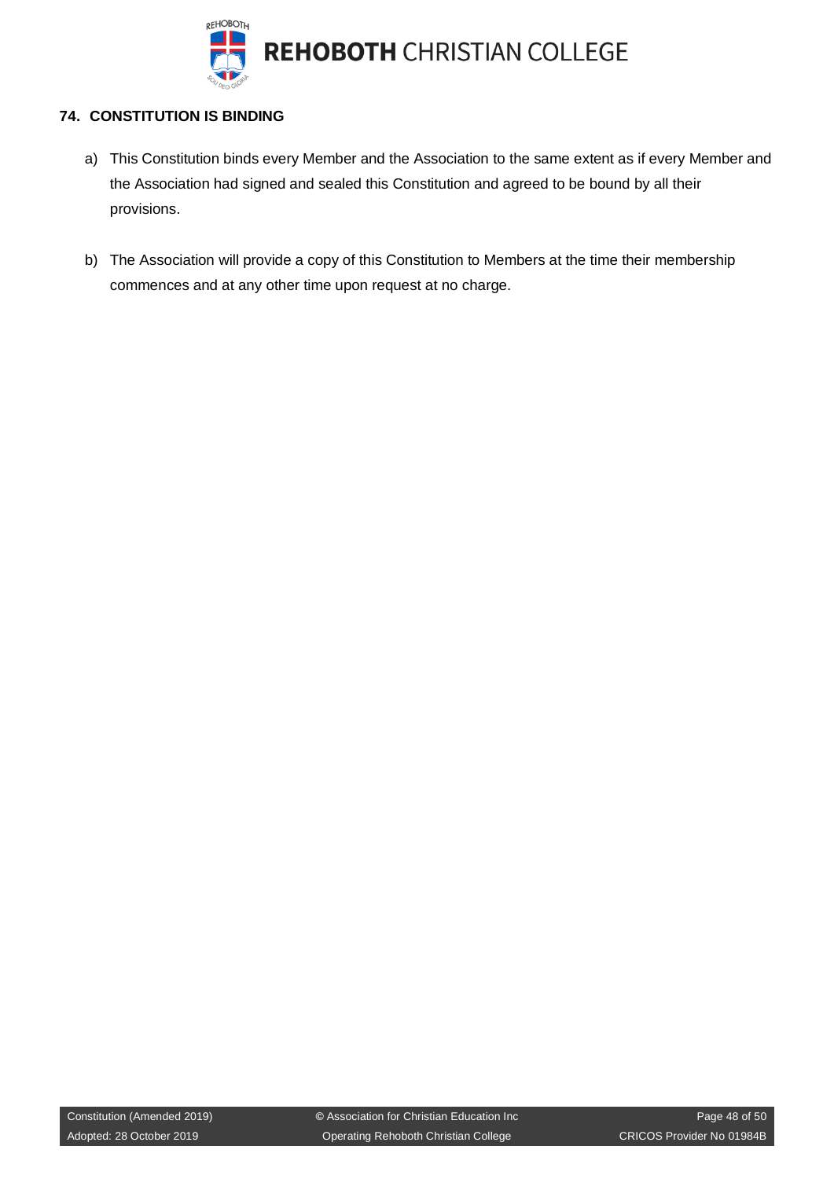

## <span id="page-47-0"></span>**74. CONSTITUTION IS BINDING**

- a) This Constitution binds every Member and the Association to the same extent as if every Member and the Association had signed and sealed this Constitution and agreed to be bound by all their provisions.
- b) The Association will provide a copy of this Constitution to Members at the time their membership commences and at any other time upon request at no charge.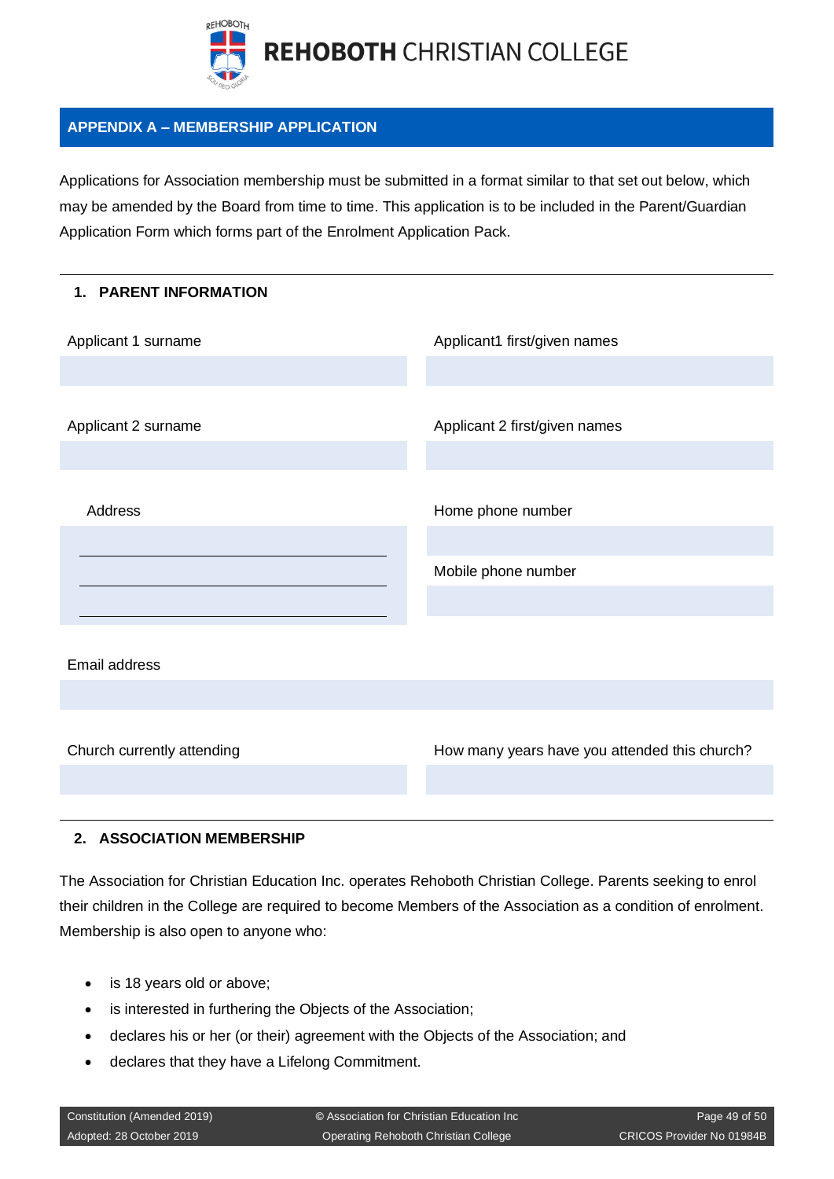

## <span id="page-48-0"></span>**APPENDIX A – MEMBERSHIP APPLICATION**

Applications for Association membership must be submitted in a format similar to that set out below, which may be amended by the Board from time to time. This application is to be included in the Parent/Guardian Application Form which forms part of the Enrolment Application Pack.

| 1. PARENT INFORMATION      |                                               |
|----------------------------|-----------------------------------------------|
| Applicant 1 surname        | Applicant1 first/given names                  |
|                            |                                               |
| Applicant 2 surname        | Applicant 2 first/given names                 |
|                            |                                               |
| Address                    | Home phone number                             |
|                            |                                               |
|                            | Mobile phone number                           |
|                            |                                               |
|                            |                                               |
| Email address              |                                               |
|                            |                                               |
|                            |                                               |
| Church currently attending | How many years have you attended this church? |
|                            |                                               |

#### **2. ASSOCIATION MEMBERSHIP**

The Association for Christian Education Inc. operates Rehoboth Christian College. Parents seeking to enrol their children in the College are required to become Members of the Association as a condition of enrolment. Membership is also open to anyone who:

- is 18 years old or above;
- is interested in furthering the Objects of the Association;
- declares his or her (or their) agreement with the Objects of the Association; and
- declares that they have a Lifelong Commitment.